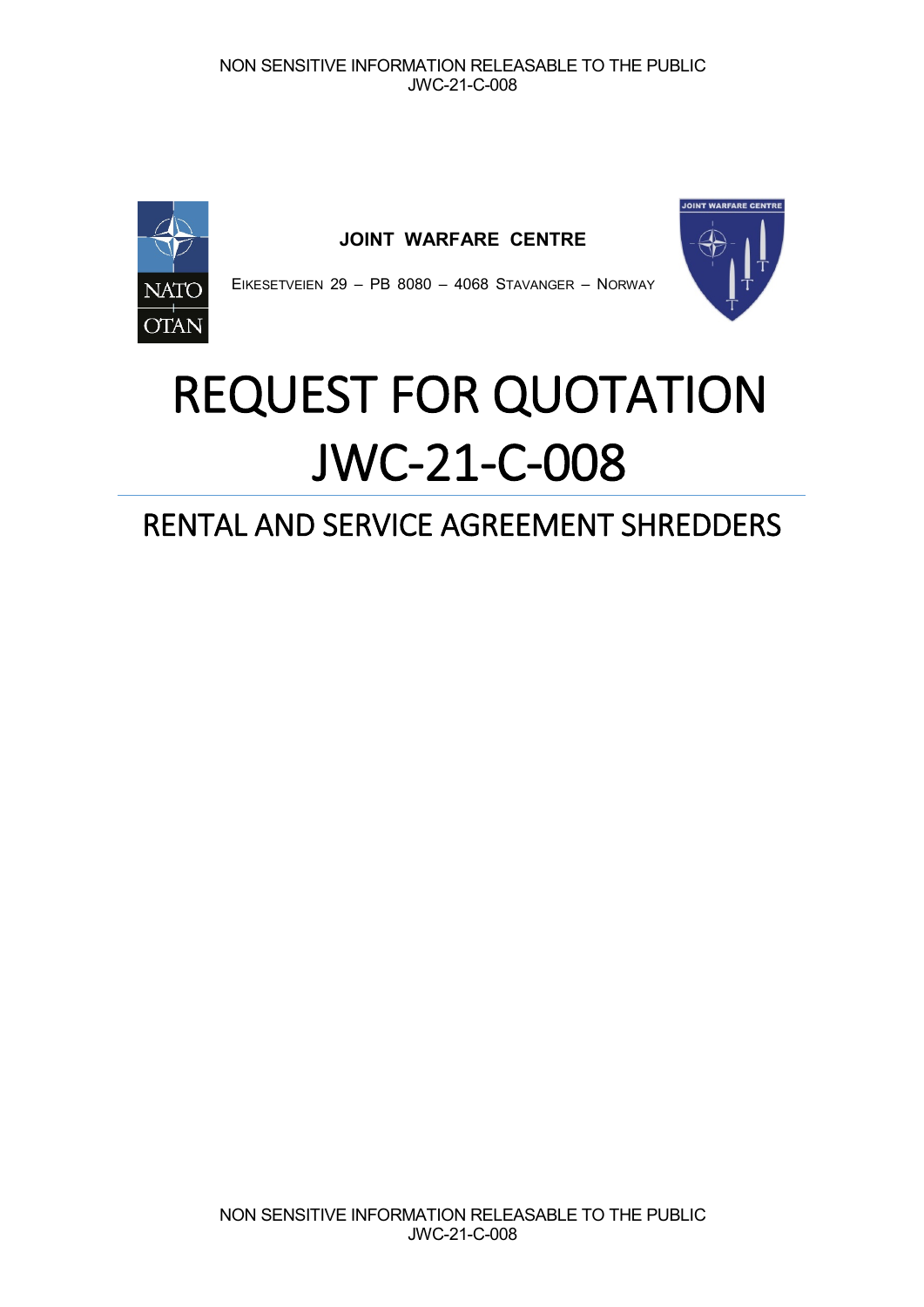

**JOINT WARFARE CENTRE**



EIKESETVEIEN 29 – PB 8080 – 4068 STAVANGER – NORWAY

# REQUEST FOR QUOTATION JWC-21-C-008

# RENTAL AND SERVICE AGREEMENT SHREDDERS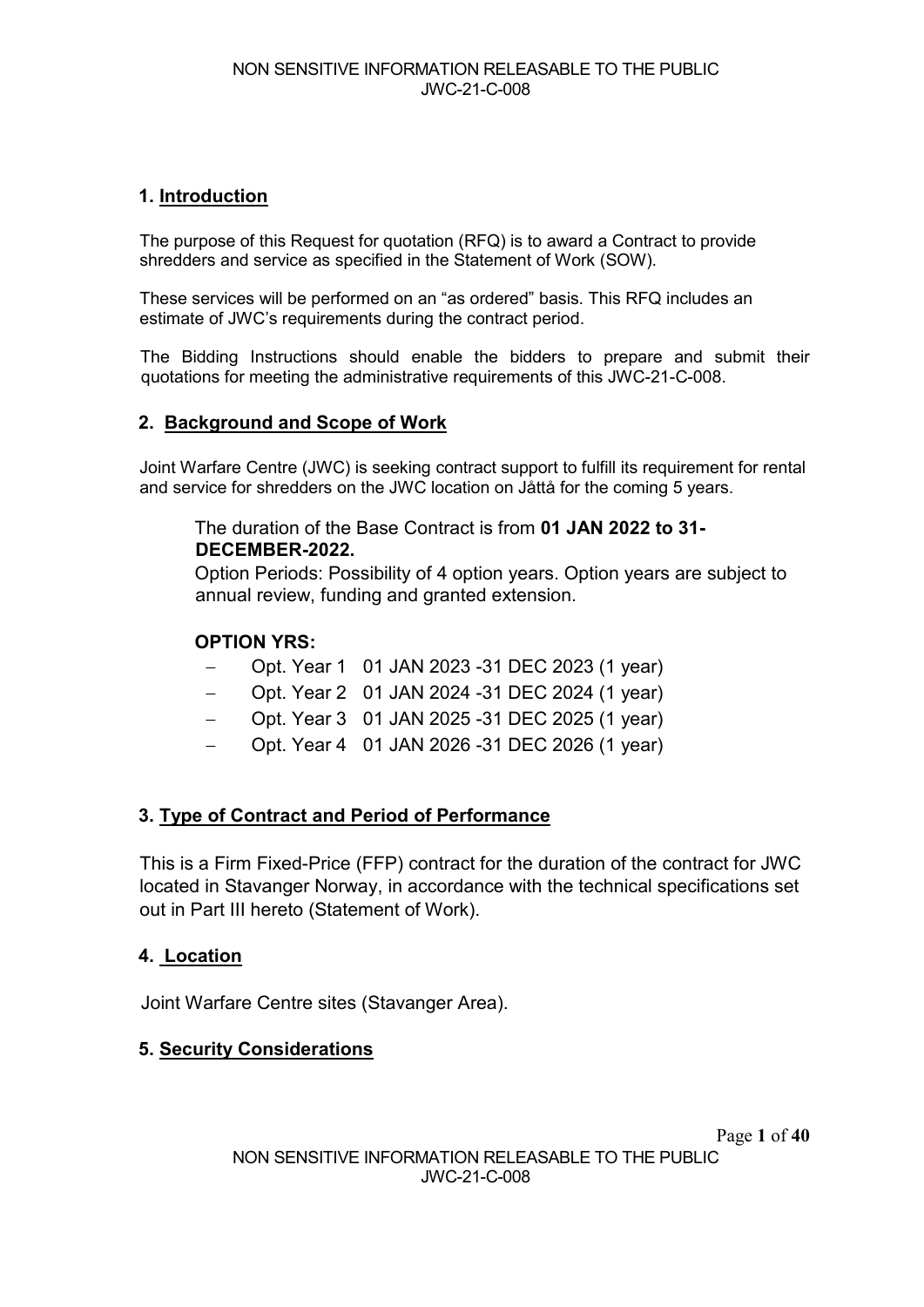## **1. Introduction**

The purpose of this Request for quotation (RFQ) is to award a Contract to provide shredders and service as specified in the Statement of Work (SOW).

These services will be performed on an "as ordered" basis. This RFQ includes an estimate of JWC's requirements during the contract period.

The Bidding Instructions should enable the bidders to prepare and submit their quotations for meeting the administrative requirements of this JWC-21-C-008.

#### **2. Background and Scope of Work**

Joint Warfare Centre (JWC) is seeking contract support to fulfill its requirement for rental and service for shredders on the JWC location on Jåttå for the coming 5 years.

#### The duration of the Base Contract is from **01 JAN 2022 to 31- DECEMBER-2022.**

Option Periods: Possibility of 4 option years. Option years are subject to annual review, funding and granted extension.

## **OPTION YRS:**

- − Opt. Year 1 01 JAN 2023 -31 DEC 2023 (1 year)
- − Opt. Year 2 01 JAN 2024 -31 DEC 2024 (1 year)
- − Opt. Year 3 01 JAN 2025 -31 DEC 2025 (1 year)
- − Opt. Year 4 01 JAN 2026 -31 DEC 2026 (1 year)

## **3. Type of Contract and Period of Performance**

This is a Firm Fixed-Price (FFP) contract for the duration of the contract for JWC located in Stavanger Norway, in accordance with the technical specifications set out in Part III hereto (Statement of Work).

#### **4. Location**

Joint Warfare Centre sites (Stavanger Area).

## **5. Security Considerations**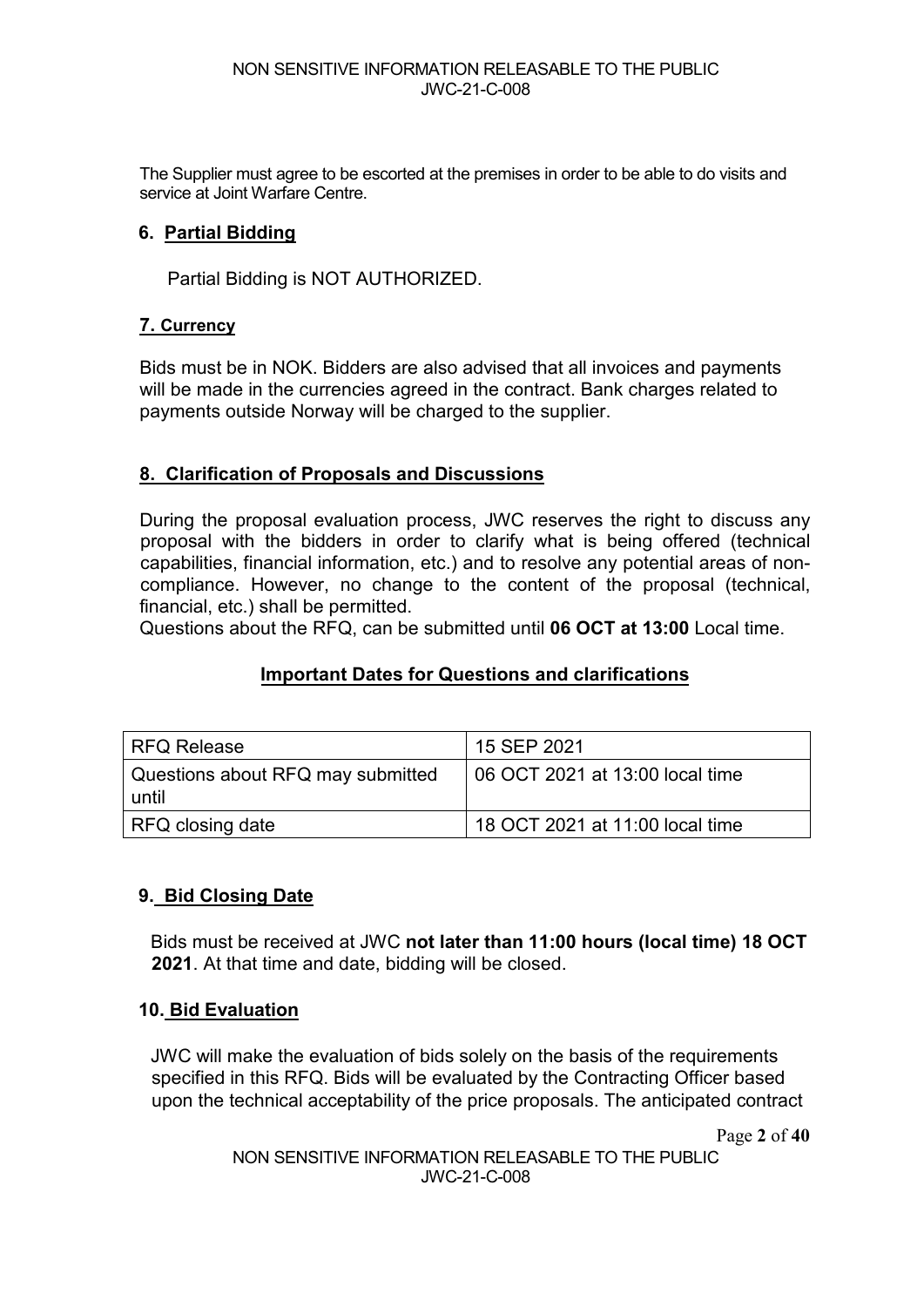The Supplier must agree to be escorted at the premises in order to be able to do visits and service at Joint Warfare Centre.

## **6. Partial Bidding**

Partial Bidding is NOT AUTHORIZED.

#### **7. Currency**

Bids must be in NOK. Bidders are also advised that all invoices and payments will be made in the currencies agreed in the contract. Bank charges related to payments outside Norway will be charged to the supplier.

## **8. Clarification of Proposals and Discussions**

During the proposal evaluation process, JWC reserves the right to discuss any proposal with the bidders in order to clarify what is being offered (technical capabilities, financial information, etc.) and to resolve any potential areas of noncompliance. However, no change to the content of the proposal (technical, financial, etc.) shall be permitted.

Questions about the RFQ, can be submitted until **06 OCT at 13:00** Local time.

## **Important Dates for Questions and clarifications**

| <b>RFQ Release</b>                         | 15 SEP 2021                     |
|--------------------------------------------|---------------------------------|
| Questions about RFQ may submitted<br>until | 06 OCT 2021 at 13:00 local time |
| RFQ closing date                           | 18 OCT 2021 at 11:00 local time |

#### **9. Bid Closing Date**

Bids must be received at JWC **not later than 11:00 hours (local time) 18 OCT 2021**. At that time and date, bidding will be closed.

#### **10. Bid Evaluation**

JWC will make the evaluation of bids solely on the basis of the requirements specified in this RFQ. Bids will be evaluated by the Contracting Officer based upon the technical acceptability of the price proposals. The anticipated contract

Page **2** of **40**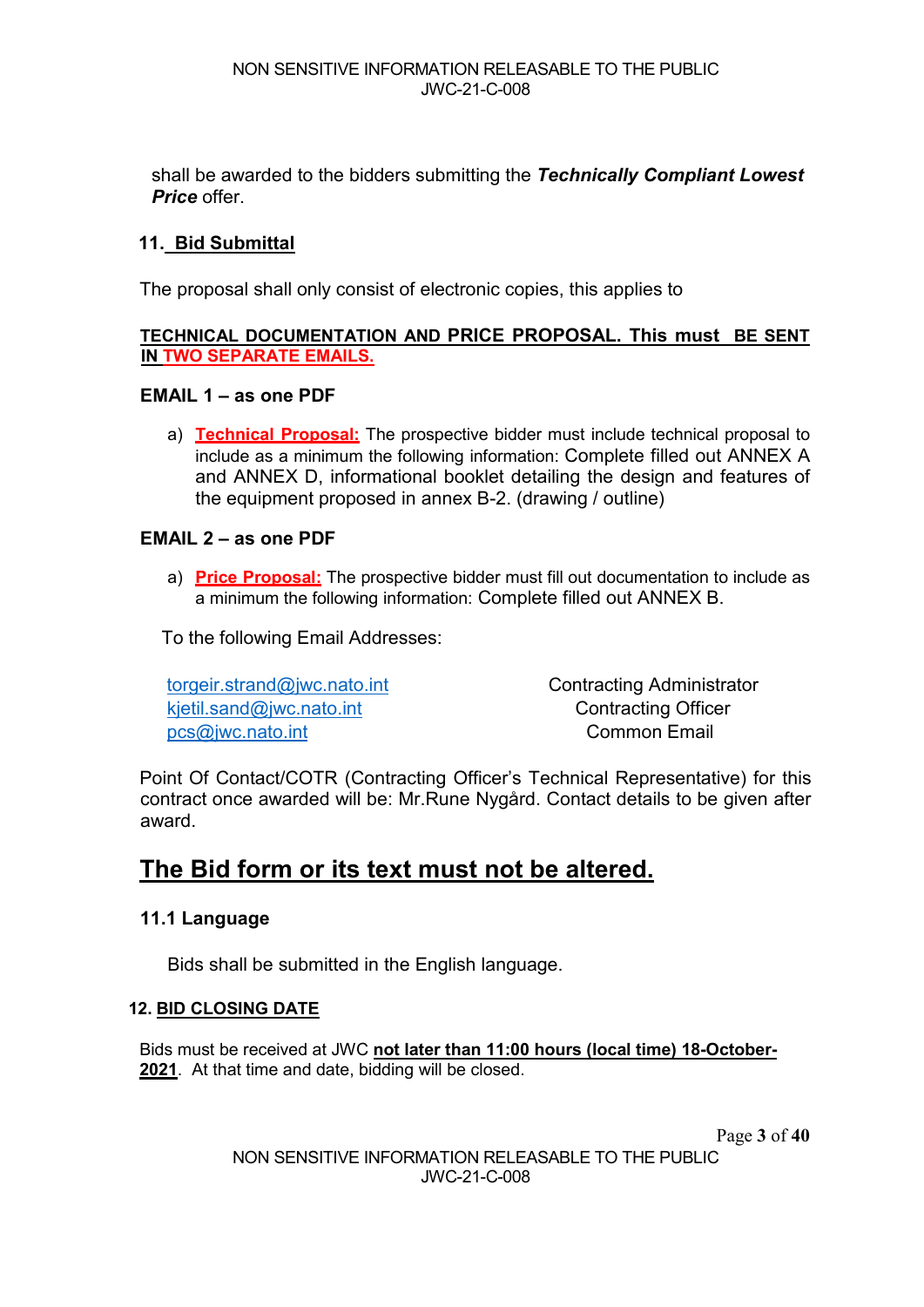shall be awarded to the bidders submitting the *Technically Compliant Lowest Price* offer.

## **11. Bid Submittal**

The proposal shall only consist of electronic copies, this applies to

#### **TECHNICAL DOCUMENTATION AND PRICE PROPOSAL. This must BE SENT IN TWO SEPARATE EMAILS.**

#### **EMAIL 1 – as one PDF**

a) **Technical Proposal:** The prospective bidder must include technical proposal to include as a minimum the following information: Complete filled out ANNEX A and ANNEX D, informational booklet detailing the design and features of the equipment proposed in annex B-2. (drawing / outline)

#### **EMAIL 2 – as one PDF**

a) **Price Proposal:** The prospective bidder must fill out documentation to include as a minimum the following information: Complete filled out ANNEX B.

To the following Email Addresses:

[torgeir.strand@jwc.nato.int](mailto:torgeir.strand@jwc.nato.int) Contracting Administrator [kjetil.sand@jwc.nato.int](mailto:kjetil.sand@jwc.nato.int) Contracting Officer pcs@iwc.nato.int Common Email

Point Of Contact/COTR (Contracting Officer's Technical Representative) for this contract once awarded will be: Mr.Rune Nygård. Contact details to be given after award.

## **The Bid form or its text must not be altered.**

#### **11.1 Language**

Bids shall be submitted in the English language.

#### **12. BID CLOSING DATE**

Bids must be received at JWC **not later than 11:00 hours (local time) 18-October-2021**. At that time and date, bidding will be closed.

Page **3** of **40**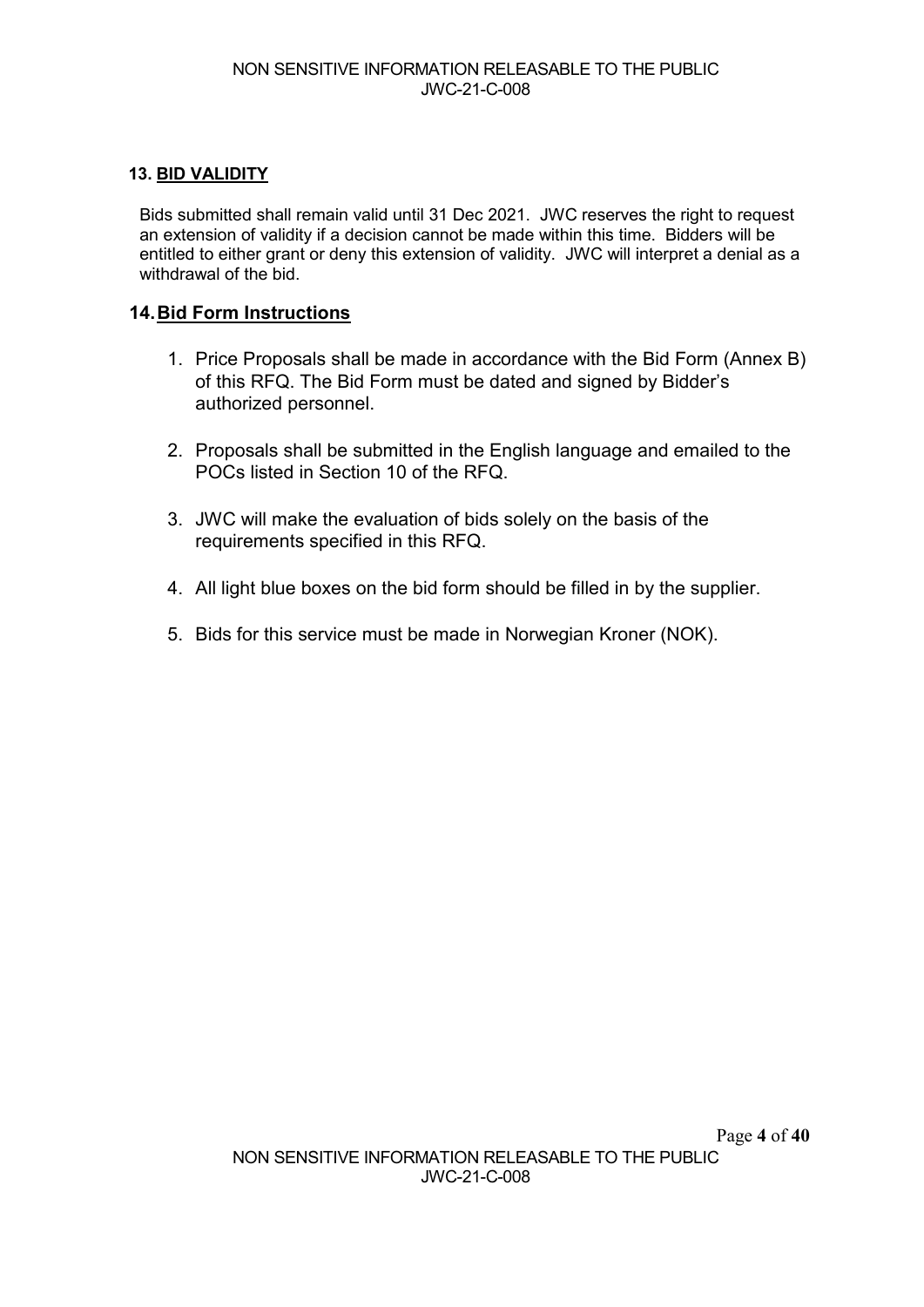#### **13. BID VALIDITY**

Bids submitted shall remain valid until 31 Dec 2021. JWC reserves the right to request an extension of validity if a decision cannot be made within this time. Bidders will be entitled to either grant or deny this extension of validity. JWC will interpret a denial as a withdrawal of the bid.

#### **14.Bid Form Instructions**

- 1. Price Proposals shall be made in accordance with the Bid Form (Annex B) of this RFQ. The Bid Form must be dated and signed by Bidder's authorized personnel.
- 2. Proposals shall be submitted in the English language and emailed to the POCs listed in Section 10 of the RFQ.
- 3. JWC will make the evaluation of bids solely on the basis of the requirements specified in this RFQ.
- 4. All light blue boxes on the bid form should be filled in by the supplier.
- 5. Bids for this service must be made in Norwegian Kroner (NOK).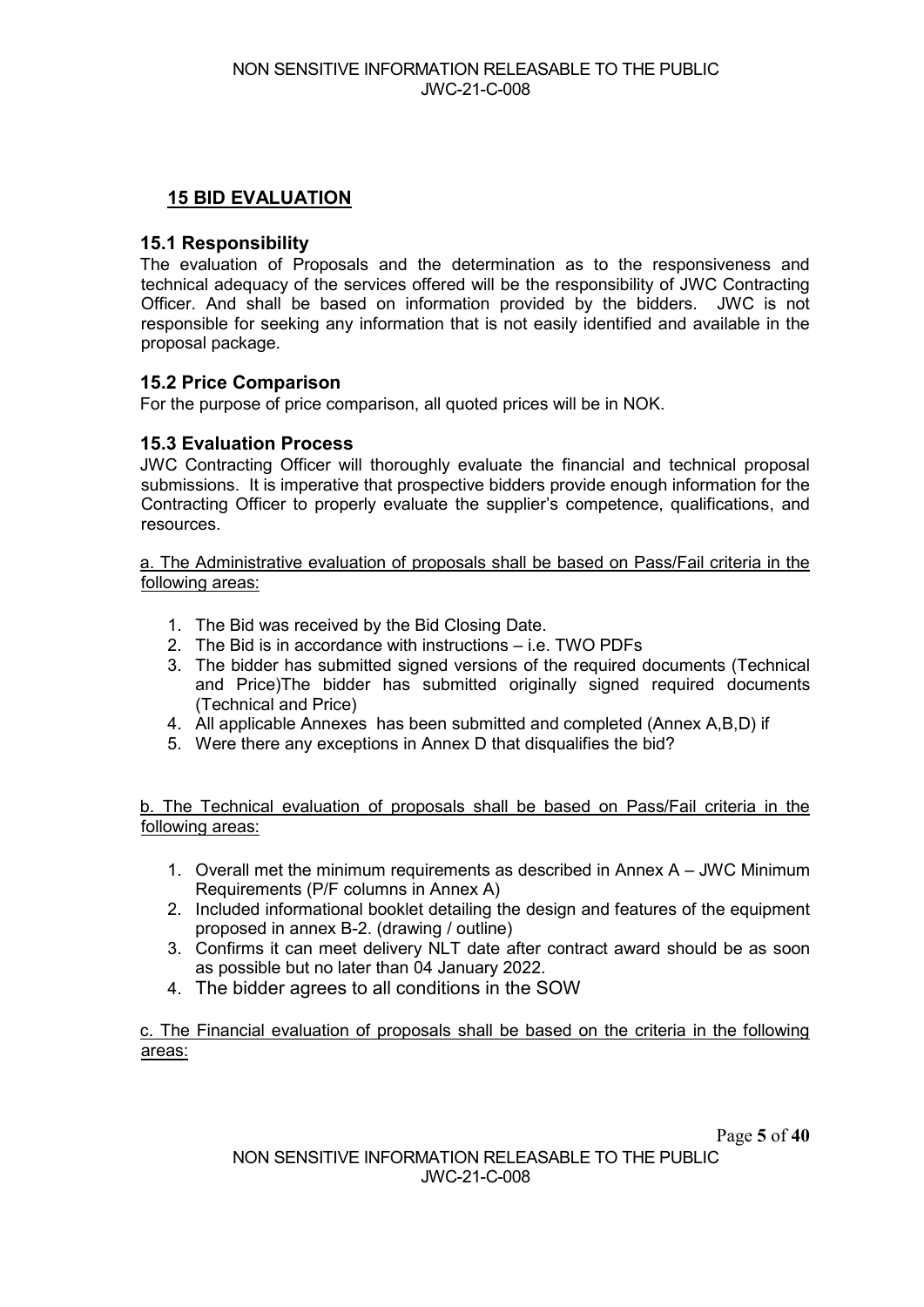## **15 BID EVALUATION**

#### **15.1 Responsibility**

The evaluation of Proposals and the determination as to the responsiveness and technical adequacy of the services offered will be the responsibility of JWC Contracting Officer. And shall be based on information provided by the bidders. JWC is not responsible for seeking any information that is not easily identified and available in the proposal package.

#### **15.2 Price Comparison**

For the purpose of price comparison, all quoted prices will be in NOK.

#### **15.3 Evaluation Process**

JWC Contracting Officer will thoroughly evaluate the financial and technical proposal submissions. It is imperative that prospective bidders provide enough information for the Contracting Officer to properly evaluate the supplier's competence, qualifications, and resources.

a. The Administrative evaluation of proposals shall be based on Pass/Fail criteria in the following areas:

- 1. The Bid was received by the Bid Closing Date.
- 2. The Bid is in accordance with instructions i.e. TWO PDFs
- 3. The bidder has submitted signed versions of the required documents (Technical and Price)The bidder has submitted originally signed required documents (Technical and Price)
- 4. All applicable Annexes has been submitted and completed (Annex A,B,D) if
- 5. Were there any exceptions in Annex D that disqualifies the bid?

b. The Technical evaluation of proposals shall be based on Pass/Fail criteria in the following areas:

- 1. Overall met the minimum requirements as described in Annex A JWC Minimum Requirements (P/F columns in Annex A)
- 2. Included informational booklet detailing the design and features of the equipment proposed in annex B-2. (drawing / outline)
- 3. Confirms it can meet delivery NLT date after contract award should be as soon as possible but no later than 04 January 2022.
- 4. The bidder agrees to all conditions in the SOW

c. The Financial evaluation of proposals shall be based on the criteria in the following areas: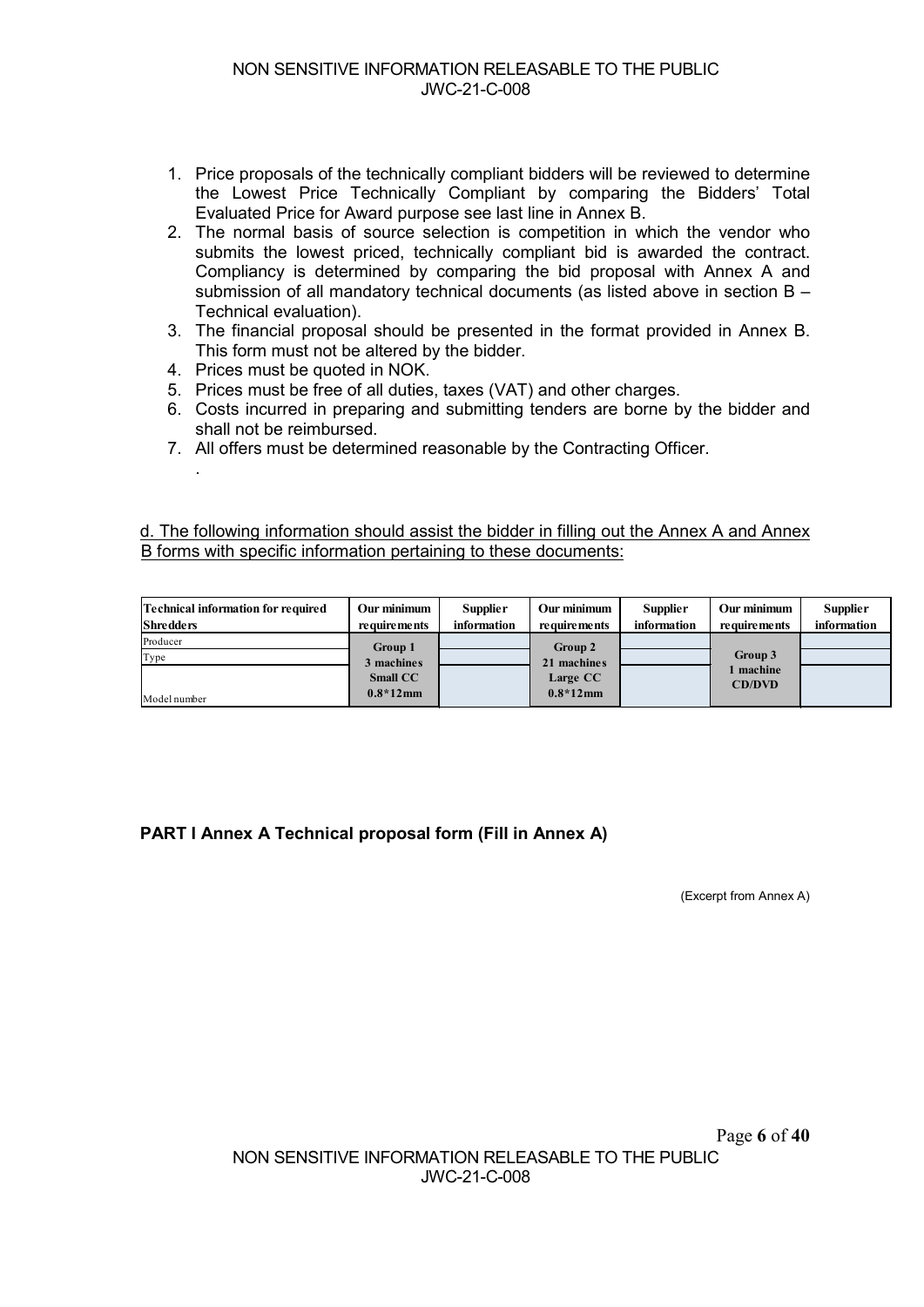- 1. Price proposals of the technically compliant bidders will be reviewed to determine the Lowest Price Technically Compliant by comparing the Bidders' Total Evaluated Price for Award purpose see last line in Annex B.
- 2. The normal basis of source selection is competition in which the vendor who submits the lowest priced, technically compliant bid is awarded the contract. Compliancy is determined by comparing the bid proposal with Annex A and submission of all mandatory technical documents (as listed above in section B – Technical evaluation).
- 3. The financial proposal should be presented in the format provided in Annex B. This form must not be altered by the bidder.
- 4. Prices must be quoted in NOK.

.

- 5. Prices must be free of all duties, taxes (VAT) and other charges.
- 6. Costs incurred in preparing and submitting tenders are borne by the bidder and shall not be reimbursed.
- 7. All offers must be determined reasonable by the Contracting Officer.

d. The following information should assist the bidder in filling out the Annex A and Annex B forms with specific information pertaining to these documents:

| <b>Technical information for required</b> | Our minimum                                             | <b>Supplier</b> | Our minimum                                       | <b>Supplier</b> | Our minimum                           | <b>Supplier</b> |
|-------------------------------------------|---------------------------------------------------------|-----------------|---------------------------------------------------|-----------------|---------------------------------------|-----------------|
| <b>Shredders</b>                          | <b>requirements</b>                                     | information     | requirements                                      | information     | requirements                          | information     |
| Producer<br>Type<br>Model number          | Group 1<br>3 machines<br><b>Small CC</b><br>$0.8*12$ mm |                 | Group 2<br>21 machines<br>Large CC<br>$0.8*12$ mm |                 | Group 3<br>l machine<br><b>CD/DVD</b> |                 |

**PART I Annex A Technical proposal form (Fill in Annex A)**

(Excerpt from Annex A)

Page **6** of **40**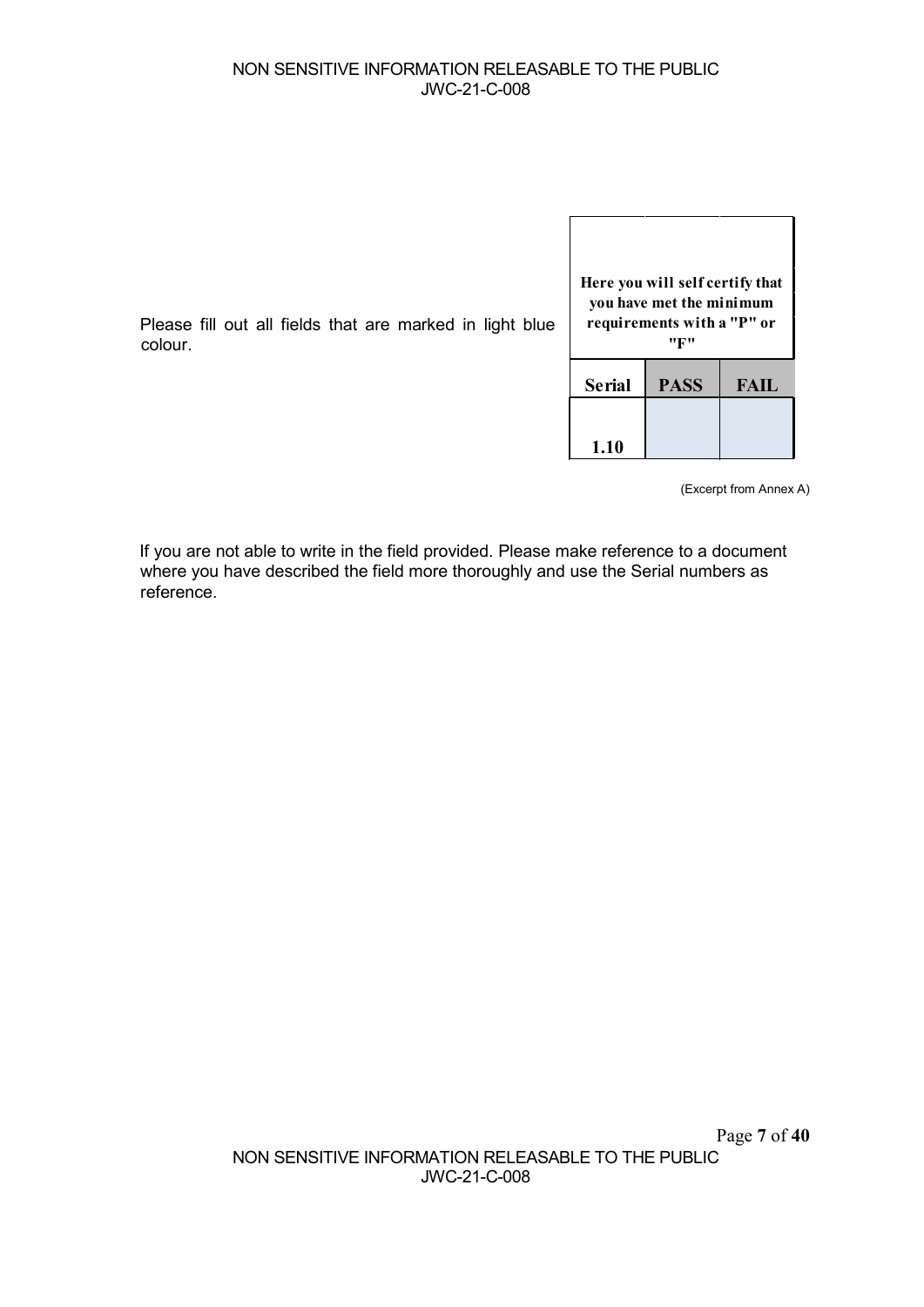#### NON SENSITIVE INFORMATION RELEASABLE TO THE PUBLIC JWC-21-C-008

 $\sqrt{ }$ 

Please fill out all fields that are marked in light blue colour.

| Here you will self certify that<br>you have met the minimum<br>requirements with a "P" or<br>''K'' |             |             |  |  |  |  |
|----------------------------------------------------------------------------------------------------|-------------|-------------|--|--|--|--|
| <b>Serial</b>                                                                                      | <b>PASS</b> | <b>FAIL</b> |  |  |  |  |
| 1.10                                                                                               |             |             |  |  |  |  |

(Excerpt from Annex A)

٦

If you are not able to write in the field provided. Please make reference to a document where you have described the field more thoroughly and use the Serial numbers as reference.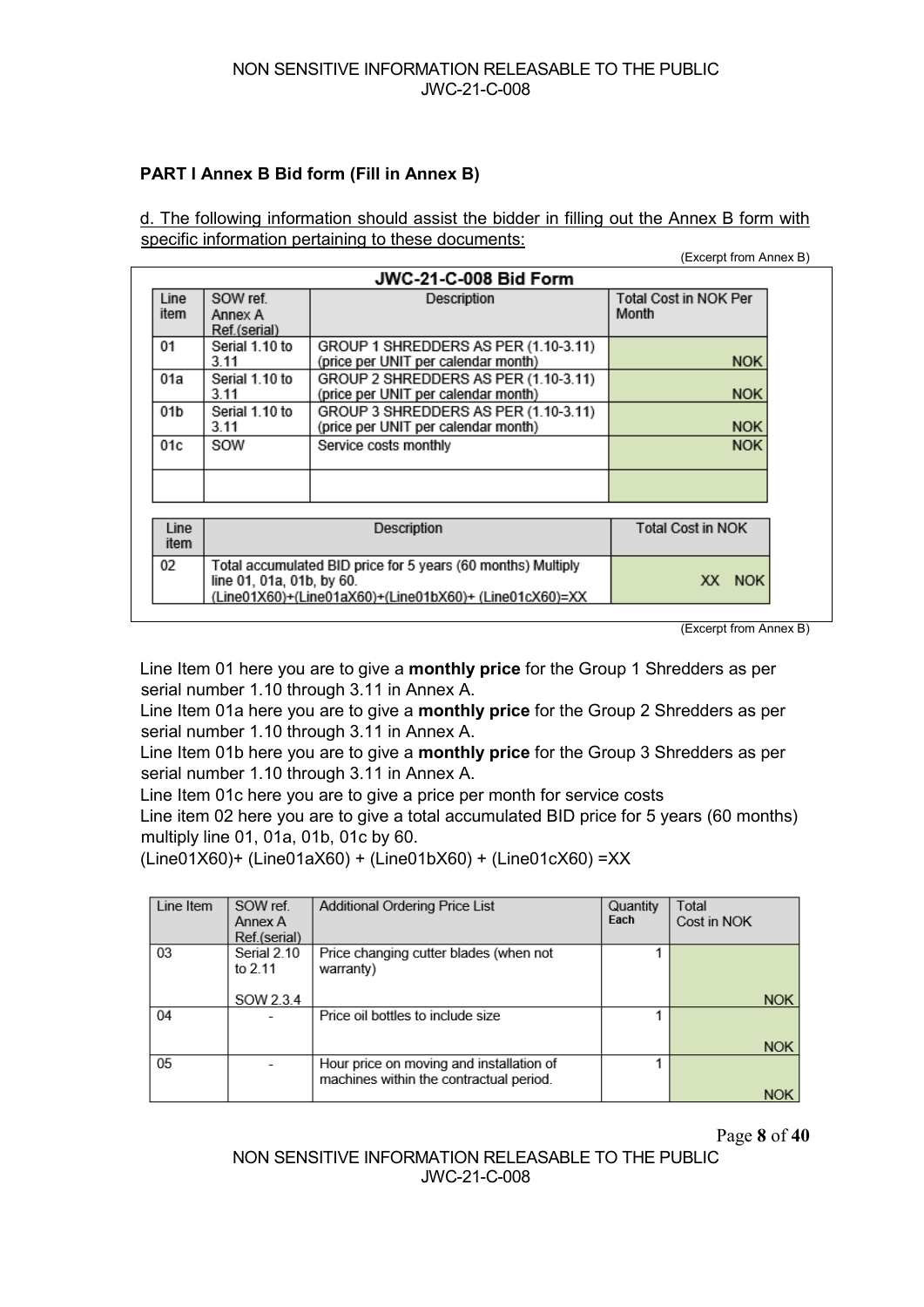## **PART I Annex B Bid form (Fill in Annex B)**

d. The following information should assist the bidder in filling out the Annex B form with specific information pertaining to these documents:

|              |                                                                                                                                                               |                                                                             | (EXCEIDI IIOIII AIIIEX D)             |  |  |  |
|--------------|---------------------------------------------------------------------------------------------------------------------------------------------------------------|-----------------------------------------------------------------------------|---------------------------------------|--|--|--|
|              |                                                                                                                                                               | JWC-21-C-008 Bid Form                                                       |                                       |  |  |  |
| Line<br>item | SOW ref.<br>Annex A<br>Ref.(serial)                                                                                                                           | Description                                                                 | <b>Total Cost in NOK Per</b><br>Month |  |  |  |
| 01           | Serial 1.10 to<br>3.11                                                                                                                                        | GROUP 1 SHREDDERS AS PER (1.10-3.11)<br>(price per UNIT per calendar month) | <b>NOK</b>                            |  |  |  |
| 01a          | Serial 1.10 to<br>3.11                                                                                                                                        | GROUP 2 SHREDDERS AS PER (1.10-3.11)<br>(price per UNIT per calendar month) | <b>NOK</b>                            |  |  |  |
| 01b          | Serial 1.10 to<br>3.11                                                                                                                                        | GROUP 3 SHREDDERS AS PER (1.10-3.11)<br>(price per UNIT per calendar month) | <b>NOK</b>                            |  |  |  |
| 01c          | SOW                                                                                                                                                           | Service costs monthly                                                       | <b>NOK</b>                            |  |  |  |
|              |                                                                                                                                                               |                                                                             |                                       |  |  |  |
| Line<br>item |                                                                                                                                                               | Description                                                                 | <b>Total Cost in NOK</b>              |  |  |  |
| 02           | Total accumulated BID price for 5 years (60 months) Multiply<br>line 01, 01a, 01b, by 60.<br>XX NOK<br>(Line01X60)+(Line01aX60)+(Line01bX60)+ (Line01cX60)=XX |                                                                             |                                       |  |  |  |

(Excerpt from Annex B)

 $(T_{\text{t}})$  cannot from Annex B)

Line Item 01 here you are to give a **monthly price** for the Group 1 Shredders as per serial number 1.10 through 3.11 in Annex A.

Line Item 01a here you are to give a **monthly price** for the Group 2 Shredders as per serial number 1.10 through 3.11 in Annex A.

Line Item 01b here you are to give a **monthly price** for the Group 3 Shredders as per serial number 1.10 through 3.11 in Annex A.

Line Item 01c here you are to give a price per month for service costs

Line item 02 here you are to give a total accumulated BID price for 5 years (60 months) multiply line 01, 01a, 01b, 01c by 60.

(Line01X60)+ (Line01aX60) + (Line01bX60) + (Line01cX60) =XX

| Line Item | SOW ref.<br>Annex A<br>Ref.(serial) | <b>Additional Ordering Price List</b>                                               | Quantity<br>Each | Total<br>Cost in NOK |
|-----------|-------------------------------------|-------------------------------------------------------------------------------------|------------------|----------------------|
| 03        | Serial 2.10<br>to 2.11              | Price changing cutter blades (when not<br>warranty)                                 |                  |                      |
|           | SOW 2.3.4                           |                                                                                     |                  | <b>NOK</b>           |
| 04        |                                     | Price oil bottles to include size                                                   |                  |                      |
|           |                                     |                                                                                     |                  | <b>NOK</b>           |
| 05        |                                     | Hour price on moving and installation of<br>machines within the contractual period. |                  |                      |
|           |                                     |                                                                                     |                  |                      |

Page **8** of **40**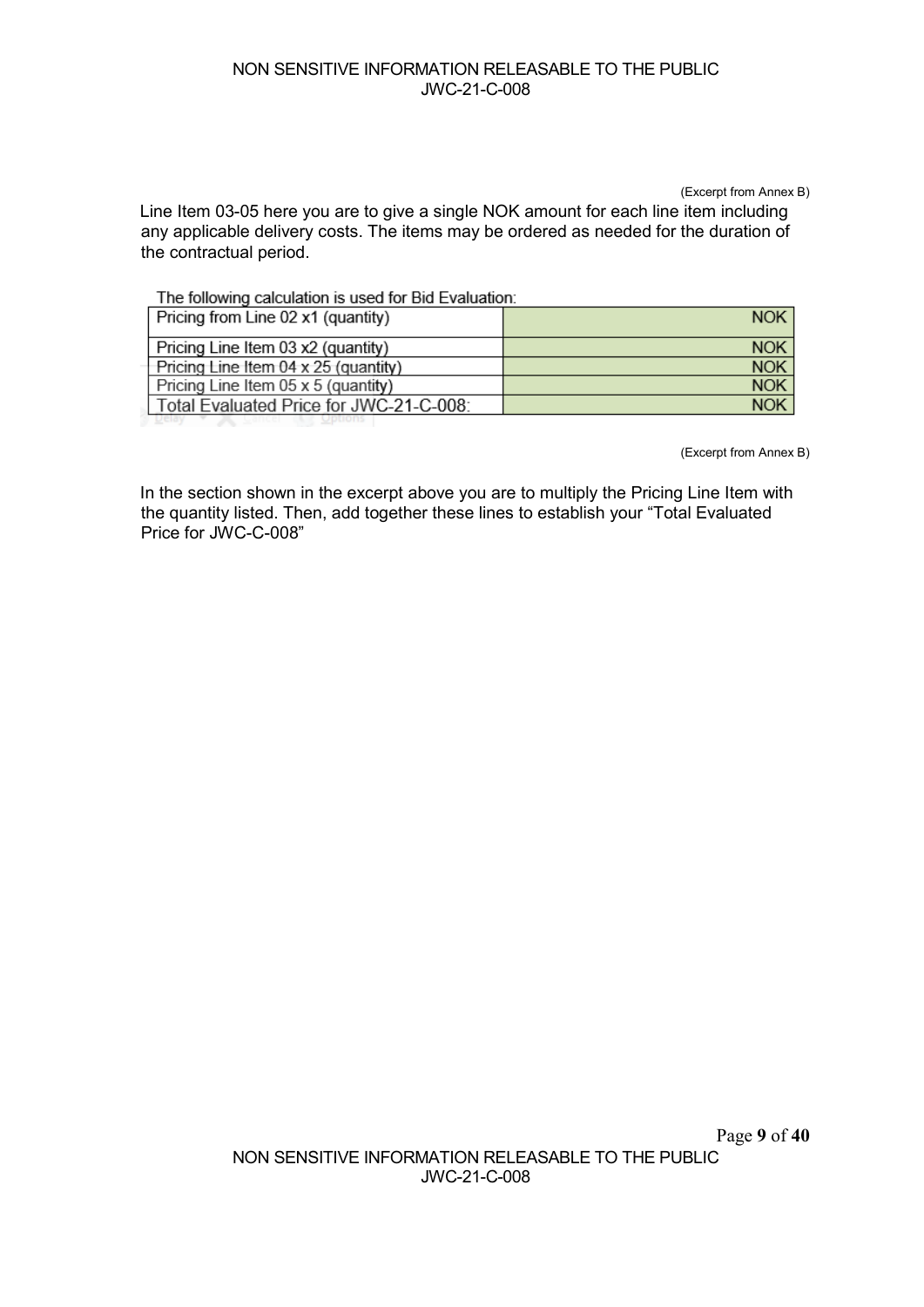(Excerpt from Annex B) Line Item 03-05 here you are to give a single NOK amount for each line item including any applicable delivery costs. The items may be ordered as needed for the duration of the contractual period.

The following calculation is used for Bid Evaluation:

| Pricing from Line 02 x1 (quantity)          | <b>NOK</b> |
|---------------------------------------------|------------|
| Pricing Line Item 03 x2 (quantity)          | <b>NOK</b> |
| Pricing Line Item $04 \times 25$ (quantity) | <b>NOK</b> |
| Pricing Line Item 05 x 5 (quantity)         | <b>NOK</b> |
| Total Evaluated Price for JWC-21-C-008:     | <b>NOK</b> |
|                                             |            |

(Excerpt from Annex B)

In the section shown in the excerpt above you are to multiply the Pricing Line Item with the quantity listed. Then, add together these lines to establish your "Total Evaluated Price for JWC-C-008"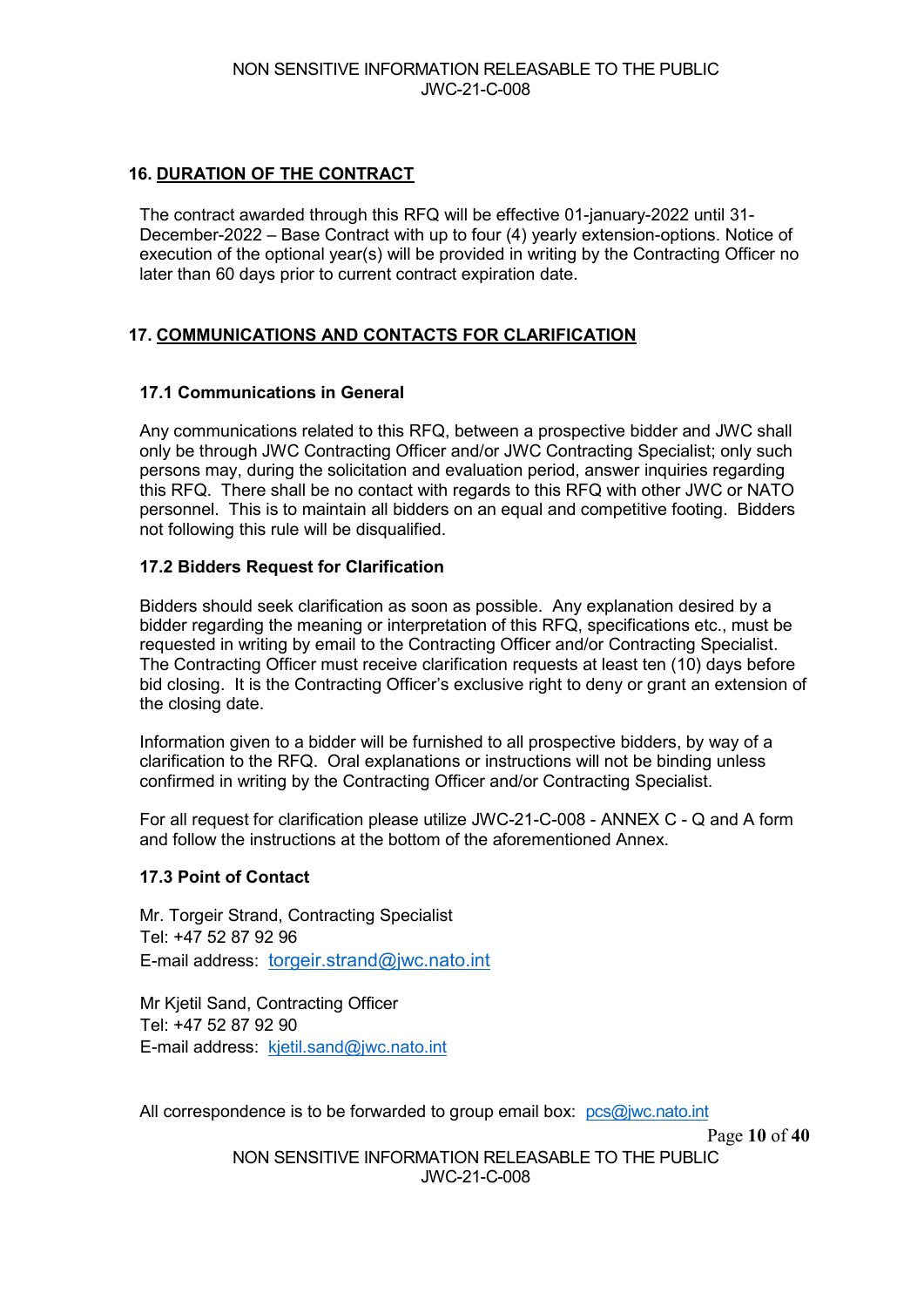#### **16. DURATION OF THE CONTRACT**

The contract awarded through this RFQ will be effective 01-january-2022 until 31- December-2022 – Base Contract with up to four (4) yearly extension-options. Notice of execution of the optional year(s) will be provided in writing by the Contracting Officer no later than 60 days prior to current contract expiration date.

#### **17. COMMUNICATIONS AND CONTACTS FOR CLARIFICATION**

#### **17.1 Communications in General**

Any communications related to this RFQ, between a prospective bidder and JWC shall only be through JWC Contracting Officer and/or JWC Contracting Specialist; only such persons may, during the solicitation and evaluation period, answer inquiries regarding this RFQ. There shall be no contact with regards to this RFQ with other JWC or NATO personnel. This is to maintain all bidders on an equal and competitive footing. Bidders not following this rule will be disqualified.

#### **17.2 Bidders Request for Clarification**

Bidders should seek clarification as soon as possible. Any explanation desired by a bidder regarding the meaning or interpretation of this RFQ, specifications etc., must be requested in writing by email to the Contracting Officer and/or Contracting Specialist. The Contracting Officer must receive clarification requests at least ten (10) days before bid closing. It is the Contracting Officer's exclusive right to deny or grant an extension of the closing date.

Information given to a bidder will be furnished to all prospective bidders, by way of a clarification to the RFQ. Oral explanations or instructions will not be binding unless confirmed in writing by the Contracting Officer and/or Contracting Specialist.

For all request for clarification please utilize JWC-21-C-008 - ANNEX C - Q and A form and follow the instructions at the bottom of the aforementioned Annex.

#### **17.3 Point of Contact**

Mr. Torgeir Strand, Contracting Specialist Tel: +47 52 87 92 96 E-mail address: [torgeir.strand@jwc.nato.int](mailto:torgeir.strand@jwc.nato.int)

Mr Kjetil Sand, Contracting Officer Tel: +47 52 87 92 90 E-mail address: [kjetil.sand@jwc.nato.int](mailto:kjetil.sand@jwc.nato.int) 

All correspondence is to be forwarded to group email box: [pcs@jwc.nato.int](mailto:pcs@jwc.nato.int)

Page **10** of **40**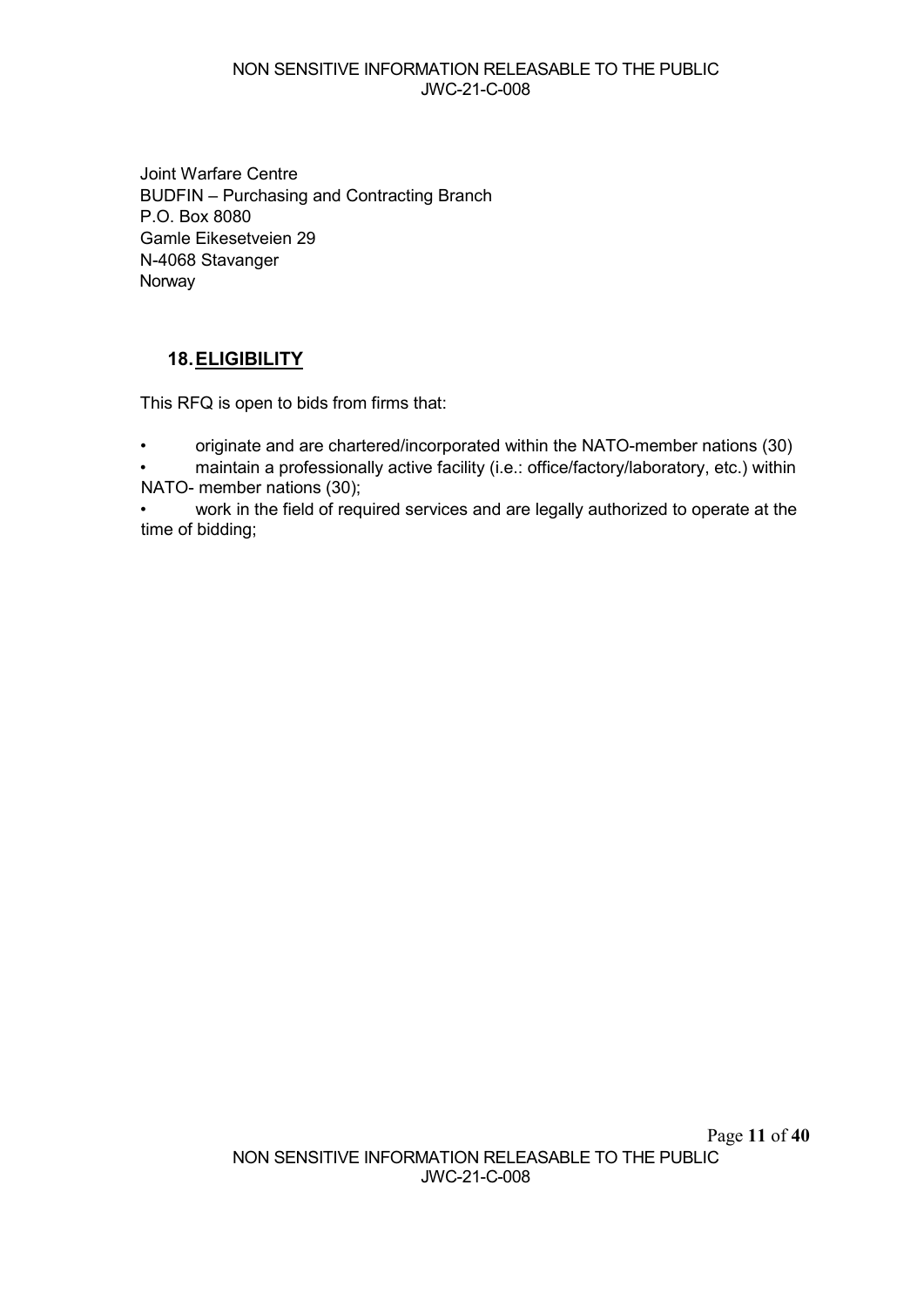#### NON SENSITIVE INFORMATION RELEASABLE TO THE PUBLIC JWC-21-C-008

Joint Warfare Centre BUDFIN – Purchasing and Contracting Branch P.O. Box 8080 Gamle Eikesetveien 29 N-4068 Stavanger Norway

## **18.ELIGIBILITY**

This RFQ is open to bids from firms that:

- originate and are chartered/incorporated within the NATO-member nations (30)
- maintain a professionally active facility (i.e.: office/factory/laboratory, etc.) within NATO- member nations (30);
- work in the field of required services and are legally authorized to operate at the time of bidding;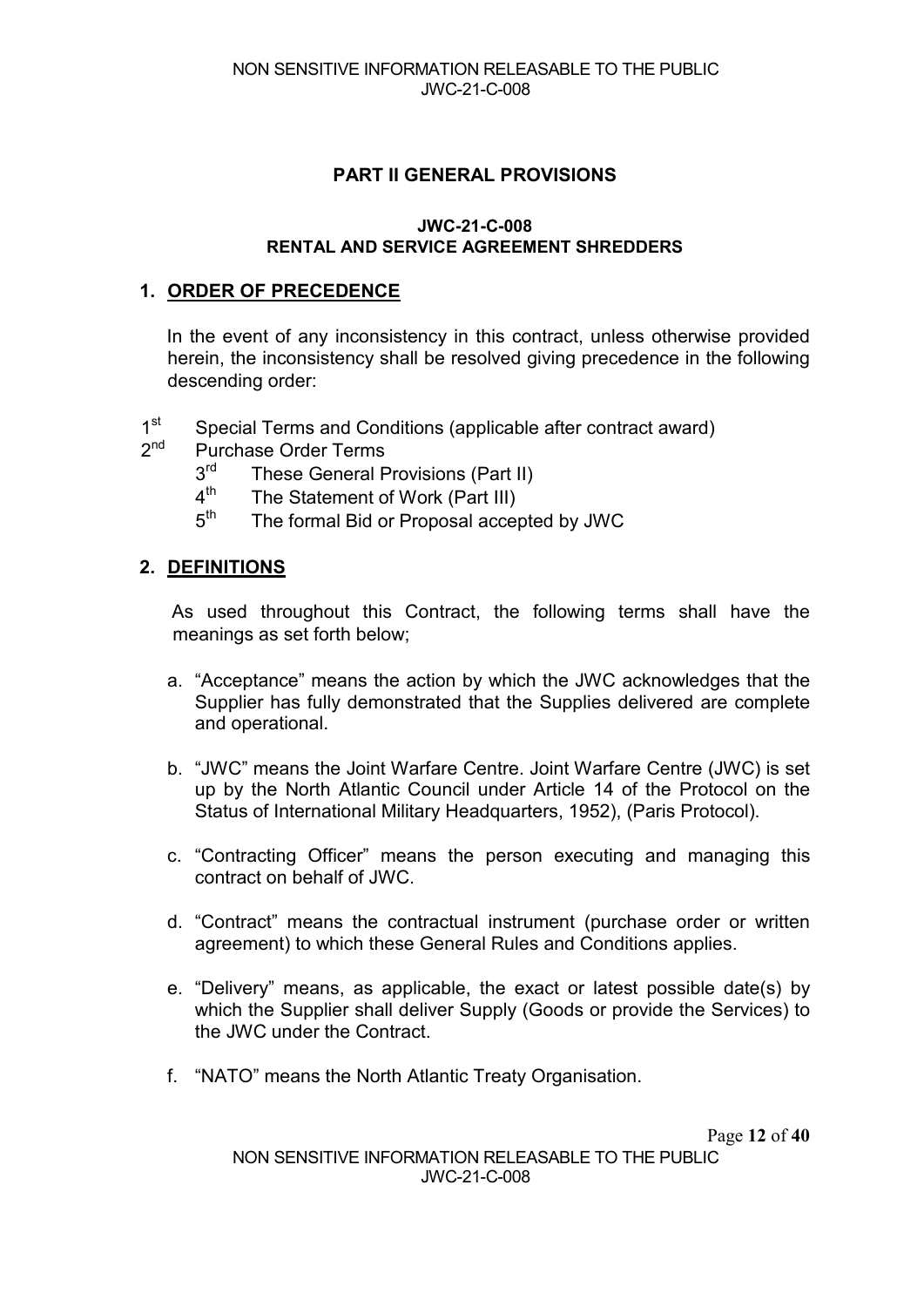## **PART II GENERAL PROVISIONS**

#### **JWC-21-C-008 RENTAL AND SERVICE AGREEMENT SHREDDERS**

#### **1. ORDER OF PRECEDENCE**

In the event of any inconsistency in this contract, unless otherwise provided herein, the inconsistency shall be resolved giving precedence in the following descending order:

- 1<sup>st</sup> Special Terms and Conditions (applicable after contract award)
- 2<sup>nd</sup> Purchase Order Terms
	- $3<sup>rd</sup>$  These General Provisions (Part II)<br> $4<sup>th</sup>$  The Statement of Work (Part III)
	- $4<sup>th</sup>$  The Statement of Work (Part III)<br> $5<sup>th</sup>$  The formal Bid or Proposal accel
	- The formal Bid or Proposal accepted by JWC

#### **2. DEFINITIONS**

As used throughout this Contract, the following terms shall have the meanings as set forth below;

- a. "Acceptance" means the action by which the JWC acknowledges that the Supplier has fully demonstrated that the Supplies delivered are complete and operational.
- b. "JWC" means the Joint Warfare Centre. Joint Warfare Centre (JWC) is set up by the North Atlantic Council under Article 14 of the Protocol on the Status of International Military Headquarters, 1952), (Paris Protocol).
- c. "Contracting Officer" means the person executing and managing this contract on behalf of JWC.
- d. "Contract" means the contractual instrument (purchase order or written agreement) to which these General Rules and Conditions applies.
- e. "Delivery" means, as applicable, the exact or latest possible date(s) by which the Supplier shall deliver Supply (Goods or provide the Services) to the JWC under the Contract.
- f. "NATO" means the North Atlantic Treaty Organisation.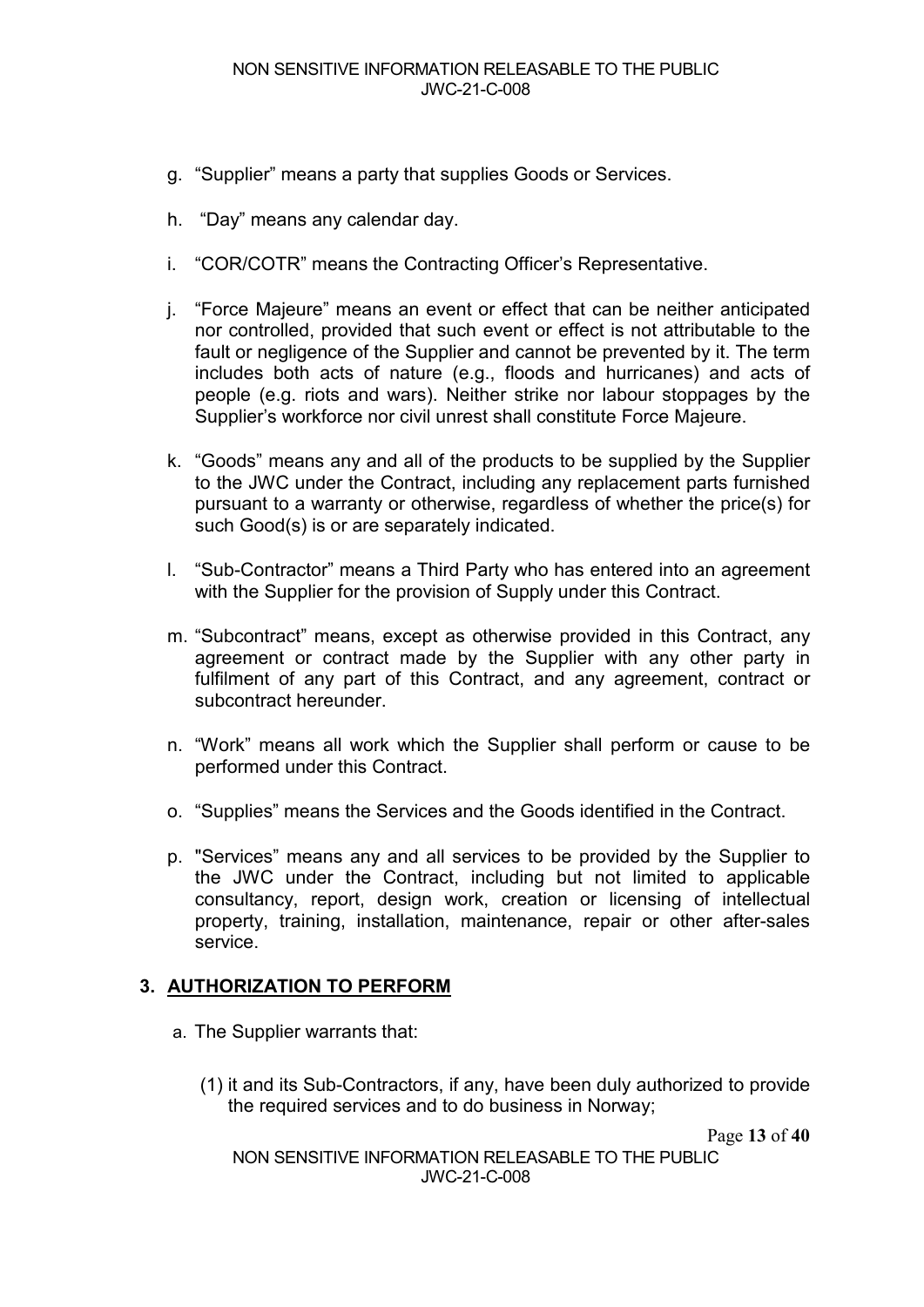- g. "Supplier" means a party that supplies Goods or Services.
- h. "Day" means any calendar day.
- i. "COR/COTR" means the Contracting Officer's Representative.
- j. "Force Majeure" means an event or effect that can be neither anticipated nor controlled, provided that such event or effect is not attributable to the fault or negligence of the Supplier and cannot be prevented by it. The term includes both acts of nature (e.g., floods and hurricanes) and acts of people (e.g. riots and wars). Neither strike nor labour stoppages by the Supplier's workforce nor civil unrest shall constitute Force Majeure.
- k. "Goods" means any and all of the products to be supplied by the Supplier to the JWC under the Contract, including any replacement parts furnished pursuant to a warranty or otherwise, regardless of whether the price(s) for such Good(s) is or are separately indicated.
- l. "Sub-Contractor" means a Third Party who has entered into an agreement with the Supplier for the provision of Supply under this Contract.
- m. "Subcontract" means, except as otherwise provided in this Contract, any agreement or contract made by the Supplier with any other party in fulfilment of any part of this Contract, and any agreement, contract or subcontract hereunder.
- n. "Work" means all work which the Supplier shall perform or cause to be performed under this Contract.
- o. "Supplies" means the Services and the Goods identified in the Contract.
- p. "Services" means any and all services to be provided by the Supplier to the JWC under the Contract, including but not limited to applicable consultancy, report, design work, creation or licensing of intellectual property, training, installation, maintenance, repair or other after-sales service.

## **3. AUTHORIZATION TO PERFORM**

- a. The Supplier warrants that:
	- (1) it and its Sub-Contractors, if any, have been duly authorized to provide the required services and to do business in Norway;

Page **13** of **40**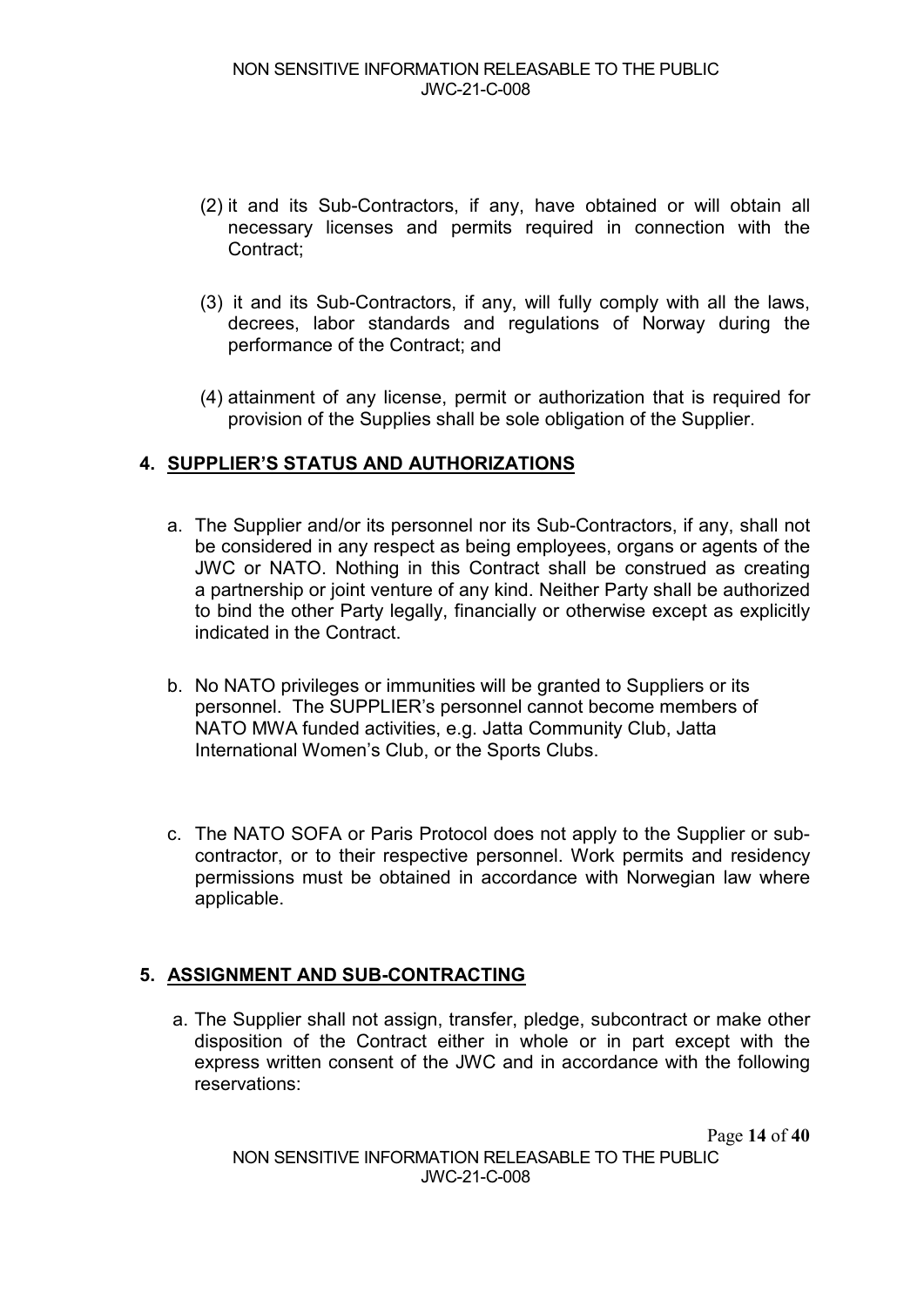- (2) it and its Sub-Contractors, if any, have obtained or will obtain all necessary licenses and permits required in connection with the Contract:
- (3) it and its Sub-Contractors, if any, will fully comply with all the laws, decrees, labor standards and regulations of Norway during the performance of the Contract; and
- (4) attainment of any license, permit or authorization that is required for provision of the Supplies shall be sole obligation of the Supplier.

## **4. SUPPLIER'S STATUS AND AUTHORIZATIONS**

- a. The Supplier and/or its personnel nor its Sub-Contractors, if any, shall not be considered in any respect as being employees, organs or agents of the JWC or NATO. Nothing in this Contract shall be construed as creating a partnership or joint venture of any kind. Neither Party shall be authorized to bind the other Party legally, financially or otherwise except as explicitly indicated in the Contract.
- b. No NATO privileges or immunities will be granted to Suppliers or its personnel. The SUPPLIER's personnel cannot become members of NATO MWA funded activities, e.g. Jatta Community Club, Jatta International Women's Club, or the Sports Clubs.
- c. The NATO SOFA or Paris Protocol does not apply to the Supplier or subcontractor, or to their respective personnel. Work permits and residency permissions must be obtained in accordance with Norwegian law where applicable.

## **5. ASSIGNMENT AND SUB-CONTRACTING**

a. The Supplier shall not assign, transfer, pledge, subcontract or make other disposition of the Contract either in whole or in part except with the express written consent of the JWC and in accordance with the following reservations: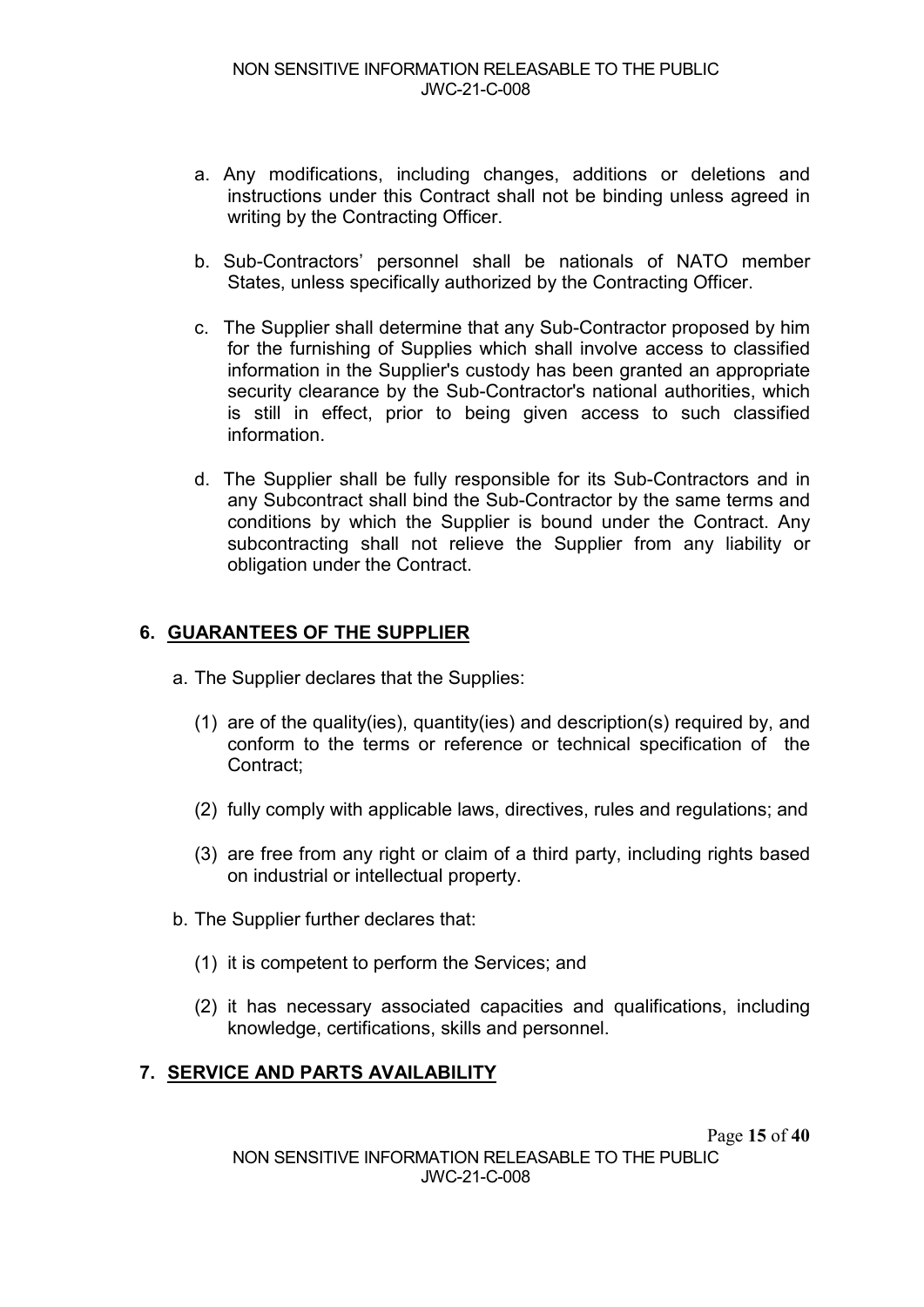- a. Any modifications, including changes, additions or deletions and instructions under this Contract shall not be binding unless agreed in writing by the Contracting Officer.
- b. Sub-Contractors' personnel shall be nationals of NATO member States, unless specifically authorized by the Contracting Officer.
- c. The Supplier shall determine that any Sub-Contractor proposed by him for the furnishing of Supplies which shall involve access to classified information in the Supplier's custody has been granted an appropriate security clearance by the Sub-Contractor's national authorities, which is still in effect, prior to being given access to such classified information.
- d. The Supplier shall be fully responsible for its Sub-Contractors and in any Subcontract shall bind the Sub-Contractor by the same terms and conditions by which the Supplier is bound under the Contract. Any subcontracting shall not relieve the Supplier from any liability or obligation under the Contract.

## **6. GUARANTEES OF THE SUPPLIER**

- a. The Supplier declares that the Supplies:
	- (1) are of the quality(ies), quantity(ies) and description(s) required by, and conform to the terms or reference or technical specification of the Contract;
	- (2) fully comply with applicable laws, directives, rules and regulations; and
	- (3) are free from any right or claim of a third party, including rights based on industrial or intellectual property.
- b. The Supplier further declares that:
	- (1) it is competent to perform the Services; and
	- (2) it has necessary associated capacities and qualifications, including knowledge, certifications, skills and personnel.

## **7. SERVICE AND PARTS AVAILABILITY**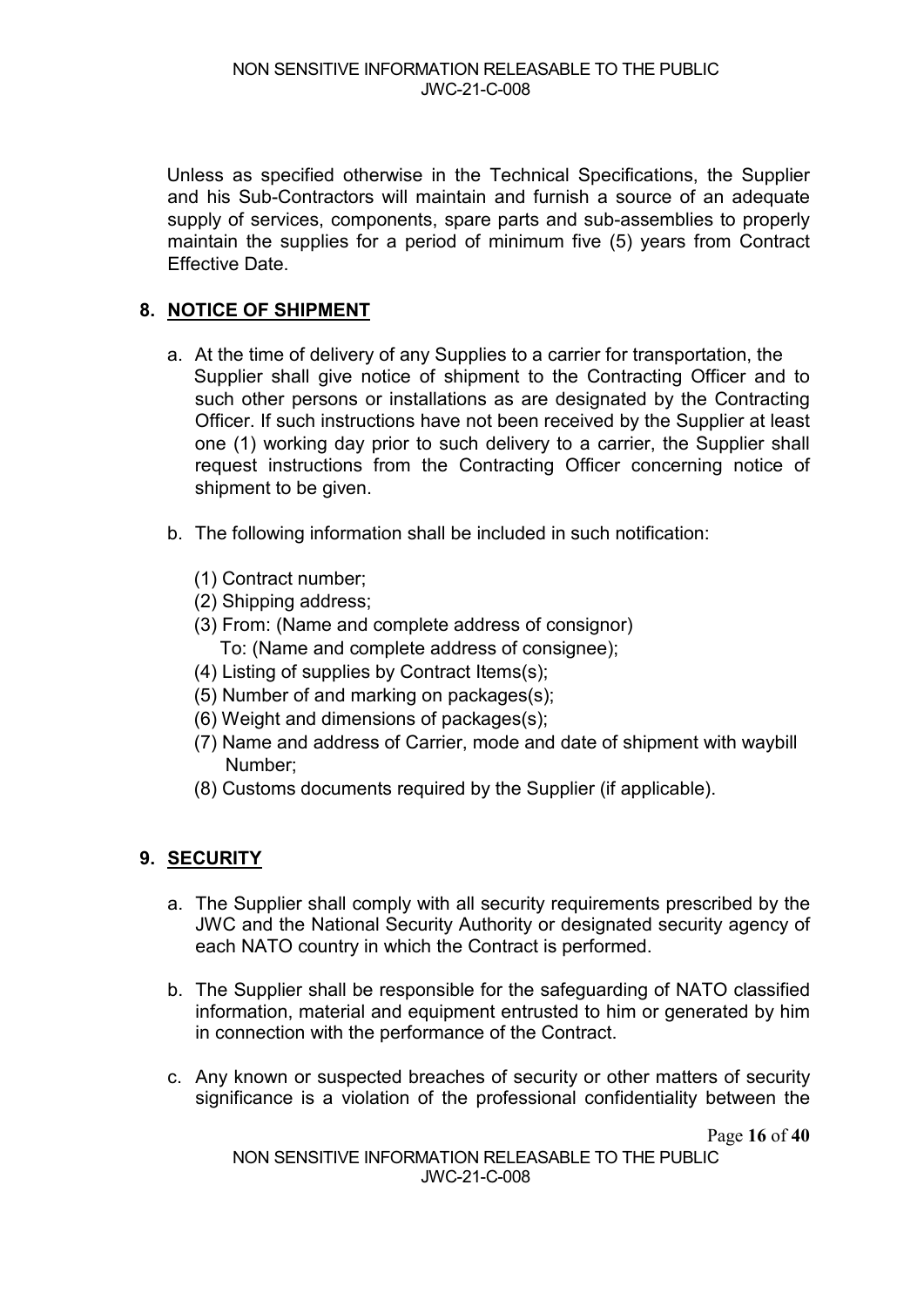Unless as specified otherwise in the Technical Specifications, the Supplier and his Sub-Contractors will maintain and furnish a source of an adequate supply of services, components, spare parts and sub-assemblies to properly maintain the supplies for a period of minimum five (5) years from Contract Effective Date.

## **8. NOTICE OF SHIPMENT**

- a. At the time of delivery of any Supplies to a carrier for transportation, the Supplier shall give notice of shipment to the Contracting Officer and to such other persons or installations as are designated by the Contracting Officer. If such instructions have not been received by the Supplier at least one (1) working day prior to such delivery to a carrier, the Supplier shall request instructions from the Contracting Officer concerning notice of shipment to be given.
- b. The following information shall be included in such notification:
	- (1) Contract number;
	- (2) Shipping address;
	- (3) From: (Name and complete address of consignor) To: (Name and complete address of consignee);
	- (4) Listing of supplies by Contract Items(s);
	- (5) Number of and marking on packages(s);
	- (6) Weight and dimensions of packages(s);
	- (7) Name and address of Carrier, mode and date of shipment with waybill Number;
	- (8) Customs documents required by the Supplier (if applicable).

## **9. SECURITY**

- a. The Supplier shall comply with all security requirements prescribed by the JWC and the National Security Authority or designated security agency of each NATO country in which the Contract is performed.
- b. The Supplier shall be responsible for the safeguarding of NATO classified information, material and equipment entrusted to him or generated by him in connection with the performance of the Contract.
- c. Any known or suspected breaches of security or other matters of security significance is a violation of the professional confidentiality between the

Page **16** of **40**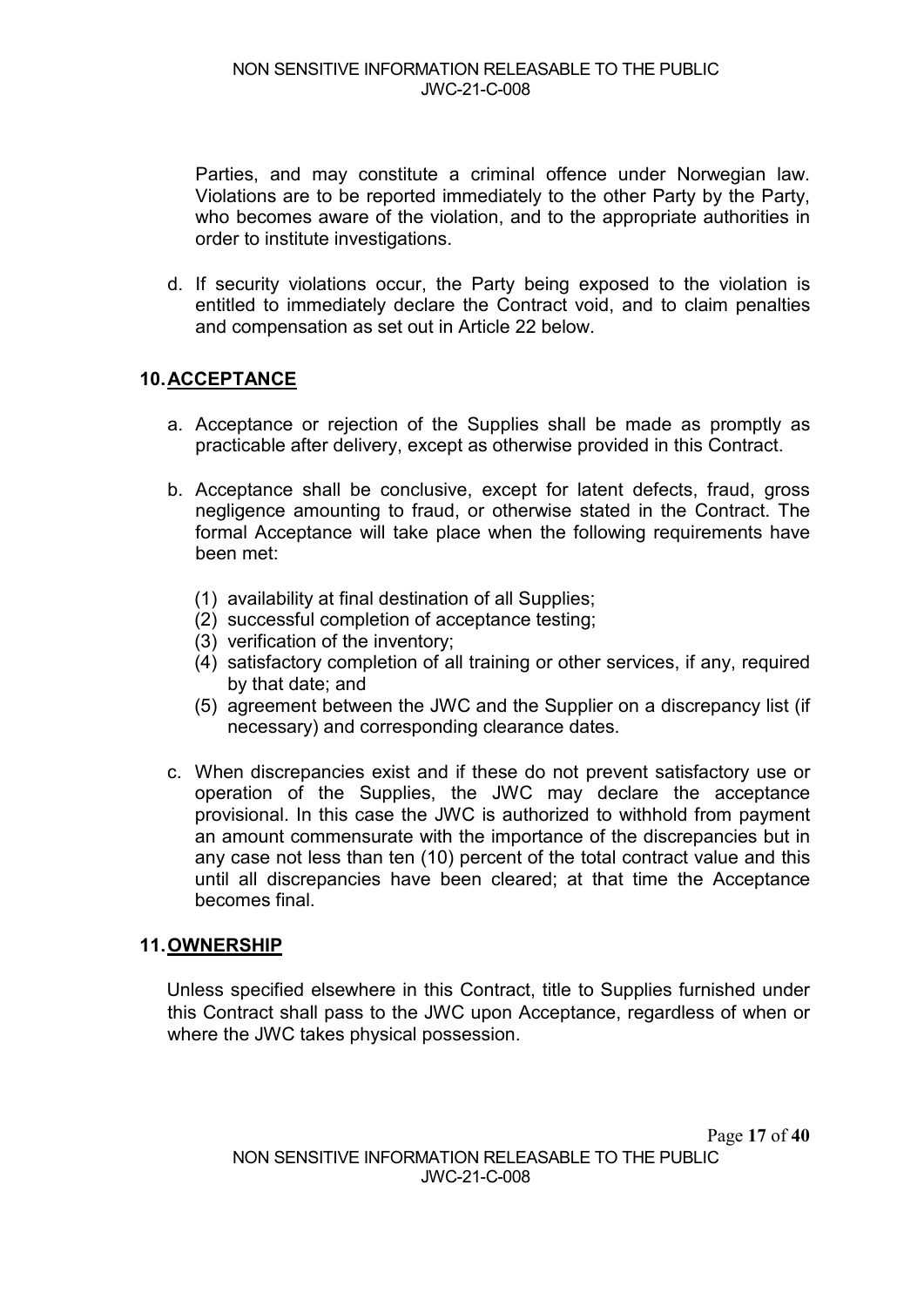Parties, and may constitute a criminal offence under Norwegian law. Violations are to be reported immediately to the other Party by the Party, who becomes aware of the violation, and to the appropriate authorities in order to institute investigations.

d. If security violations occur, the Party being exposed to the violation is entitled to immediately declare the Contract void, and to claim penalties and compensation as set out in Article 22 below.

## **10.ACCEPTANCE**

- a. Acceptance or rejection of the Supplies shall be made as promptly as practicable after delivery, except as otherwise provided in this Contract.
- b. Acceptance shall be conclusive, except for latent defects, fraud, gross negligence amounting to fraud, or otherwise stated in the Contract. The formal Acceptance will take place when the following requirements have been met:
	- (1) availability at final destination of all Supplies;
	- (2) successful completion of acceptance testing;
	- (3) verification of the inventory;
	- (4) satisfactory completion of all training or other services, if any, required by that date; and
	- (5) agreement between the JWC and the Supplier on a discrepancy list (if necessary) and corresponding clearance dates.
- c. When discrepancies exist and if these do not prevent satisfactory use or operation of the Supplies, the JWC may declare the acceptance provisional. In this case the JWC is authorized to withhold from payment an amount commensurate with the importance of the discrepancies but in any case not less than ten (10) percent of the total contract value and this until all discrepancies have been cleared; at that time the Acceptance becomes final.

#### **11.OWNERSHIP**

Unless specified elsewhere in this Contract, title to Supplies furnished under this Contract shall pass to the JWC upon Acceptance, regardless of when or where the JWC takes physical possession.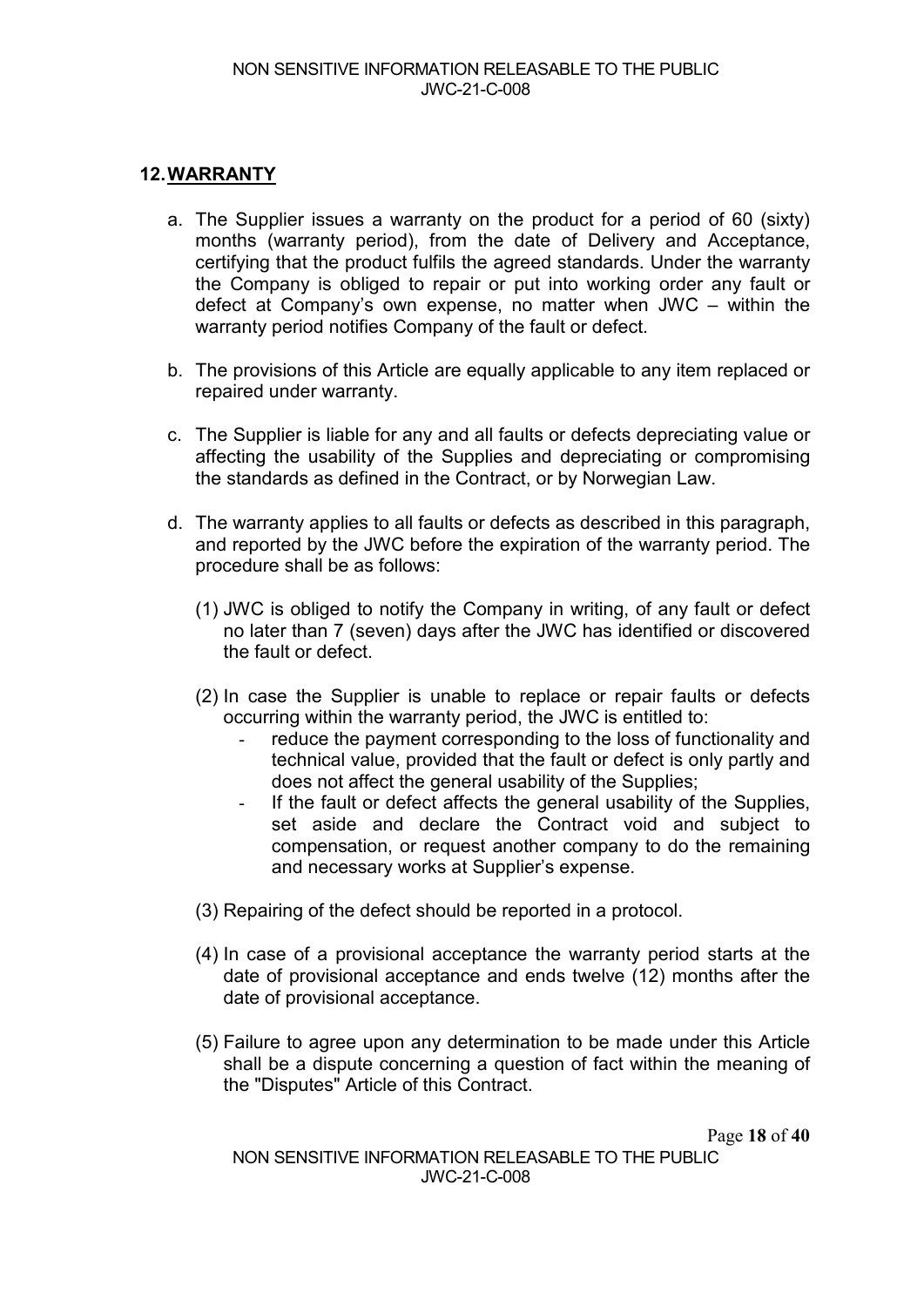## **12.WARRANTY**

- a. The Supplier issues a warranty on the product for a period of 60 (sixty) months (warranty period), from the date of Delivery and Acceptance, certifying that the product fulfils the agreed standards. Under the warranty the Company is obliged to repair or put into working order any fault or defect at Company's own expense, no matter when JWC – within the warranty period notifies Company of the fault or defect.
- b. The provisions of this Article are equally applicable to any item replaced or repaired under warranty.
- c. The Supplier is liable for any and all faults or defects depreciating value or affecting the usability of the Supplies and depreciating or compromising the standards as defined in the Contract, or by Norwegian Law.
- d. The warranty applies to all faults or defects as described in this paragraph, and reported by the JWC before the expiration of the warranty period. The procedure shall be as follows:
	- (1) JWC is obliged to notify the Company in writing, of any fault or defect no later than 7 (seven) days after the JWC has identified or discovered the fault or defect.
	- (2) In case the Supplier is unable to replace or repair faults or defects occurring within the warranty period, the JWC is entitled to:
		- reduce the payment corresponding to the loss of functionality and technical value, provided that the fault or defect is only partly and does not affect the general usability of the Supplies;
		- If the fault or defect affects the general usability of the Supplies, set aside and declare the Contract void and subject to compensation, or request another company to do the remaining and necessary works at Supplier's expense.
	- (3) Repairing of the defect should be reported in a protocol.
	- (4) In case of a provisional acceptance the warranty period starts at the date of provisional acceptance and ends twelve (12) months after the date of provisional acceptance.
	- (5) Failure to agree upon any determination to be made under this Article shall be a dispute concerning a question of fact within the meaning of the "Disputes" Article of this Contract.

Page **18** of **40**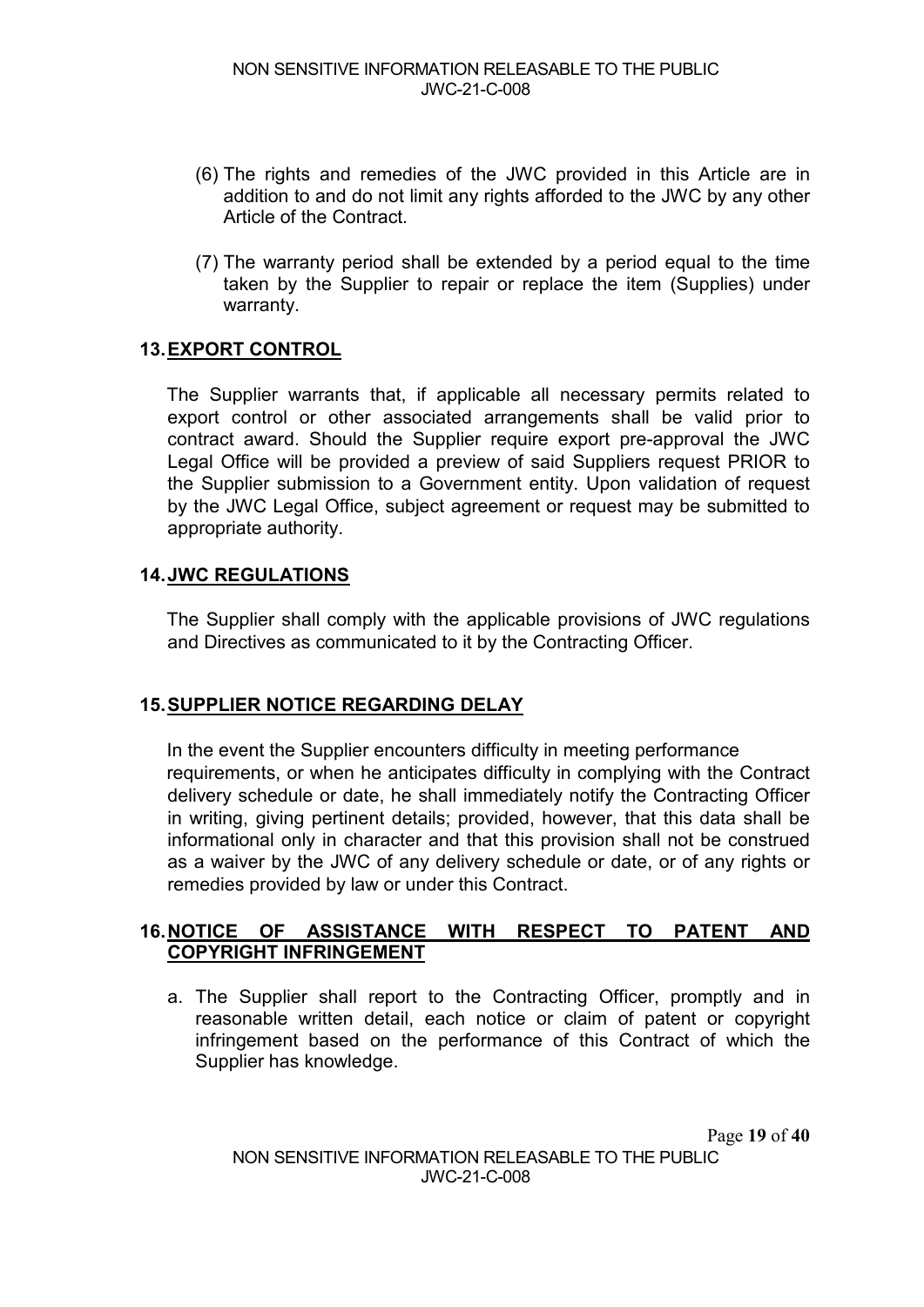- (6) The rights and remedies of the JWC provided in this Article are in addition to and do not limit any rights afforded to the JWC by any other Article of the Contract.
- (7) The warranty period shall be extended by a period equal to the time taken by the Supplier to repair or replace the item (Supplies) under warranty.

## **13.EXPORT CONTROL**

The Supplier warrants that, if applicable all necessary permits related to export control or other associated arrangements shall be valid prior to contract award. Should the Supplier require export pre-approval the JWC Legal Office will be provided a preview of said Suppliers request PRIOR to the Supplier submission to a Government entity. Upon validation of request by the JWC Legal Office, subject agreement or request may be submitted to appropriate authority.

## **14.JWC REGULATIONS**

The Supplier shall comply with the applicable provisions of JWC regulations and Directives as communicated to it by the Contracting Officer.

## **15.SUPPLIER NOTICE REGARDING DELAY**

In the event the Supplier encounters difficulty in meeting performance requirements, or when he anticipates difficulty in complying with the Contract delivery schedule or date, he shall immediately notify the Contracting Officer in writing, giving pertinent details; provided, however, that this data shall be informational only in character and that this provision shall not be construed as a waiver by the JWC of any delivery schedule or date, or of any rights or remedies provided by law or under this Contract.

## **16.NOTICE OF ASSISTANCE WITH RESPECT TO PATENT AND COPYRIGHT INFRINGEMENT**

a. The Supplier shall report to the Contracting Officer, promptly and in reasonable written detail, each notice or claim of patent or copyright infringement based on the performance of this Contract of which the Supplier has knowledge.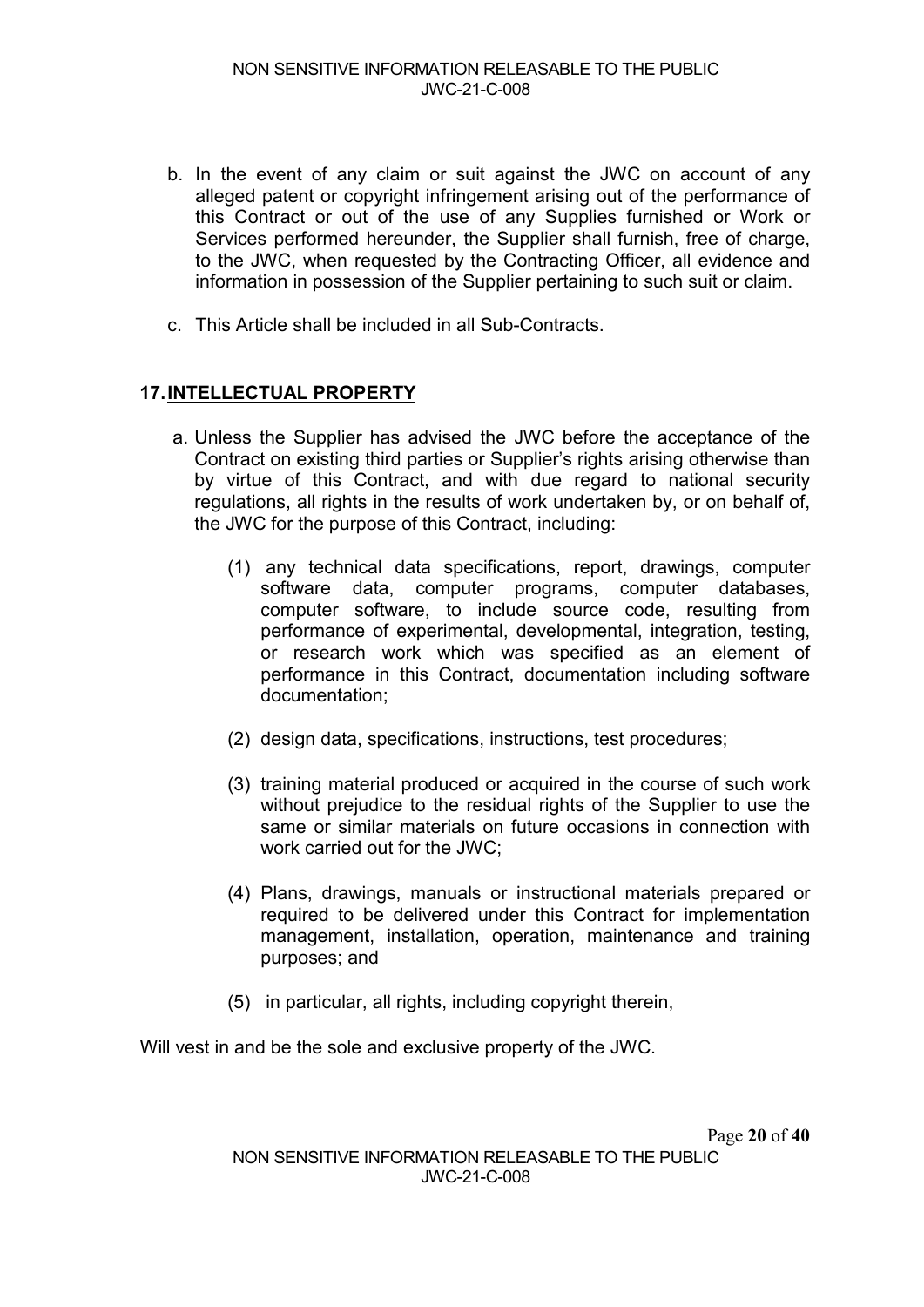- b. In the event of any claim or suit against the JWC on account of any alleged patent or copyright infringement arising out of the performance of this Contract or out of the use of any Supplies furnished or Work or Services performed hereunder, the Supplier shall furnish, free of charge, to the JWC, when requested by the Contracting Officer, all evidence and information in possession of the Supplier pertaining to such suit or claim.
- c. This Article shall be included in all Sub-Contracts.

## **17.INTELLECTUAL PROPERTY**

- a. Unless the Supplier has advised the JWC before the acceptance of the Contract on existing third parties or Supplier's rights arising otherwise than by virtue of this Contract, and with due regard to national security regulations, all rights in the results of work undertaken by, or on behalf of, the JWC for the purpose of this Contract, including:
	- (1) any technical data specifications, report, drawings, computer software data, computer programs, computer databases, computer software, to include source code, resulting from performance of experimental, developmental, integration, testing, or research work which was specified as an element of performance in this Contract, documentation including software documentation;
	- (2) design data, specifications, instructions, test procedures;
	- (3) training material produced or acquired in the course of such work without prejudice to the residual rights of the Supplier to use the same or similar materials on future occasions in connection with work carried out for the JWC;
	- (4) Plans, drawings, manuals or instructional materials prepared or required to be delivered under this Contract for implementation management, installation, operation, maintenance and training purposes; and
	- (5) in particular, all rights, including copyright therein,

Will vest in and be the sole and exclusive property of the JWC.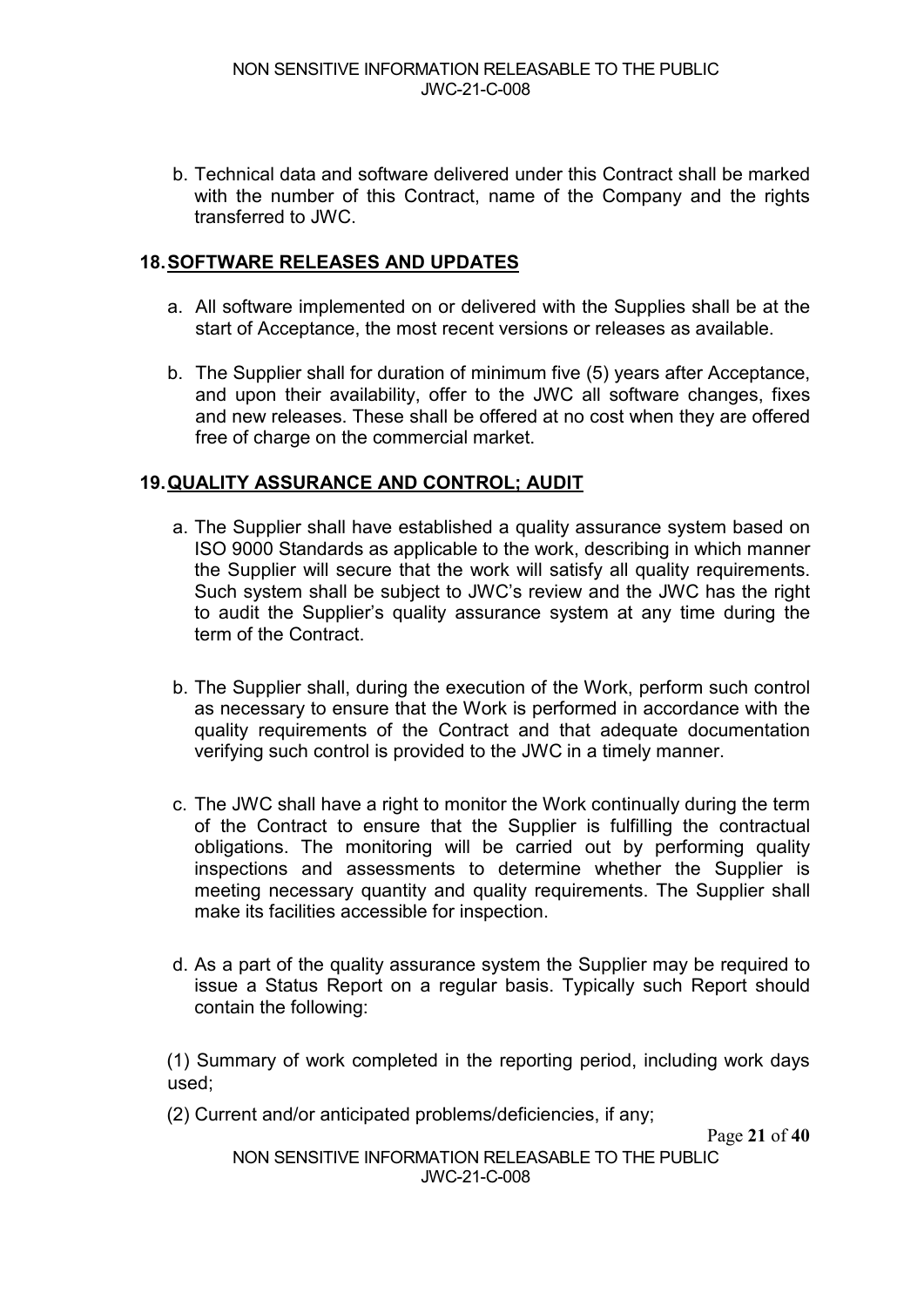b. Technical data and software delivered under this Contract shall be marked with the number of this Contract, name of the Company and the rights transferred to JWC.

## **18.SOFTWARE RELEASES AND UPDATES**

- a. All software implemented on or delivered with the Supplies shall be at the start of Acceptance, the most recent versions or releases as available.
- b. The Supplier shall for duration of minimum five (5) years after Acceptance, and upon their availability, offer to the JWC all software changes, fixes and new releases. These shall be offered at no cost when they are offered free of charge on the commercial market.

## **19.QUALITY ASSURANCE AND CONTROL; AUDIT**

- a. The Supplier shall have established a quality assurance system based on ISO 9000 Standards as applicable to the work, describing in which manner the Supplier will secure that the work will satisfy all quality requirements. Such system shall be subject to JWC's review and the JWC has the right to audit the Supplier's quality assurance system at any time during the term of the Contract.
- b. The Supplier shall, during the execution of the Work, perform such control as necessary to ensure that the Work is performed in accordance with the quality requirements of the Contract and that adequate documentation verifying such control is provided to the JWC in a timely manner.
- c. The JWC shall have a right to monitor the Work continually during the term of the Contract to ensure that the Supplier is fulfilling the contractual obligations. The monitoring will be carried out by performing quality inspections and assessments to determine whether the Supplier is meeting necessary quantity and quality requirements. The Supplier shall make its facilities accessible for inspection.
- d. As a part of the quality assurance system the Supplier may be required to issue a Status Report on a regular basis. Typically such Report should contain the following:

(1) Summary of work completed in the reporting period, including work days used;

(2) Current and/or anticipated problems/deficiencies, if any;

Page **21** of **40**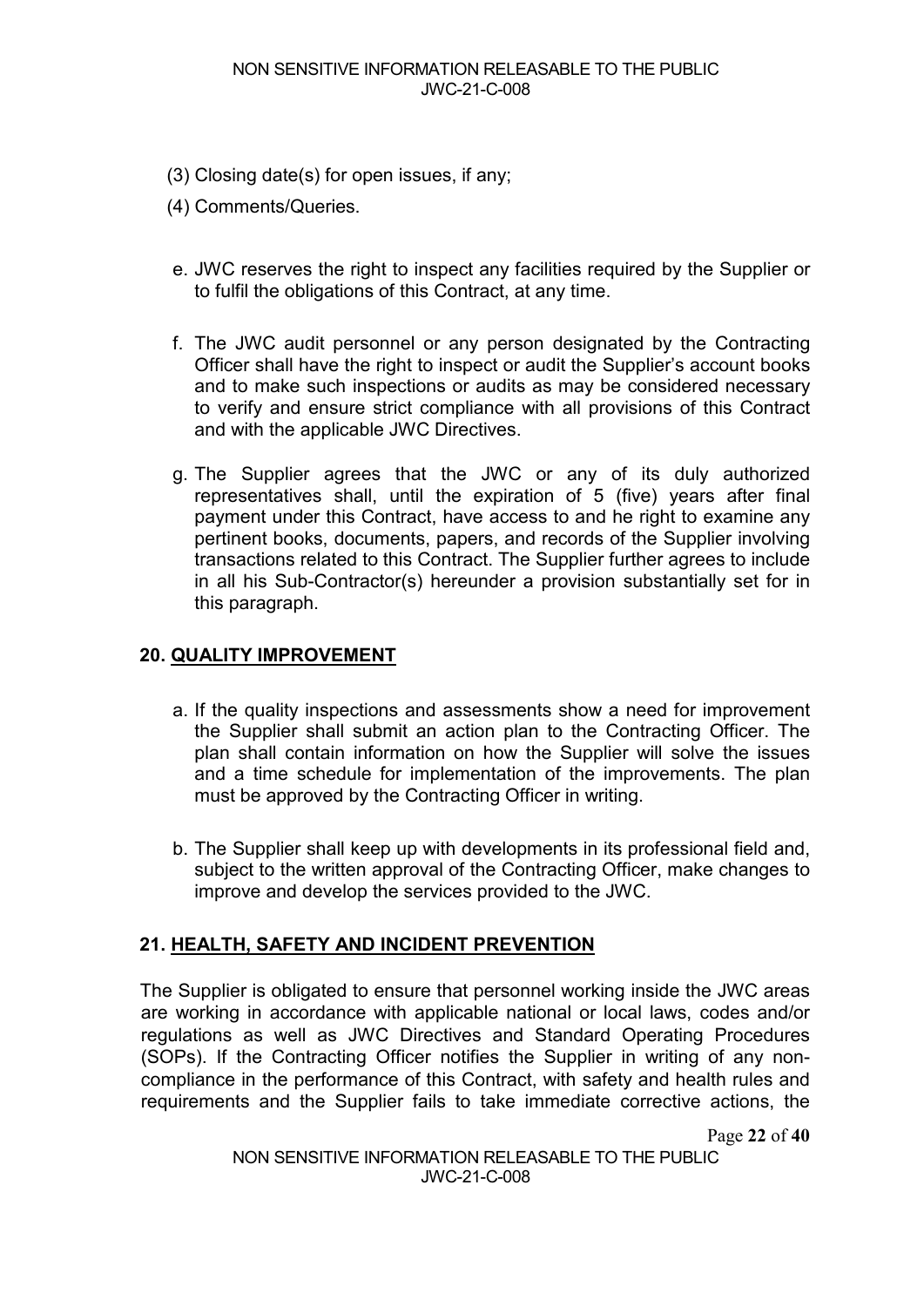- (3) Closing date(s) for open issues, if any;
- (4) Comments/Queries.
- e. JWC reserves the right to inspect any facilities required by the Supplier or to fulfil the obligations of this Contract, at any time.
- f. The JWC audit personnel or any person designated by the Contracting Officer shall have the right to inspect or audit the Supplier's account books and to make such inspections or audits as may be considered necessary to verify and ensure strict compliance with all provisions of this Contract and with the applicable JWC Directives.
- g. The Supplier agrees that the JWC or any of its duly authorized representatives shall, until the expiration of 5 (five) years after final payment under this Contract, have access to and he right to examine any pertinent books, documents, papers, and records of the Supplier involving transactions related to this Contract. The Supplier further agrees to include in all his Sub-Contractor(s) hereunder a provision substantially set for in this paragraph.

#### **20. QUALITY IMPROVEMENT**

- a. If the quality inspections and assessments show a need for improvement the Supplier shall submit an action plan to the Contracting Officer. The plan shall contain information on how the Supplier will solve the issues and a time schedule for implementation of the improvements. The plan must be approved by the Contracting Officer in writing.
- b. The Supplier shall keep up with developments in its professional field and, subject to the written approval of the Contracting Officer, make changes to improve and develop the services provided to the JWC.

## **21. HEALTH, SAFETY AND INCIDENT PREVENTION**

The Supplier is obligated to ensure that personnel working inside the JWC areas are working in accordance with applicable national or local laws, codes and/or regulations as well as JWC Directives and Standard Operating Procedures (SOPs). If the Contracting Officer notifies the Supplier in writing of any noncompliance in the performance of this Contract, with safety and health rules and requirements and the Supplier fails to take immediate corrective actions, the

Page **22** of **40**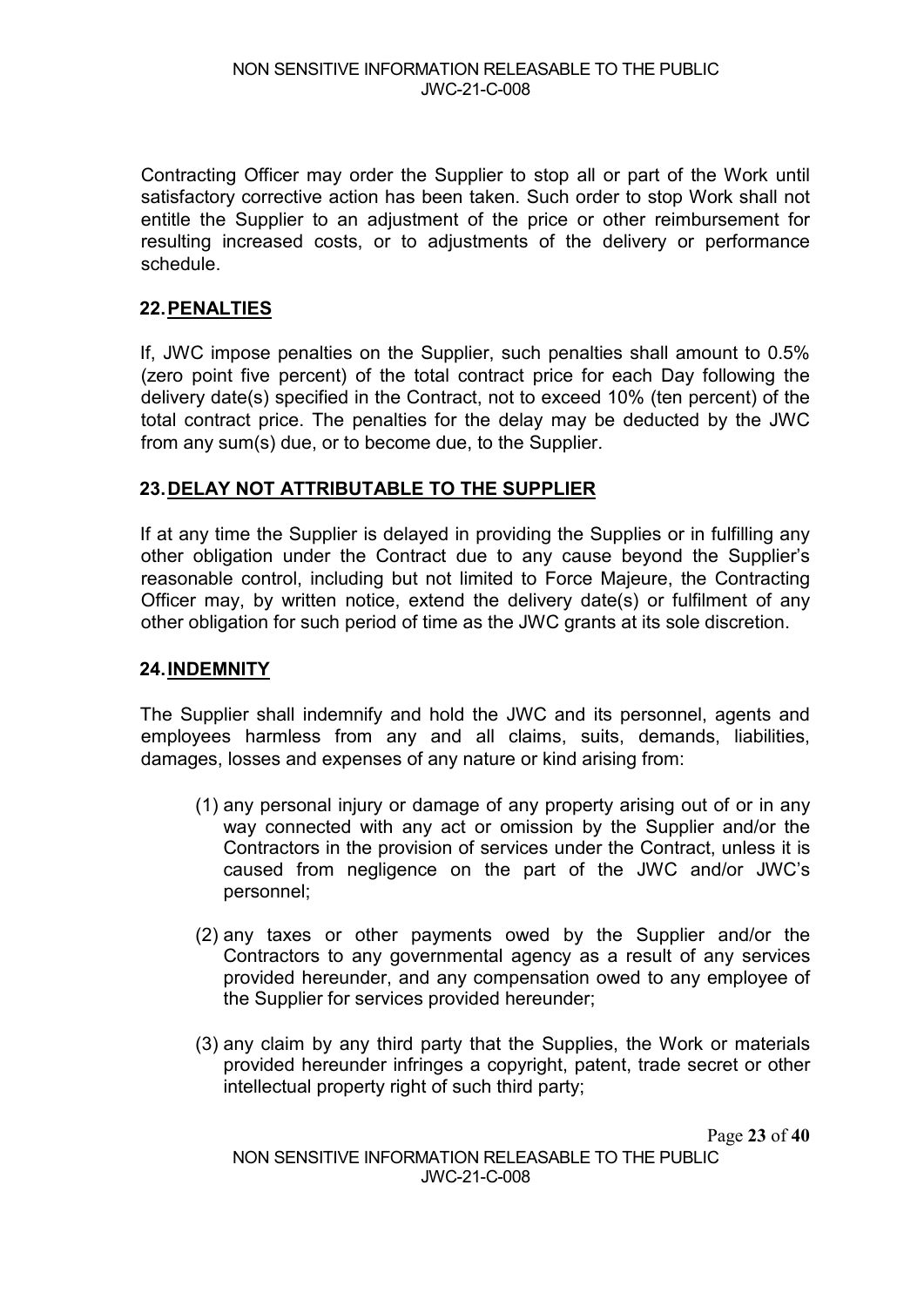Contracting Officer may order the Supplier to stop all or part of the Work until satisfactory corrective action has been taken. Such order to stop Work shall not entitle the Supplier to an adjustment of the price or other reimbursement for resulting increased costs, or to adjustments of the delivery or performance schedule.

## <span id="page-23-0"></span>**22.PENALTIES**

If, JWC impose penalties on the Supplier, such penalties shall amount to 0.5% (zero point five percent) of the total contract price for each Day following the delivery date(s) specified in the Contract, not to exceed 10% (ten percent) of the total contract price. The penalties for the delay may be deducted by the JWC from any sum(s) due, or to become due, to the Supplier.

#### **23.DELAY NOT ATTRIBUTABLE TO THE SUPPLIER**

If at any time the Supplier is delayed in providing the Supplies or in fulfilling any other obligation under the Contract due to any cause beyond the Supplier's reasonable control, including but not limited to Force Majeure, the Contracting Officer may, by written notice, extend the delivery date(s) or fulfilment of any other obligation for such period of time as the JWC grants at its sole discretion.

#### **24.INDEMNITY**

The Supplier shall indemnify and hold the JWC and its personnel, agents and employees harmless from any and all claims, suits, demands, liabilities, damages, losses and expenses of any nature or kind arising from:

- (1) any personal injury or damage of any property arising out of or in any way connected with any act or omission by the Supplier and/or the Contractors in the provision of services under the Contract, unless it is caused from negligence on the part of the JWC and/or JWC's personnel;
- (2) any taxes or other payments owed by the Supplier and/or the Contractors to any governmental agency as a result of any services provided hereunder, and any compensation owed to any employee of the Supplier for services provided hereunder;
- (3) any claim by any third party that the Supplies, the Work or materials provided hereunder infringes a copyright, patent, trade secret or other intellectual property right of such third party;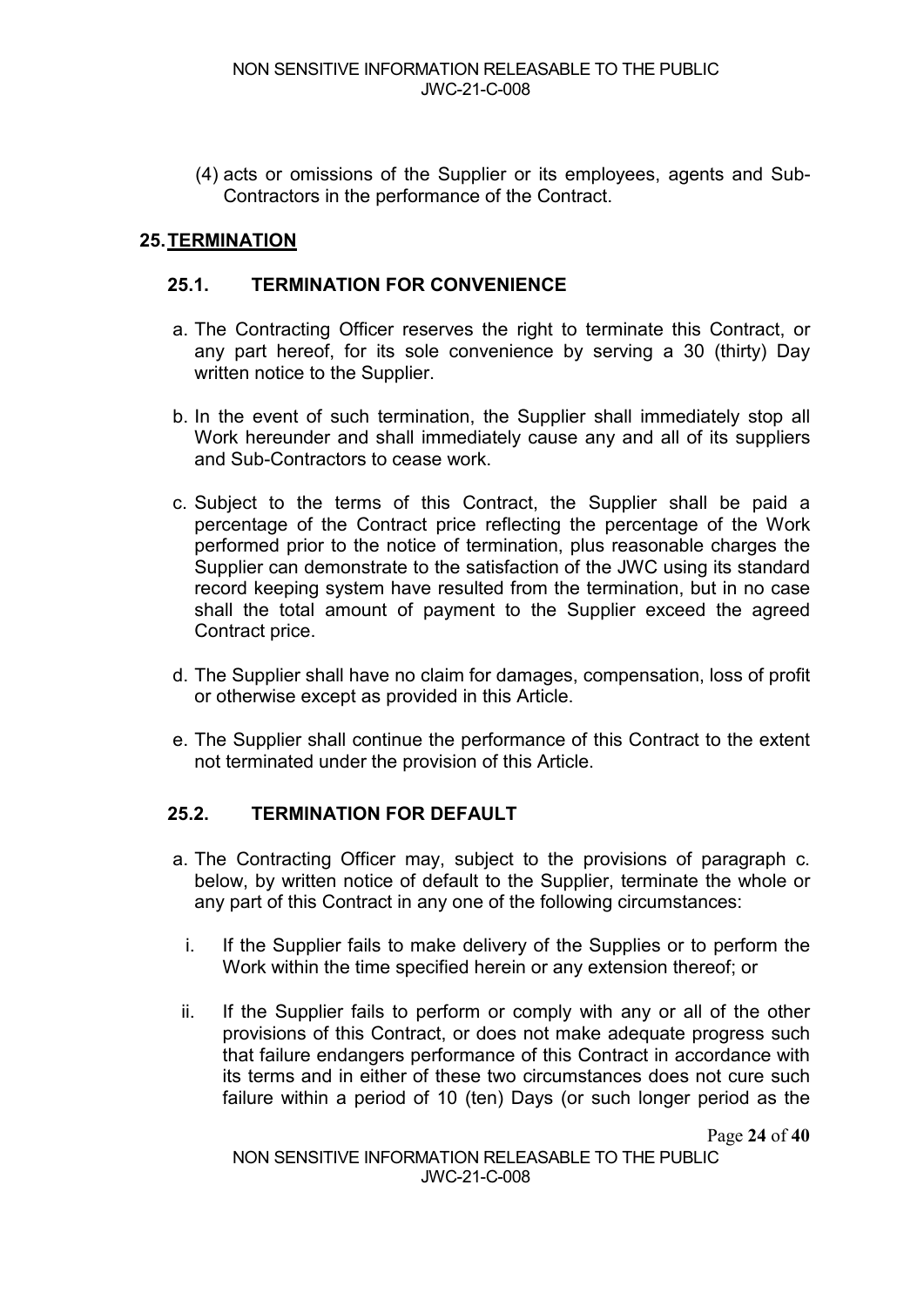(4) acts or omissions of the Supplier or its employees, agents and Sub-Contractors in the performance of the Contract.

## **25.TERMINATION**

#### **25.1. TERMINATION FOR CONVENIENCE**

- a. The Contracting Officer reserves the right to terminate this Contract, or any part hereof, for its sole convenience by serving a 30 (thirty) Day written notice to the Supplier.
- b. In the event of such termination, the Supplier shall immediately stop all Work hereunder and shall immediately cause any and all of its suppliers and Sub-Contractors to cease work.
- c. Subject to the terms of this Contract, the Supplier shall be paid a percentage of the Contract price reflecting the percentage of the Work performed prior to the notice of termination, plus reasonable charges the Supplier can demonstrate to the satisfaction of the JWC using its standard record keeping system have resulted from the termination, but in no case shall the total amount of payment to the Supplier exceed the agreed Contract price.
- d. The Supplier shall have no claim for damages, compensation, loss of profit or otherwise except as provided in this Article.
- e. The Supplier shall continue the performance of this Contract to the extent not terminated under the provision of this Article.

#### **25.2. TERMINATION FOR DEFAULT**

- a. The Contracting Officer may, subject to the provisions of paragraph c. below, by written notice of default to the Supplier, terminate the whole or any part of this Contract in any one of the following circumstances:
	- i. If the Supplier fails to make delivery of the Supplies or to perform the Work within the time specified herein or any extension thereof; or
- ii. If the Supplier fails to perform or comply with any or all of the other provisions of this Contract, or does not make adequate progress such that failure endangers performance of this Contract in accordance with its terms and in either of these two circumstances does not cure such failure within a period of 10 (ten) Days (or such longer period as the

Page **24** of **40**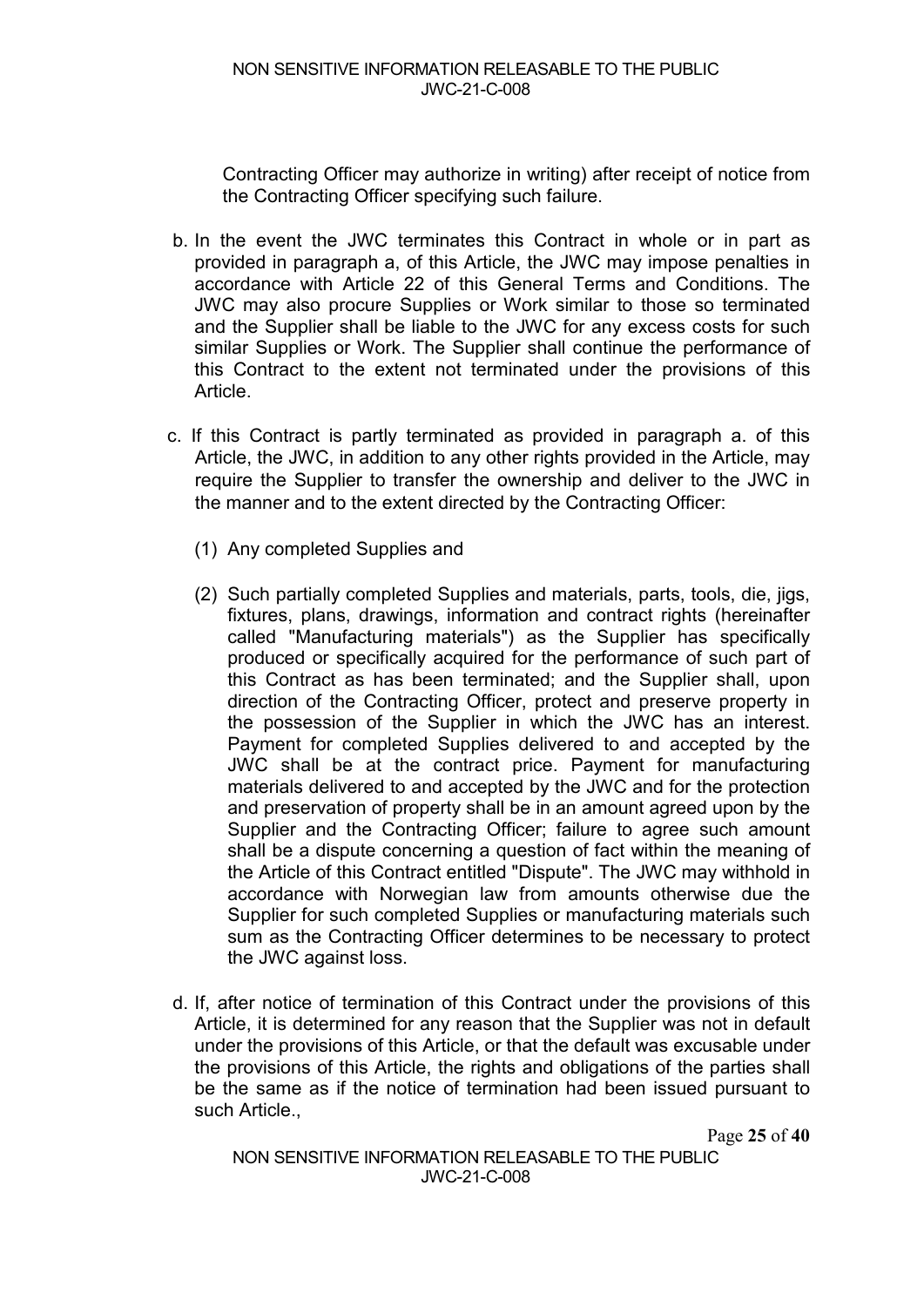Contracting Officer may authorize in writing) after receipt of notice from the Contracting Officer specifying such failure.

- b. In the event the JWC terminates this Contract in whole or in part as provided in paragraph a, of this Article, the JWC may impose penalties in accordance with Article [22](#page-23-0) of this General Terms and Conditions. The JWC may also procure Supplies or Work similar to those so terminated and the Supplier shall be liable to the JWC for any excess costs for such similar Supplies or Work. The Supplier shall continue the performance of this Contract to the extent not terminated under the provisions of this Article.
- c. If this Contract is partly terminated as provided in paragraph a. of this Article, the JWC, in addition to any other rights provided in the Article, may require the Supplier to transfer the ownership and deliver to the JWC in the manner and to the extent directed by the Contracting Officer:
	- (1) Any completed Supplies and
	- (2) Such partially completed Supplies and materials, parts, tools, die, jigs, fixtures, plans, drawings, information and contract rights (hereinafter called "Manufacturing materials") as the Supplier has specifically produced or specifically acquired for the performance of such part of this Contract as has been terminated; and the Supplier shall, upon direction of the Contracting Officer, protect and preserve property in the possession of the Supplier in which the JWC has an interest. Payment for completed Supplies delivered to and accepted by the JWC shall be at the contract price. Payment for manufacturing materials delivered to and accepted by the JWC and for the protection and preservation of property shall be in an amount agreed upon by the Supplier and the Contracting Officer; failure to agree such amount shall be a dispute concerning a question of fact within the meaning of the Article of this Contract entitled "Dispute". The JWC may withhold in accordance with Norwegian law from amounts otherwise due the Supplier for such completed Supplies or manufacturing materials such sum as the Contracting Officer determines to be necessary to protect the JWC against loss.
- d. If, after notice of termination of this Contract under the provisions of this Article, it is determined for any reason that the Supplier was not in default under the provisions of this Article, or that the default was excusable under the provisions of this Article, the rights and obligations of the parties shall be the same as if the notice of termination had been issued pursuant to such Article.,

Page **25** of **40**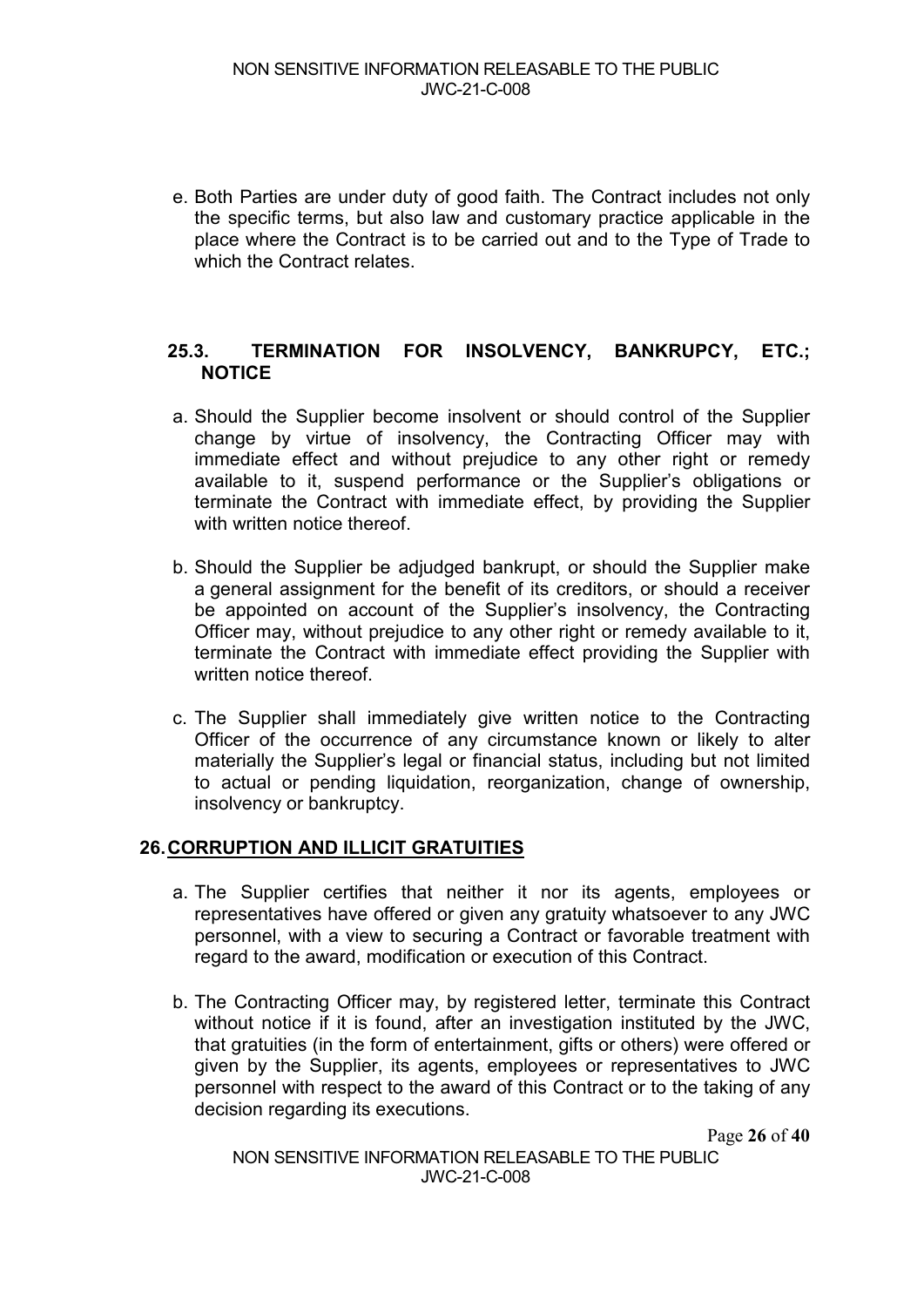e. Both Parties are under duty of good faith. The Contract includes not only the specific terms, but also law and customary practice applicable in the place where the Contract is to be carried out and to the Type of Trade to which the Contract relates.

#### **25.3. TERMINATION FOR INSOLVENCY, BANKRUPCY, ETC.; NOTICE**

- a. Should the Supplier become insolvent or should control of the Supplier change by virtue of insolvency, the Contracting Officer may with immediate effect and without prejudice to any other right or remedy available to it, suspend performance or the Supplier's obligations or terminate the Contract with immediate effect, by providing the Supplier with written notice thereof.
- b. Should the Supplier be adjudged bankrupt, or should the Supplier make a general assignment for the benefit of its creditors, or should a receiver be appointed on account of the Supplier's insolvency, the Contracting Officer may, without prejudice to any other right or remedy available to it, terminate the Contract with immediate effect providing the Supplier with written notice thereof.
- c. The Supplier shall immediately give written notice to the Contracting Officer of the occurrence of any circumstance known or likely to alter materially the Supplier's legal or financial status, including but not limited to actual or pending liquidation, reorganization, change of ownership, insolvency or bankruptcy.

#### **26.CORRUPTION AND ILLICIT GRATUITIES**

- a. The Supplier certifies that neither it nor its agents, employees or representatives have offered or given any gratuity whatsoever to any JWC personnel, with a view to securing a Contract or favorable treatment with regard to the award, modification or execution of this Contract.
- b. The Contracting Officer may, by registered letter, terminate this Contract without notice if it is found, after an investigation instituted by the JWC, that gratuities (in the form of entertainment, gifts or others) were offered or given by the Supplier, its agents, employees or representatives to JWC personnel with respect to the award of this Contract or to the taking of any decision regarding its executions.

Page **26** of **40**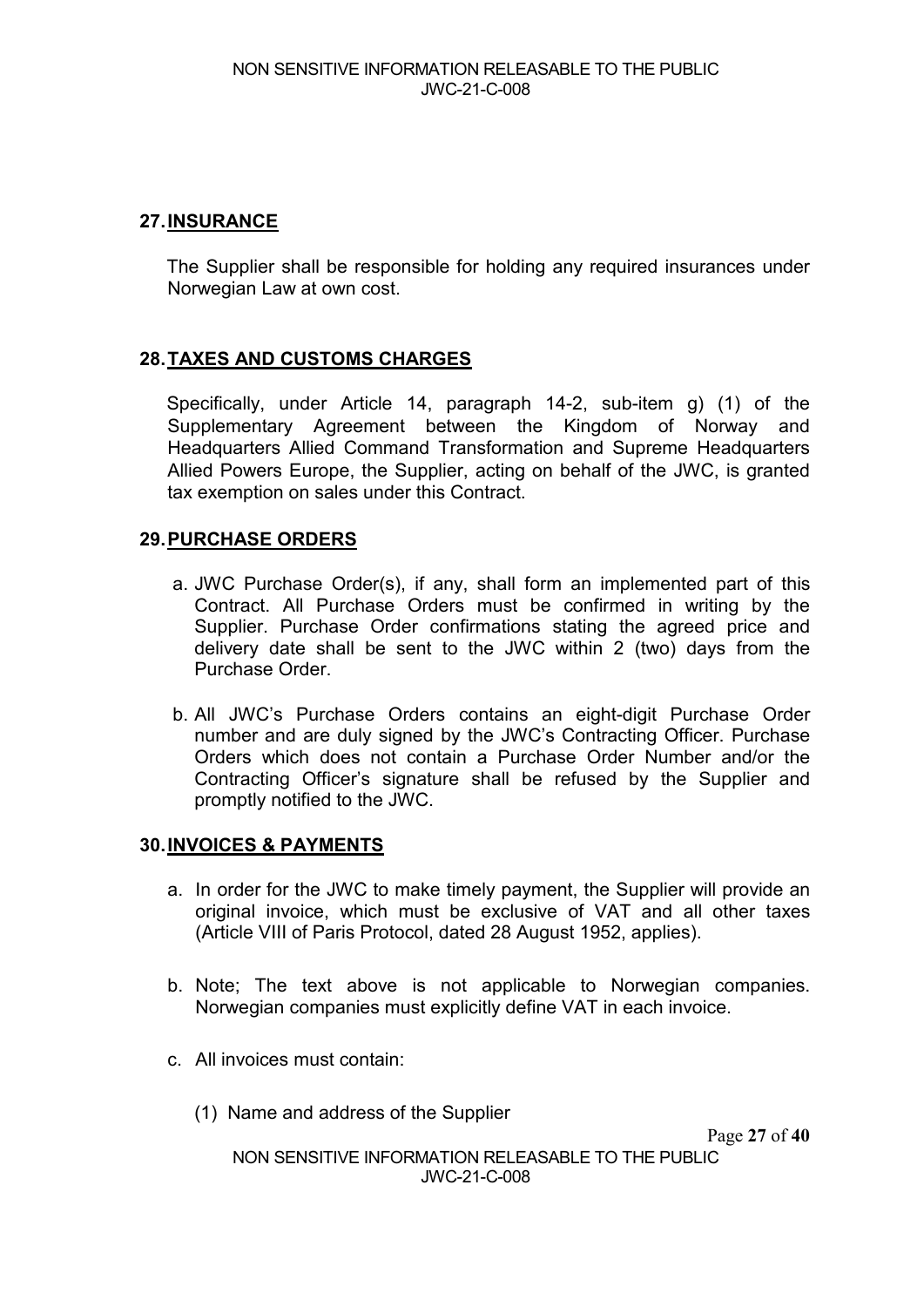## **27.INSURANCE**

The Supplier shall be responsible for holding any required insurances under Norwegian Law at own cost.

## **28.TAXES AND CUSTOMS CHARGES**

Specifically, under Article 14, paragraph 14-2, sub-item g) (1) of the Supplementary Agreement between the Kingdom of Norway and Headquarters Allied Command Transformation and Supreme Headquarters Allied Powers Europe, the Supplier, acting on behalf of the JWC, is granted tax exemption on sales under this Contract.

## **29.PURCHASE ORDERS**

- a. JWC Purchase Order(s), if any, shall form an implemented part of this Contract. All Purchase Orders must be confirmed in writing by the Supplier. Purchase Order confirmations stating the agreed price and delivery date shall be sent to the JWC within 2 (two) days from the Purchase Order.
- b. All JWC's Purchase Orders contains an eight-digit Purchase Order number and are duly signed by the JWC's Contracting Officer. Purchase Orders which does not contain a Purchase Order Number and/or the Contracting Officer's signature shall be refused by the Supplier and promptly notified to the JWC.

## **30.INVOICES & PAYMENTS**

- a. In order for the JWC to make timely payment, the Supplier will provide an original invoice, which must be exclusive of VAT and all other taxes (Article VIII of Paris Protocol, dated 28 August 1952, applies).
- b. Note; The text above is not applicable to Norwegian companies. Norwegian companies must explicitly define VAT in each invoice.
- c. All invoices must contain:
	- (1) Name and address of the Supplier

Page **27** of **40**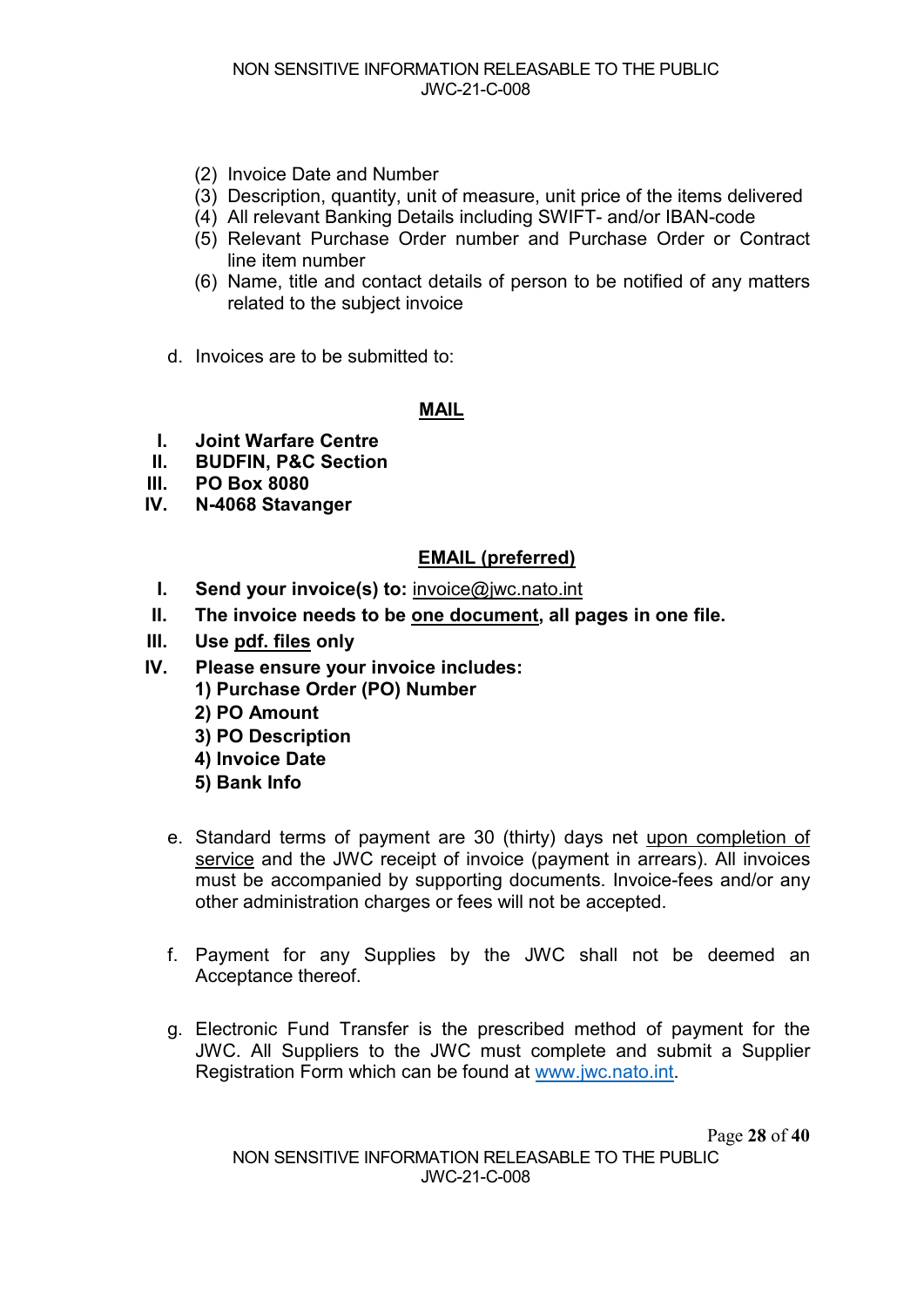- (2) Invoice Date and Number
- (3) Description, quantity, unit of measure, unit price of the items delivered
- (4) All relevant Banking Details including SWIFT- and/or IBAN-code
- (5) Relevant Purchase Order number and Purchase Order or Contract line item number
- (6) Name, title and contact details of person to be notified of any matters related to the subject invoice
- d. Invoices are to be submitted to:

#### **MAIL**

- **I. Joint Warfare Centre**
- **II. BUDFIN, P&C Section**
- **III. PO Box 8080**
- **IV. N-4068 Stavanger**

## **EMAIL (preferred)**

- **I. Send your invoice(s) to:** [invoice@jwc.nato.int](mailto:invoice@jwc.nato.int)
- **II. The invoice needs to be one document, all pages in one file.**
- **III. Use pdf. files only**
- **IV. Please ensure your invoice includes:** 
	- **1) Purchase Order (PO) Number**
	- **2) PO Amount**
	- **3) PO Description**
	- **4) Invoice Date**
	- **5) Bank Info**
	- e. Standard terms of payment are 30 (thirty) days net upon completion of service and the JWC receipt of invoice (payment in arrears). All invoices must be accompanied by supporting documents. Invoice-fees and/or any other administration charges or fees will not be accepted.
	- f. Payment for any Supplies by the JWC shall not be deemed an Acceptance thereof.
	- g. Electronic Fund Transfer is the prescribed method of payment for the JWC. All Suppliers to the JWC must complete and submit a Supplier Registration Form which can be found at [www.jwc.nato.int.](http://www.jwc.nato.int/)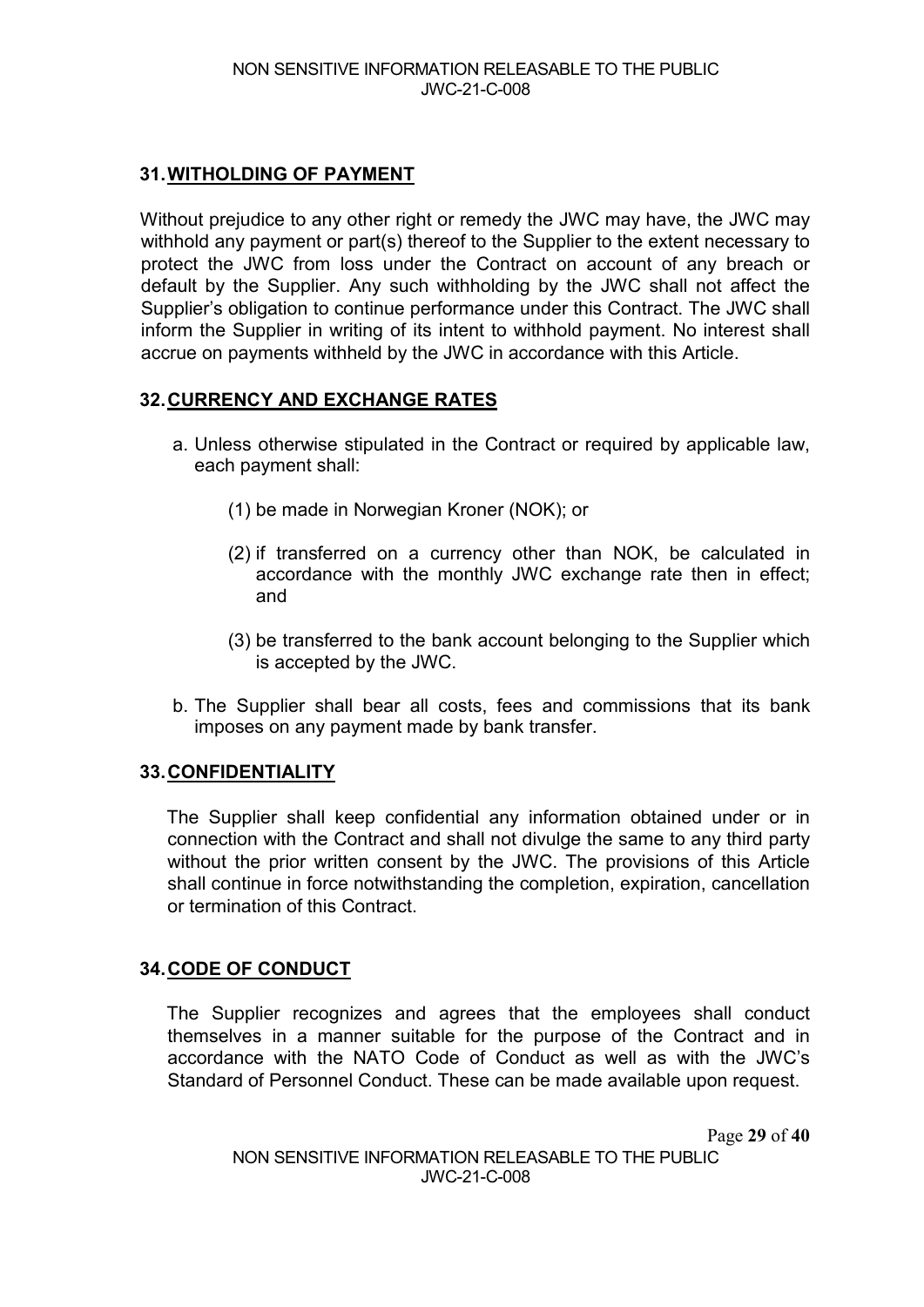## **31.WITHOLDING OF PAYMENT**

Without prejudice to any other right or remedy the JWC may have, the JWC may withhold any payment or part(s) thereof to the Supplier to the extent necessary to protect the JWC from loss under the Contract on account of any breach or default by the Supplier. Any such withholding by the JWC shall not affect the Supplier's obligation to continue performance under this Contract. The JWC shall inform the Supplier in writing of its intent to withhold payment. No interest shall accrue on payments withheld by the JWC in accordance with this Article.

## **32.CURRENCY AND EXCHANGE RATES**

- a. Unless otherwise stipulated in the Contract or required by applicable law, each payment shall:
	- (1) be made in Norwegian Kroner (NOK); or
	- (2) if transferred on a currency other than NOK, be calculated in accordance with the monthly JWC exchange rate then in effect; and
	- (3) be transferred to the bank account belonging to the Supplier which is accepted by the JWC.
- b. The Supplier shall bear all costs, fees and commissions that its bank imposes on any payment made by bank transfer.

## **33.CONFIDENTIALITY**

The Supplier shall keep confidential any information obtained under or in connection with the Contract and shall not divulge the same to any third party without the prior written consent by the JWC. The provisions of this Article shall continue in force notwithstanding the completion, expiration, cancellation or termination of this Contract.

## **34.CODE OF CONDUCT**

The Supplier recognizes and agrees that the employees shall conduct themselves in a manner suitable for the purpose of the Contract and in accordance with the NATO Code of Conduct as well as with the JWC's Standard of Personnel Conduct. These can be made available upon request.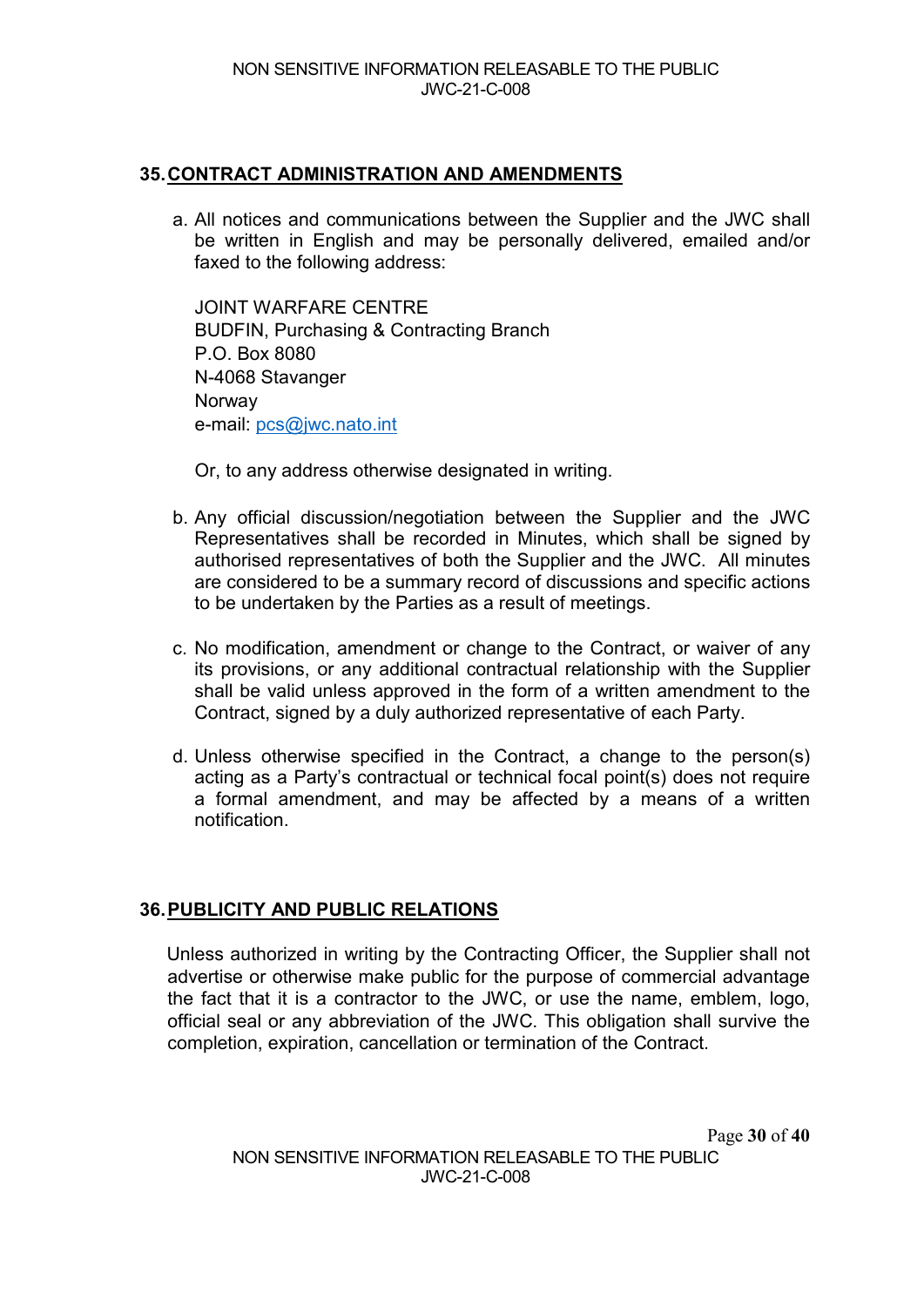## **35.CONTRACT ADMINISTRATION AND AMENDMENTS**

a. All notices and communications between the Supplier and the JWC shall be written in English and may be personally delivered, emailed and/or faxed to the following address:

JOINT WARFARE CENTRE BUDFIN, Purchasing & Contracting Branch P.O. Box 8080 N-4068 Stavanger **Norway** e-mail: [pcs@jwc.nato.int](mailto:pcs@jwc.nato.int)

Or, to any address otherwise designated in writing.

- b. Any official discussion/negotiation between the Supplier and the JWC Representatives shall be recorded in Minutes, which shall be signed by authorised representatives of both the Supplier and the JWC. All minutes are considered to be a summary record of discussions and specific actions to be undertaken by the Parties as a result of meetings.
- c. No modification, amendment or change to the Contract, or waiver of any its provisions, or any additional contractual relationship with the Supplier shall be valid unless approved in the form of a written amendment to the Contract, signed by a duly authorized representative of each Party.
- d. Unless otherwise specified in the Contract, a change to the person(s) acting as a Party's contractual or technical focal point(s) does not require a formal amendment, and may be affected by a means of a written notification.

## **36.PUBLICITY AND PUBLIC RELATIONS**

Unless authorized in writing by the Contracting Officer, the Supplier shall not advertise or otherwise make public for the purpose of commercial advantage the fact that it is a contractor to the JWC, or use the name, emblem, logo, official seal or any abbreviation of the JWC. This obligation shall survive the completion, expiration, cancellation or termination of the Contract.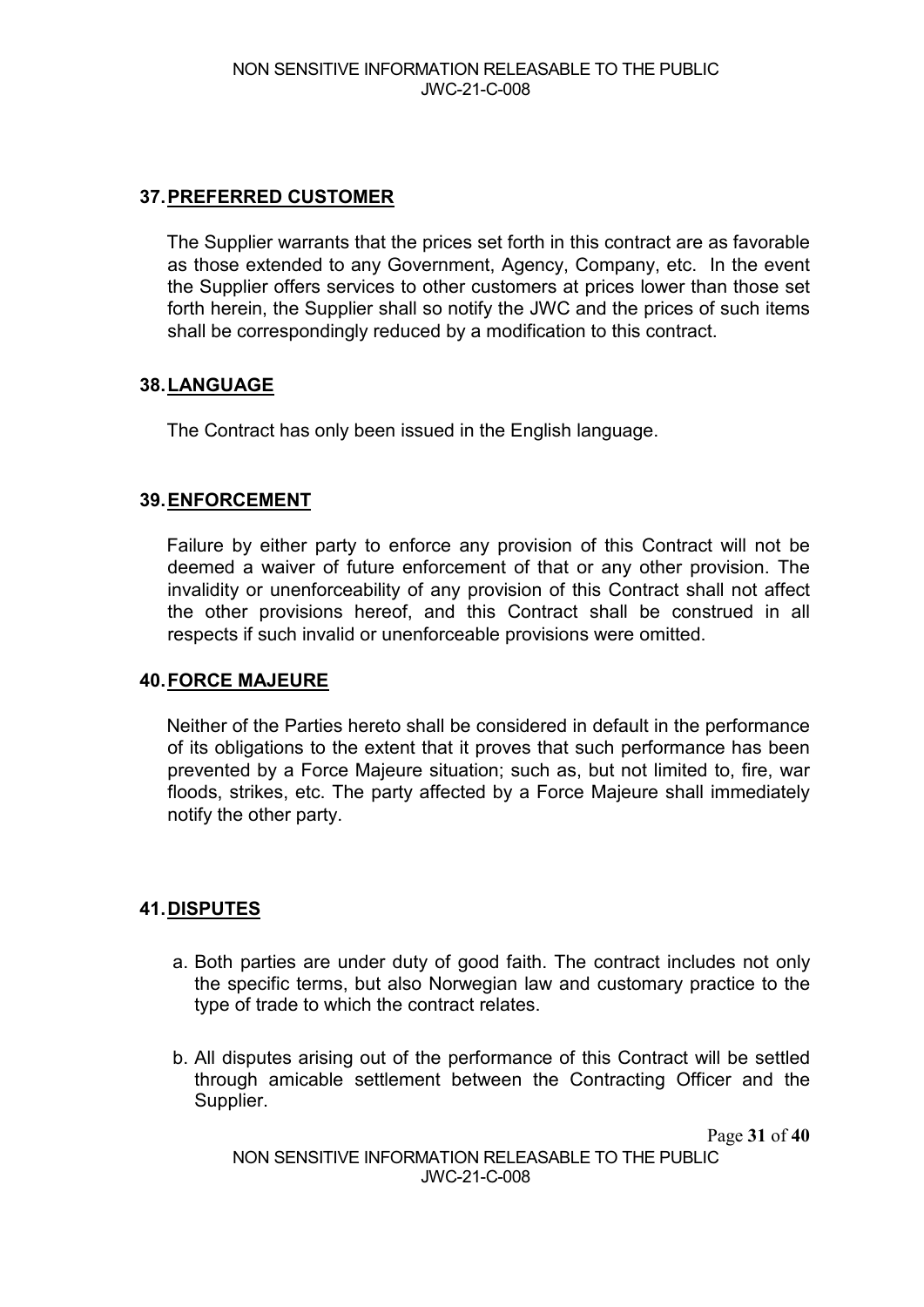## **37.PREFERRED CUSTOMER**

The Supplier warrants that the prices set forth in this contract are as favorable as those extended to any Government, Agency, Company, etc. In the event the Supplier offers services to other customers at prices lower than those set forth herein, the Supplier shall so notify the JWC and the prices of such items shall be correspondingly reduced by a modification to this contract.

## **38.LANGUAGE**

The Contract has only been issued in the English language.

## **39.ENFORCEMENT**

Failure by either party to enforce any provision of this Contract will not be deemed a waiver of future enforcement of that or any other provision. The invalidity or unenforceability of any provision of this Contract shall not affect the other provisions hereof, and this Contract shall be construed in all respects if such invalid or unenforceable provisions were omitted.

#### **40.FORCE MAJEURE**

Neither of the Parties hereto shall be considered in default in the performance of its obligations to the extent that it proves that such performance has been prevented by a Force Majeure situation; such as, but not limited to, fire, war floods, strikes, etc. The party affected by a Force Majeure shall immediately notify the other party.

## **41.DISPUTES**

- a. Both parties are under duty of good faith. The contract includes not only the specific terms, but also Norwegian law and customary practice to the type of trade to which the contract relates.
- b. All disputes arising out of the performance of this Contract will be settled through amicable settlement between the Contracting Officer and the Supplier.

Page **31** of **40**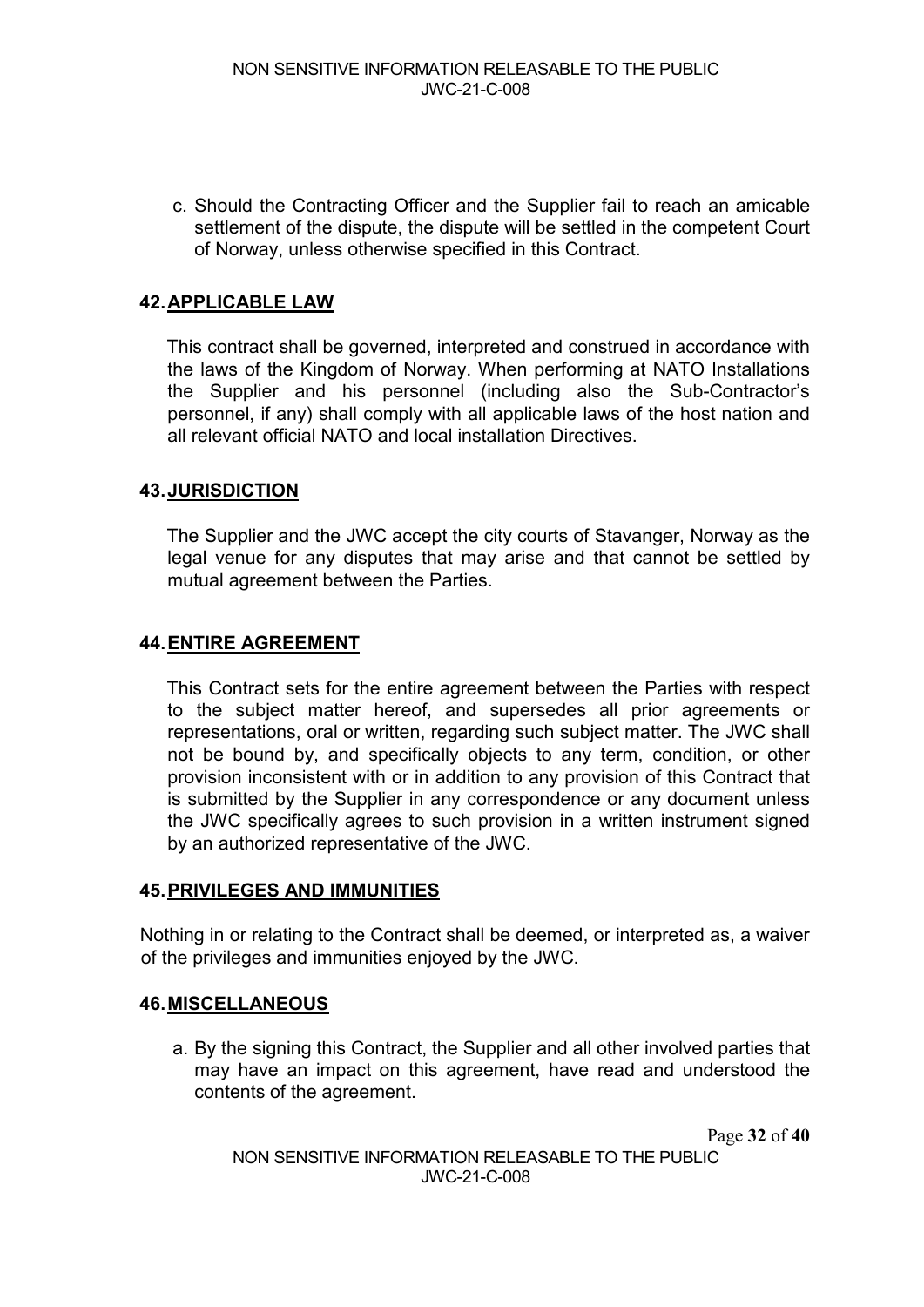c. Should the Contracting Officer and the Supplier fail to reach an amicable settlement of the dispute, the dispute will be settled in the competent Court of Norway, unless otherwise specified in this Contract.

#### **42.APPLICABLE LAW**

This contract shall be governed, interpreted and construed in accordance with the laws of the Kingdom of Norway. When performing at NATO Installations the Supplier and his personnel (including also the Sub-Contractor's personnel, if any) shall comply with all applicable laws of the host nation and all relevant official NATO and local installation Directives.

## **43.JURISDICTION**

The Supplier and the JWC accept the city courts of Stavanger, Norway as the legal venue for any disputes that may arise and that cannot be settled by mutual agreement between the Parties.

#### **44.ENTIRE AGREEMENT**

This Contract sets for the entire agreement between the Parties with respect to the subject matter hereof, and supersedes all prior agreements or representations, oral or written, regarding such subject matter. The JWC shall not be bound by, and specifically objects to any term, condition, or other provision inconsistent with or in addition to any provision of this Contract that is submitted by the Supplier in any correspondence or any document unless the JWC specifically agrees to such provision in a written instrument signed by an authorized representative of the JWC.

#### **45.PRIVILEGES AND IMMUNITIES**

Nothing in or relating to the Contract shall be deemed, or interpreted as, a waiver of the privileges and immunities enjoyed by the JWC.

#### **46.MISCELLANEOUS**

a. By the signing this Contract, the Supplier and all other involved parties that may have an impact on this agreement, have read and understood the contents of the agreement.

Page **32** of **40**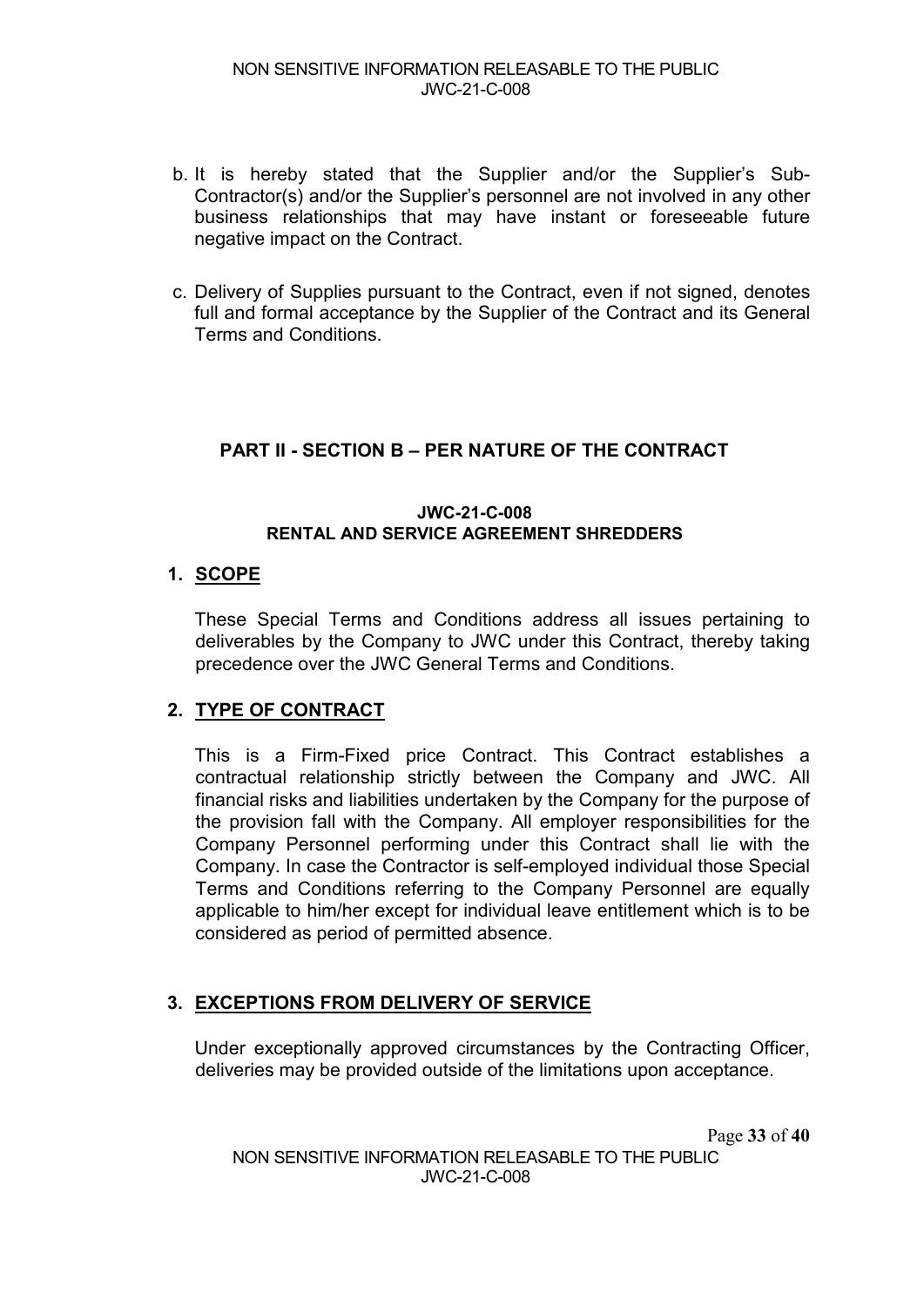#### NON SENSITIVE INFORMATION RELEASABLE TO THE PUBLIC JWC-21-C-008

- b. It is hereby stated that the Supplier and/or the Supplier's Sub-Contractor(s) and/or the Supplier's personnel are not involved in any other business relationships that may have instant or foreseeable future negative impact on the Contract.
- c. Delivery of Supplies pursuant to the Contract, even if not signed, denotes full and formal acceptance by the Supplier of the Contract and its General Terms and Conditions.

## **PART II - SECTION B – PER NATURE OF THE CONTRACT**

#### **JWC-21-C-008 RENTAL AND SERVICE AGREEMENT SHREDDERS**

#### **1. SCOPE**

These Special Terms and Conditions address all issues pertaining to deliverables by the Company to JWC under this Contract, thereby taking precedence over the JWC General Terms and Conditions.

#### **2. TYPE OF CONTRACT**

This is a Firm-Fixed price Contract. This Contract establishes a contractual relationship strictly between the Company and JWC. All financial risks and liabilities undertaken by the Company for the purpose of the provision fall with the Company. All employer responsibilities for the Company Personnel performing under this Contract shall lie with the Company. In case the Contractor is self-employed individual those Special Terms and Conditions referring to the Company Personnel are equally applicable to him/her except for individual leave entitlement which is to be considered as period of permitted absence.

#### **3. EXCEPTIONS FROM DELIVERY OF SERVICE**

Under exceptionally approved circumstances by the Contracting Officer, deliveries may be provided outside of the limitations upon acceptance.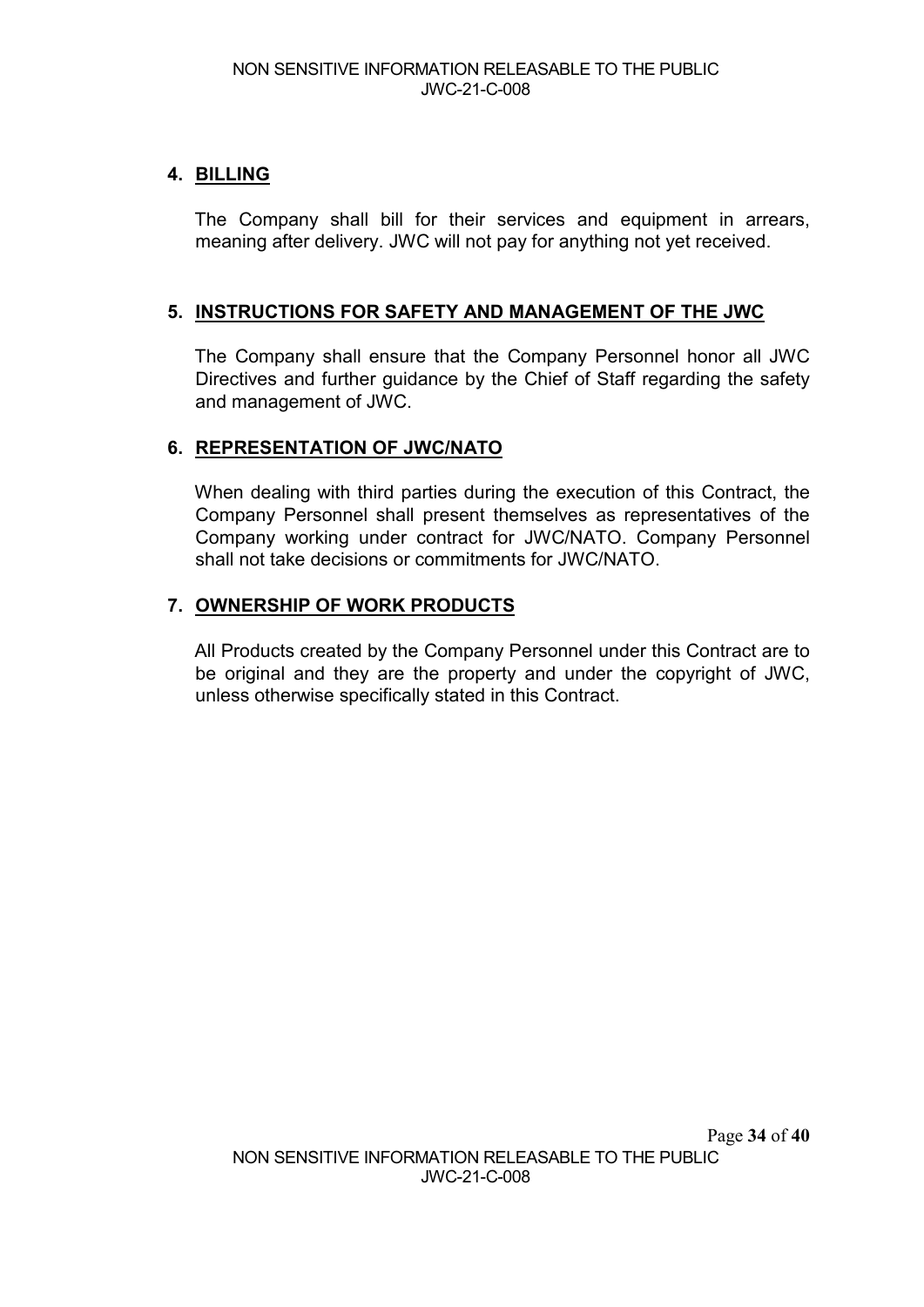## **4. BILLING**

The Company shall bill for their services and equipment in arrears, meaning after delivery. JWC will not pay for anything not yet received.

## **5. INSTRUCTIONS FOR SAFETY AND MANAGEMENT OF THE JWC**

The Company shall ensure that the Company Personnel honor all JWC Directives and further guidance by the Chief of Staff regarding the safety and management of JWC.

## **6. REPRESENTATION OF JWC/NATO**

When dealing with third parties during the execution of this Contract, the Company Personnel shall present themselves as representatives of the Company working under contract for JWC/NATO. Company Personnel shall not take decisions or commitments for JWC/NATO.

## **7. OWNERSHIP OF WORK PRODUCTS**

All Products created by the Company Personnel under this Contract are to be original and they are the property and under the copyright of JWC, unless otherwise specifically stated in this Contract.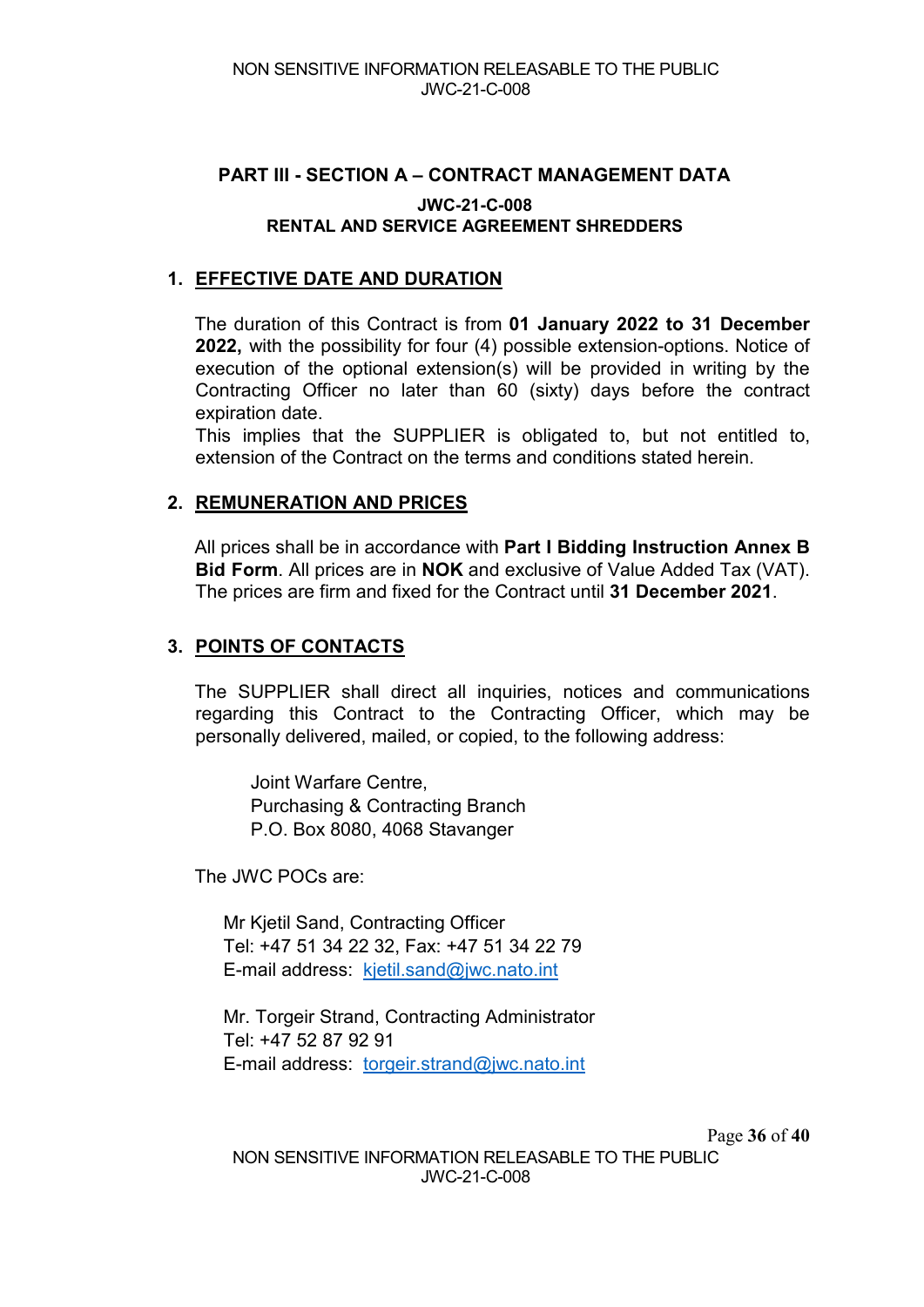## **PART III - SECTION A – CONTRACT MANAGEMENT DATA JWC-21-C-008 RENTAL AND SERVICE AGREEMENT SHREDDERS**

## **1. EFFECTIVE DATE AND DURATION**

The duration of this Contract is from **01 January 2022 to 31 December 2022,** with the possibility for four (4) possible extension-options. Notice of execution of the optional extension(s) will be provided in writing by the Contracting Officer no later than 60 (sixty) days before the contract expiration date.

This implies that the SUPPLIER is obligated to, but not entitled to, extension of the Contract on the terms and conditions stated herein.

## **2. REMUNERATION AND PRICES**

All prices shall be in accordance with **Part I Bidding Instruction Annex B Bid Form**. All prices are in **NOK** and exclusive of Value Added Tax (VAT). The prices are firm and fixed for the Contract until **31 December 2021**.

## **3. POINTS OF CONTACTS**

The SUPPLIER shall direct all inquiries, notices and communications regarding this Contract to the Contracting Officer, which may be personally delivered, mailed, or copied, to the following address:

Joint Warfare Centre, Purchasing & Contracting Branch P.O. Box 8080, 4068 Stavanger

The JWC POCs are:

Mr Kjetil Sand, Contracting Officer Tel: +47 51 34 22 32, Fax: +47 51 34 22 79 E-mail address: [kjetil.sand@jwc.nato.int](mailto:kjetil.sand@jwc.nato.int) 

Mr. Torgeir Strand, Contracting Administrator Tel: +47 52 87 92 91 E-mail address: [torgeir.strand@jwc.nato.int](mailto:torgeir.strand@jwc.nato.int)

NON SENSITIVE INFORMATION RELEASABLE TO THE PUBLIC JWC-21-C-008

Page **36** of **40**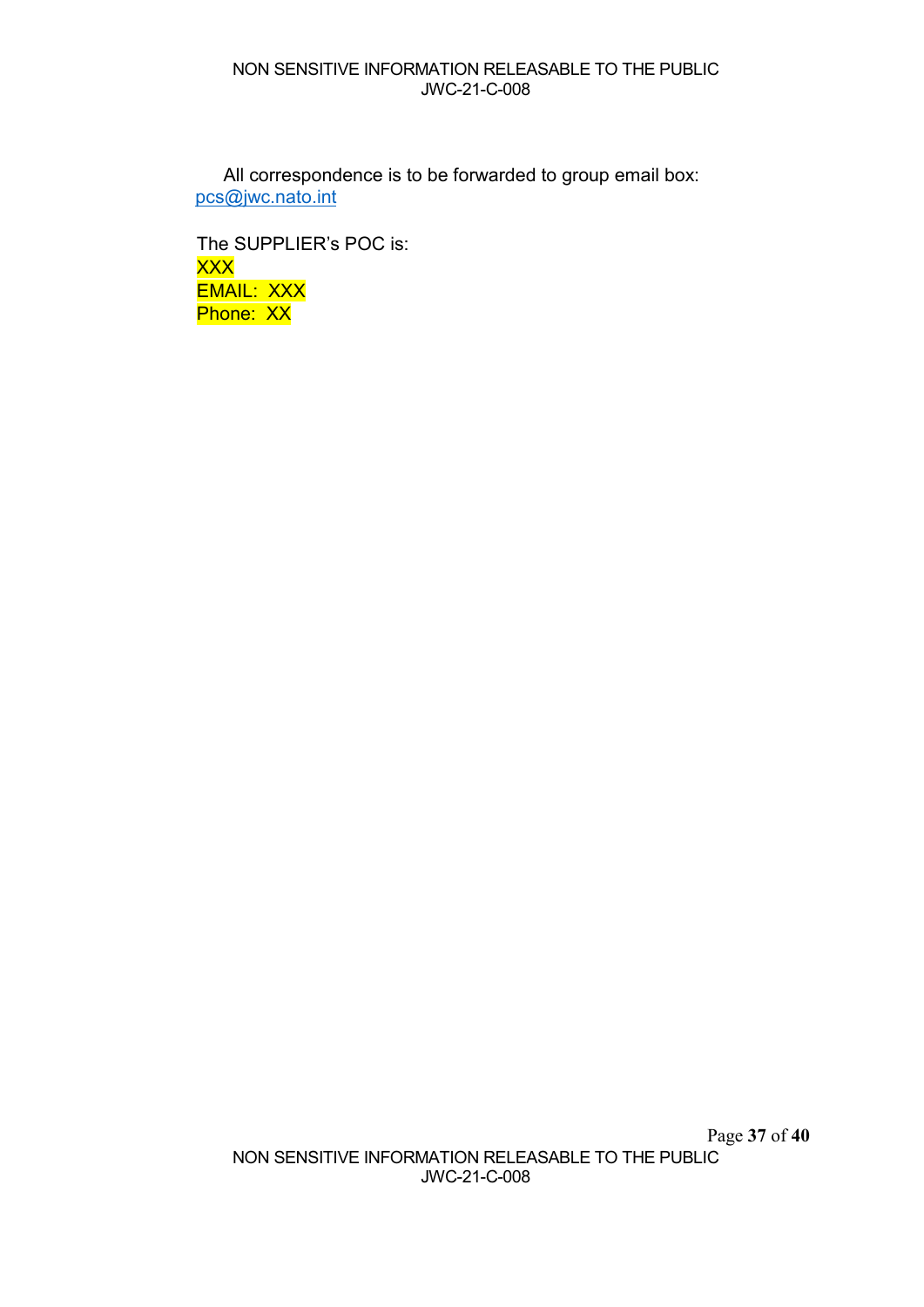#### NON SENSITIVE INFORMATION RELEASABLE TO THE PUBLIC JWC-21-C-008

All correspondence is to be forwarded to group email box: [pcs@jwc.nato.int](mailto:pcs@jwc.nato.int)

The SUPPLIER's POC is: XXX EMAIL: XXX Phone: XX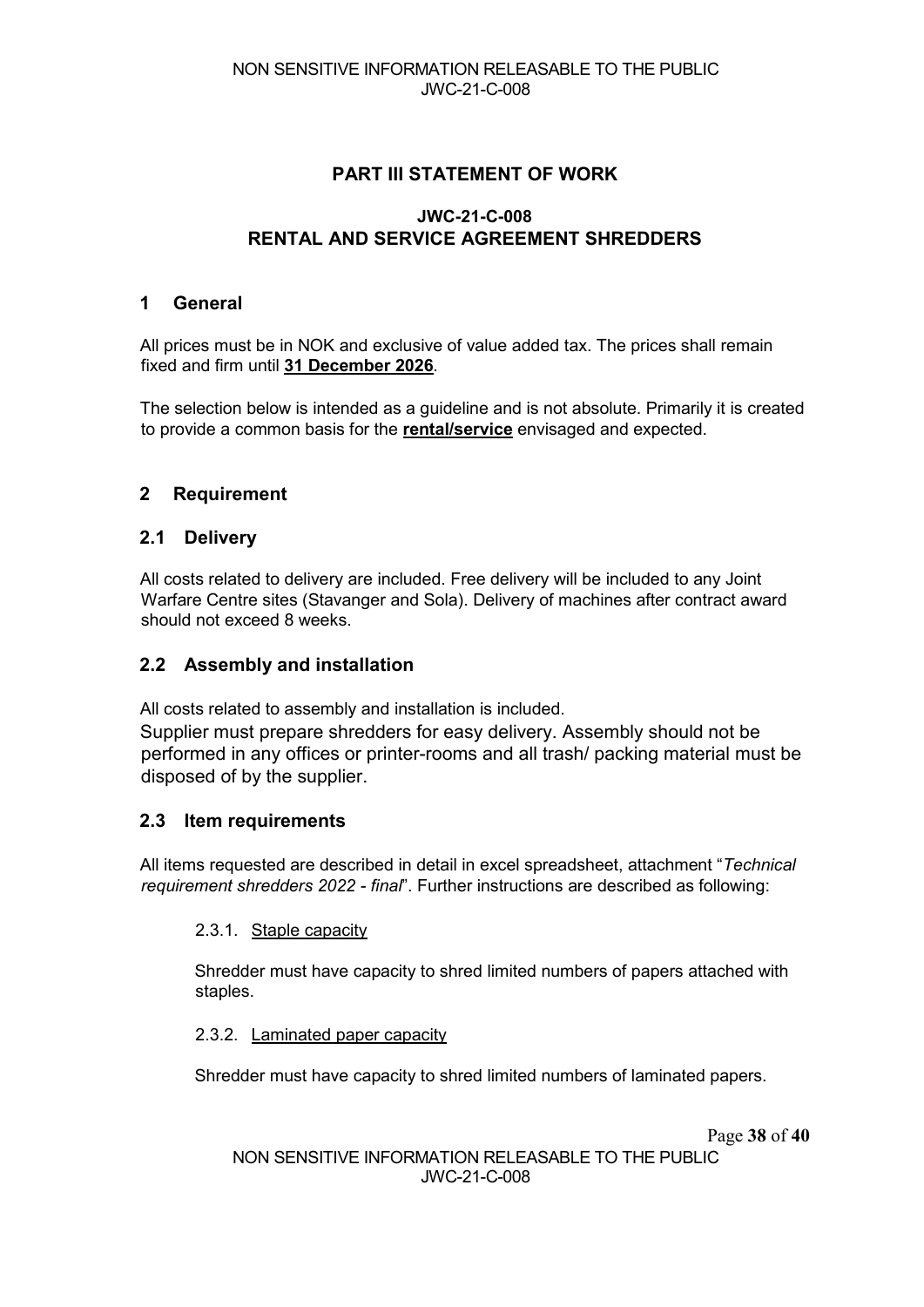## **PART III STATEMENT OF WORK**

## **JWC-21-C-008 RENTAL AND SERVICE AGREEMENT SHREDDERS**

#### **1 General**

All prices must be in NOK and exclusive of value added tax. The prices shall remain fixed and firm until **31 December 2026**.

The selection below is intended as a guideline and is not absolute. Primarily it is created to provide a common basis for the **rental/service** envisaged and expected.

## **2 Requirement**

## **2.1 Delivery**

All costs related to delivery are included. Free delivery will be included to any Joint Warfare Centre sites (Stavanger and Sola). Delivery of machines after contract award should not exceed 8 weeks.

## **2.2 Assembly and installation**

All costs related to assembly and installation is included. Supplier must prepare shredders for easy delivery. Assembly should not be performed in any offices or printer-rooms and all trash/ packing material must be disposed of by the supplier.

#### **2.3 Item requirements**

All items requested are described in detail in excel spreadsheet, attachment "*Technical requirement shredders 2022 - final*". Further instructions are described as following:

#### 2.3.1. Staple capacity

Shredder must have capacity to shred limited numbers of papers attached with staples.

#### 2.3.2. Laminated paper capacity

Shredder must have capacity to shred limited numbers of laminated papers.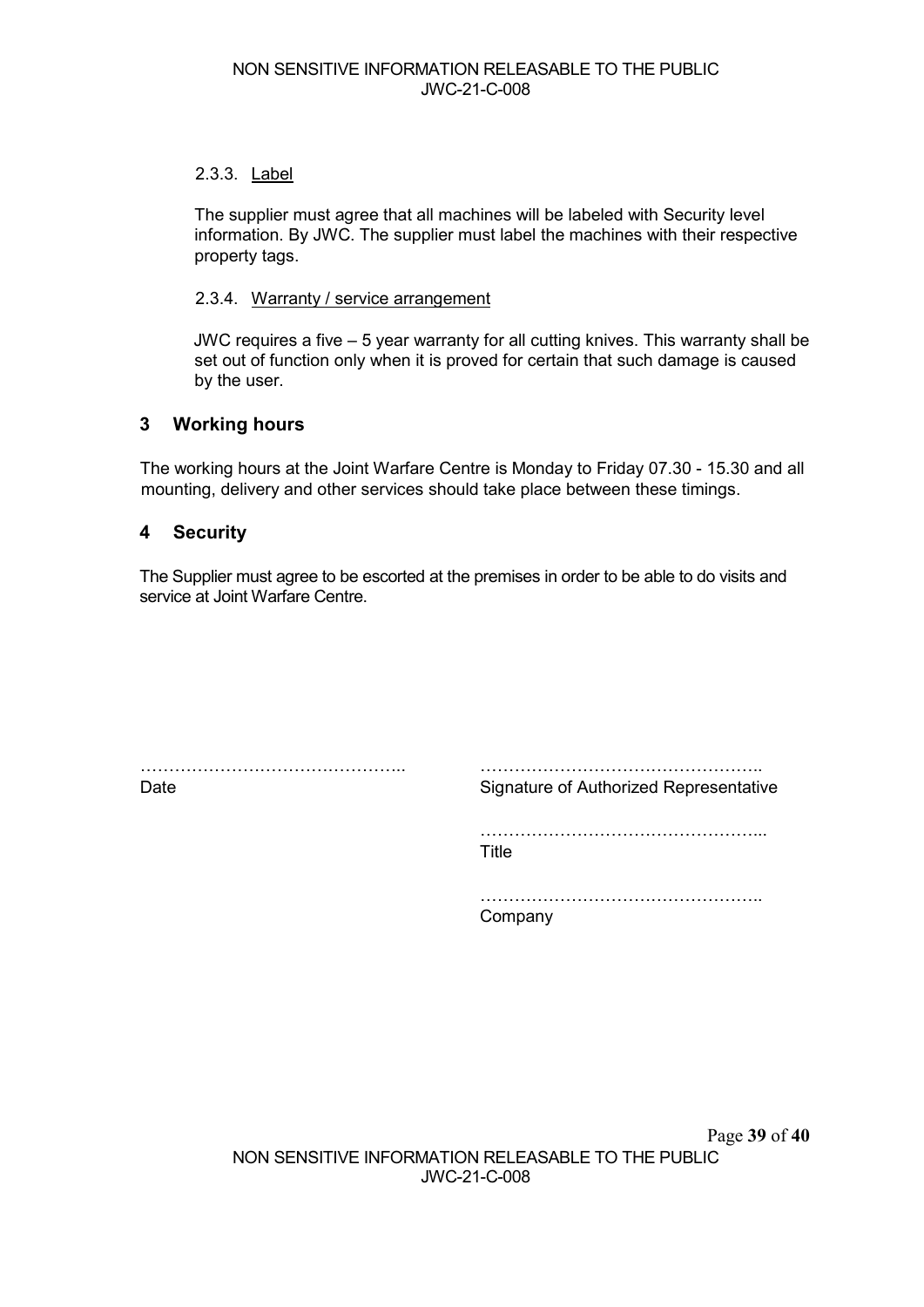#### 2.3.3. Label

The supplier must agree that all machines will be labeled with Security level information. By JWC. The supplier must label the machines with their respective property tags.

#### 2.3.4. Warranty / service arrangement

JWC requires a five – 5 year warranty for all cutting knives. This warranty shall be set out of function only when it is proved for certain that such damage is caused by the user.

#### **3 Working hours**

The working hours at the Joint Warfare Centre is Monday to Friday 07.30 - 15.30 and all mounting, delivery and other services should take place between these timings.

#### **4 Security**

The Supplier must agree to be escorted at the premises in order to be able to do visits and service at Joint Warfare Centre.

……………………………………….. Date

………………………………………….. Signature of Authorized Representative

…………………………………………... Title

………………………………………….. Company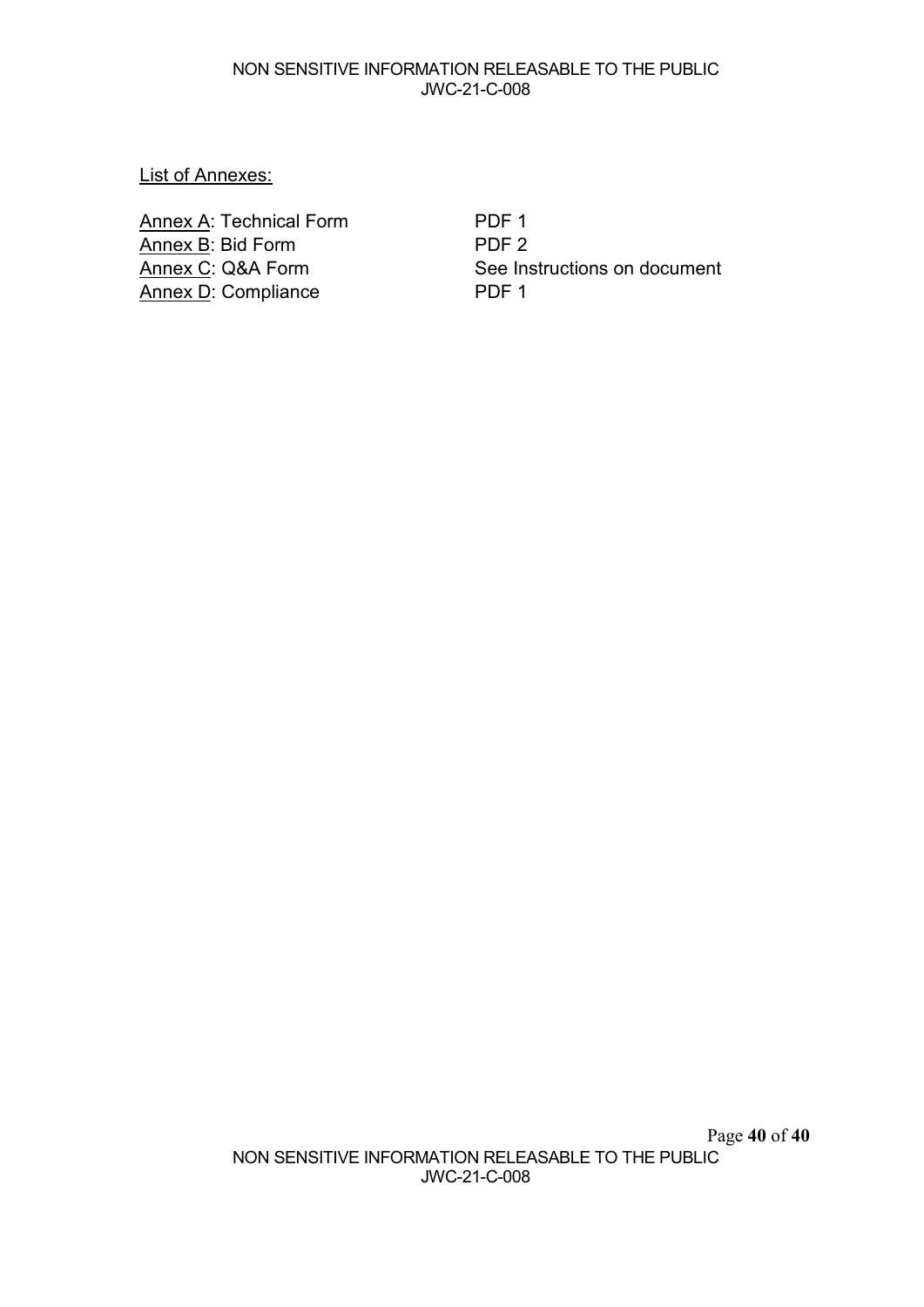#### NON SENSITIVE INFORMATION RELEASABLE TO THE PUBLIC JWC-21-C-008

#### List of Annexes:

Annex A: Technical Form PDF 1 Annex B: Bid Form PDF 2<br>
Annex C: Q&A Form See In: Annex D: Compliance

See Instructions on document<br>PDF 1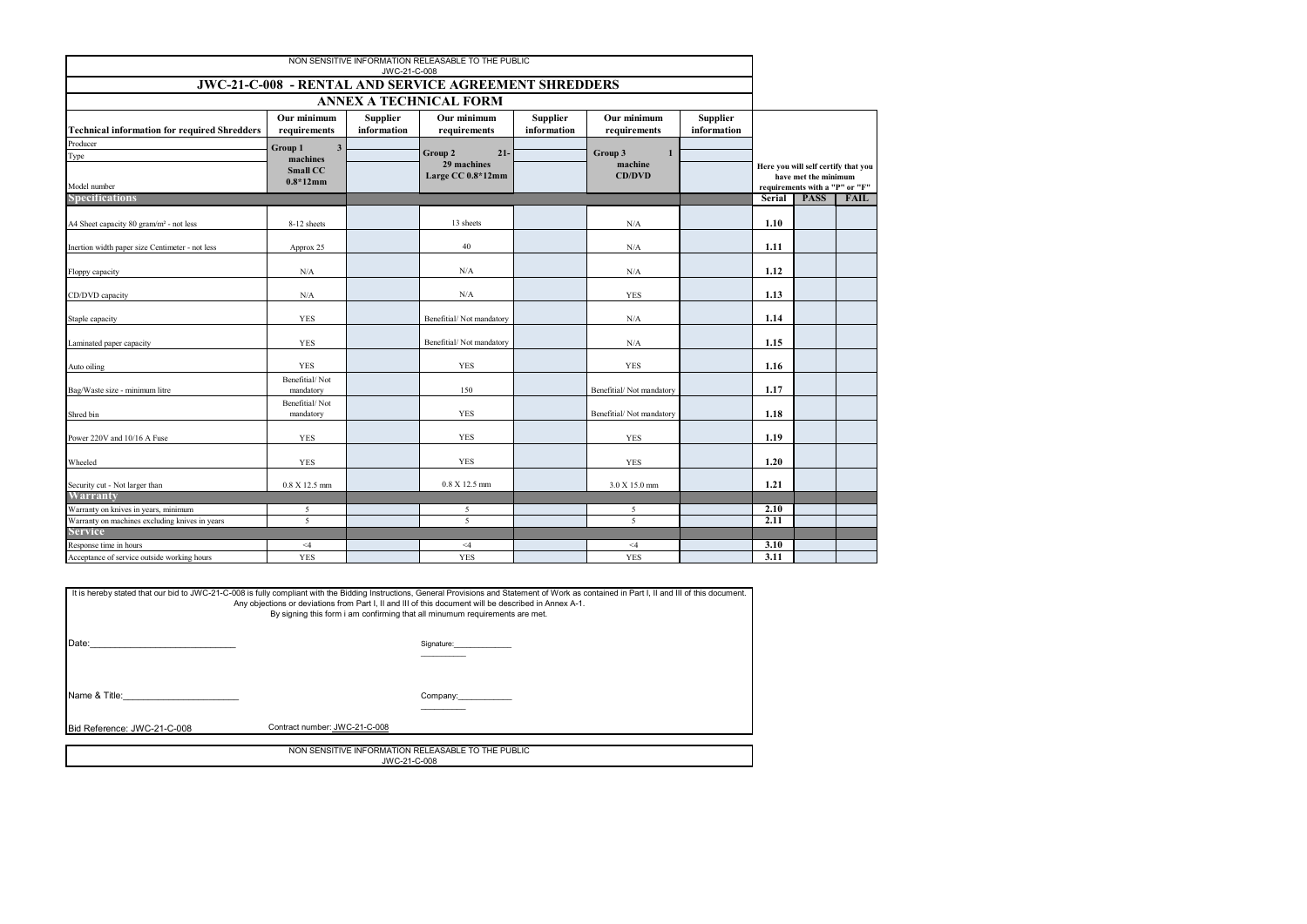|                                                              |                                    | JWC-21-C-008                   | NON SENSITIVE INFORMATION RELEASABLE TO THE PUBLIC |                                |                             |                                |        |                                               |      |
|--------------------------------------------------------------|------------------------------------|--------------------------------|----------------------------------------------------|--------------------------------|-----------------------------|--------------------------------|--------|-----------------------------------------------|------|
| <b>JWC-21-C-008 - RENTAL AND SERVICE AGREEMENT SHREDDERS</b> |                                    |                                |                                                    |                                |                             |                                |        |                                               |      |
| <b>ANNEX A TECHNICAL FORM</b>                                |                                    |                                |                                                    |                                |                             |                                |        |                                               |      |
| <b>Technical information for required Shredders</b>          | Our minimum<br>requirements        | <b>Supplier</b><br>information | Our minimum<br>requirements                        | <b>Supplier</b><br>information | Our minimum<br>requirements | <b>Supplier</b><br>information |        |                                               |      |
| Producer<br>Type                                             | $\overline{\mathbf{3}}$<br>Group 1 |                                | Group 2<br>$21 -$                                  |                                | Group 3<br>$\mathbf{1}$     |                                |        |                                               |      |
|                                                              | machines<br>Small CC               |                                | 29 machines                                        |                                | machine                     |                                |        | Here you will self certify that you           |      |
|                                                              | $0.8*12mm$                         |                                | Large CC 0.8*12mm                                  |                                | <b>CD/DVD</b>               |                                |        | have met the minimum                          |      |
| Model number<br><b>Specifications</b>                        |                                    |                                |                                                    |                                |                             |                                | Serial | requirements with a "P" or "F"<br><b>PASS</b> | FAIL |
|                                                              |                                    |                                |                                                    |                                |                             |                                |        |                                               |      |
| A4 Sheet capacity 80 gram/m <sup>2</sup> - not less          | 8-12 sheets                        |                                | 13 sheets                                          |                                | N/A                         |                                | 1.10   |                                               |      |
|                                                              |                                    |                                |                                                    |                                |                             |                                |        |                                               |      |
| Inertion width paper size Centimeter - not less              | Approx 25                          |                                | 40                                                 |                                | N/A                         |                                | 1.11   |                                               |      |
| Floppy capacity                                              | N/A                                |                                | N/A                                                |                                | N/A                         |                                | 1.12   |                                               |      |
|                                                              |                                    |                                |                                                    |                                |                             |                                |        |                                               |      |
| CD/DVD capacity                                              | N/A                                |                                | N/A                                                |                                | <b>YES</b>                  |                                | 1.13   |                                               |      |
| Staple capacity                                              | <b>YES</b>                         |                                | Benefitial/Not mandatory                           |                                | N/A                         |                                | 1.14   |                                               |      |
| Laminated paper capacity                                     | <b>YES</b>                         |                                | Benefitial/Not mandatory                           |                                | N/A                         |                                | 1.15   |                                               |      |
| Auto oiling                                                  | <b>YES</b>                         |                                | <b>YES</b>                                         |                                | <b>YES</b>                  |                                | 1.16   |                                               |      |
| Bag/Waste size - minimum litre                               | Benefitial/Not<br>mandatory        |                                | 150                                                |                                | Benefitial/Not mandatory    |                                | 1.17   |                                               |      |
| Shred bin                                                    | Benefitial/Not<br>mandatory        |                                | <b>YES</b>                                         |                                | Benefitial/Not mandatory    |                                | 1.18   |                                               |      |
| Power 220V and 10/16 A Fuse                                  | <b>YES</b>                         |                                | <b>YES</b>                                         |                                | <b>YES</b>                  |                                | 1.19   |                                               |      |
| Wheeled                                                      | <b>YES</b>                         |                                | <b>YES</b>                                         |                                | <b>YES</b>                  |                                | 1.20   |                                               |      |
|                                                              |                                    |                                |                                                    |                                |                             |                                |        |                                               |      |
| Security cut - Not larger than<br>Warranty                   | 0.8 X 12.5 mm                      |                                | $0.8$ X 12.5 mm                                    |                                | 3.0 X 15.0 mm               |                                | 1.21   |                                               |      |
| Warranty on knives in years, minimum                         | 5                                  |                                | 5                                                  |                                | 5                           |                                | 2.10   |                                               |      |
| Warranty on machines excluding knives in years               | 5                                  |                                | $\overline{5}$                                     |                                | 5                           |                                | 2.11   |                                               |      |
| <b>Service</b>                                               |                                    |                                |                                                    |                                |                             |                                |        |                                               |      |
| Response time in hours                                       | $\leq 4$                           |                                | $<\!\!4$                                           |                                | $<\!\!4$                    |                                | 3.10   |                                               |      |
| Acceptance of service outside working hours                  | <b>YES</b>                         |                                | <b>YES</b>                                         |                                | <b>YES</b>                  |                                | 3.11   |                                               |      |

| It is hereby stated that our bid to JWC-21-C-008 is fully compliant with the Bidding Instructions, General Provisions and Statement of Work as contained in Part I, II and III of this document.<br>Any objections or deviations from Part I, II and III of this document will be described in Annex A-1.<br>By signing this form i am confirming that all minumum requirements are met. |                               |                        |  |  |  |
|------------------------------------------------------------------------------------------------------------------------------------------------------------------------------------------------------------------------------------------------------------------------------------------------------------------------------------------------------------------------------------------|-------------------------------|------------------------|--|--|--|
| Date:                                                                                                                                                                                                                                                                                                                                                                                    |                               | Signature:             |  |  |  |
| Name & Title: Name & Title:                                                                                                                                                                                                                                                                                                                                                              |                               | Company: _____________ |  |  |  |
| Bid Reference: JWC-21-C-008                                                                                                                                                                                                                                                                                                                                                              | Contract number: JWC-21-C-008 |                        |  |  |  |
| NON SENSITIVE INFORMATION RELEASABLE TO THE PUBLIC<br>JWC-21-C-008                                                                                                                                                                                                                                                                                                                       |                               |                        |  |  |  |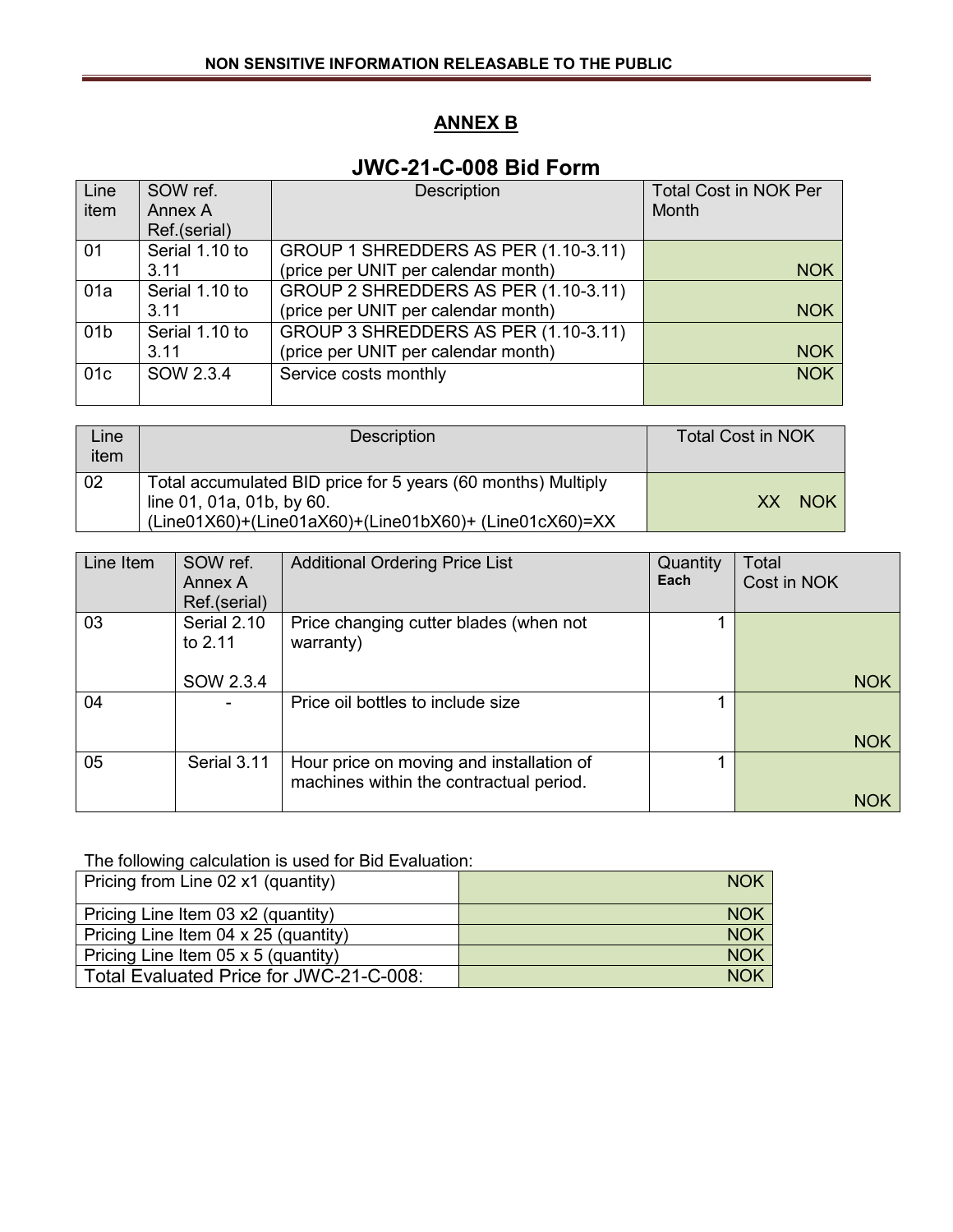## **ANNEX B**

## **JWC-21-C-008 Bid Form**

| Line<br>item    | SOW ref.<br>Annex A<br>Ref.(serial) | <b>Description</b>                                                          | <b>Total Cost in NOK Per</b><br>Month |
|-----------------|-------------------------------------|-----------------------------------------------------------------------------|---------------------------------------|
| 01              | Serial 1.10 to<br>3.11              | GROUP 1 SHREDDERS AS PER (1.10-3.11)<br>(price per UNIT per calendar month) | <b>NOK</b>                            |
| 01a             | Serial 1.10 to<br>3.11              | GROUP 2 SHREDDERS AS PER (1.10-3.11)<br>(price per UNIT per calendar month) | <b>NOK</b>                            |
| 01 <sub>b</sub> | Serial 1.10 to<br>3.11              | GROUP 3 SHREDDERS AS PER (1.10-3.11)<br>(price per UNIT per calendar month) | <b>NOK</b>                            |
| 01c             | SOW 2.3.4                           | Service costs monthly                                                       | <b>NOK</b>                            |

| Line<br>item | <b>Description</b>                                                                                                                                  | <b>Total Cost in NOK</b> |
|--------------|-----------------------------------------------------------------------------------------------------------------------------------------------------|--------------------------|
| 02           | Total accumulated BID price for 5 years (60 months) Multiply<br>line 01, 01a, 01b, by 60.<br>(Line01X60)+(Line01aX60)+(Line01bX60)+ (Line01cX60)=XX | <b>NOK</b><br>XX.        |

| Line Item | SOW ref.<br>Annex A<br>Ref.(serial) | <b>Additional Ordering Price List</b>                                               | Quantity<br>Each | <b>Total</b><br>Cost in NOK |
|-----------|-------------------------------------|-------------------------------------------------------------------------------------|------------------|-----------------------------|
| 03        | Serial 2.10<br>to 2.11              | Price changing cutter blades (when not<br>warranty)                                 |                  |                             |
|           | SOW 2.3.4                           |                                                                                     |                  | <b>NOK</b>                  |
| 04        |                                     | Price oil bottles to include size                                                   |                  |                             |
|           |                                     |                                                                                     |                  | <b>NOK</b>                  |
| 05        | Serial 3.11                         | Hour price on moving and installation of<br>machines within the contractual period. |                  |                             |
|           |                                     |                                                                                     |                  | <b>NOK</b>                  |

#### The following calculation is used for Bid Evaluation:

| Pricing from Line 02 x1 (quantity)      | <b>NOK</b> |
|-----------------------------------------|------------|
| Pricing Line Item 03 x2 (quantity)      | <b>NOK</b> |
| Pricing Line Item 04 x 25 (quantity)    | <b>NOK</b> |
| Pricing Line Item 05 x 5 (quantity)     | <b>NOK</b> |
| Total Evaluated Price for JWC-21-C-008: | <b>NOK</b> |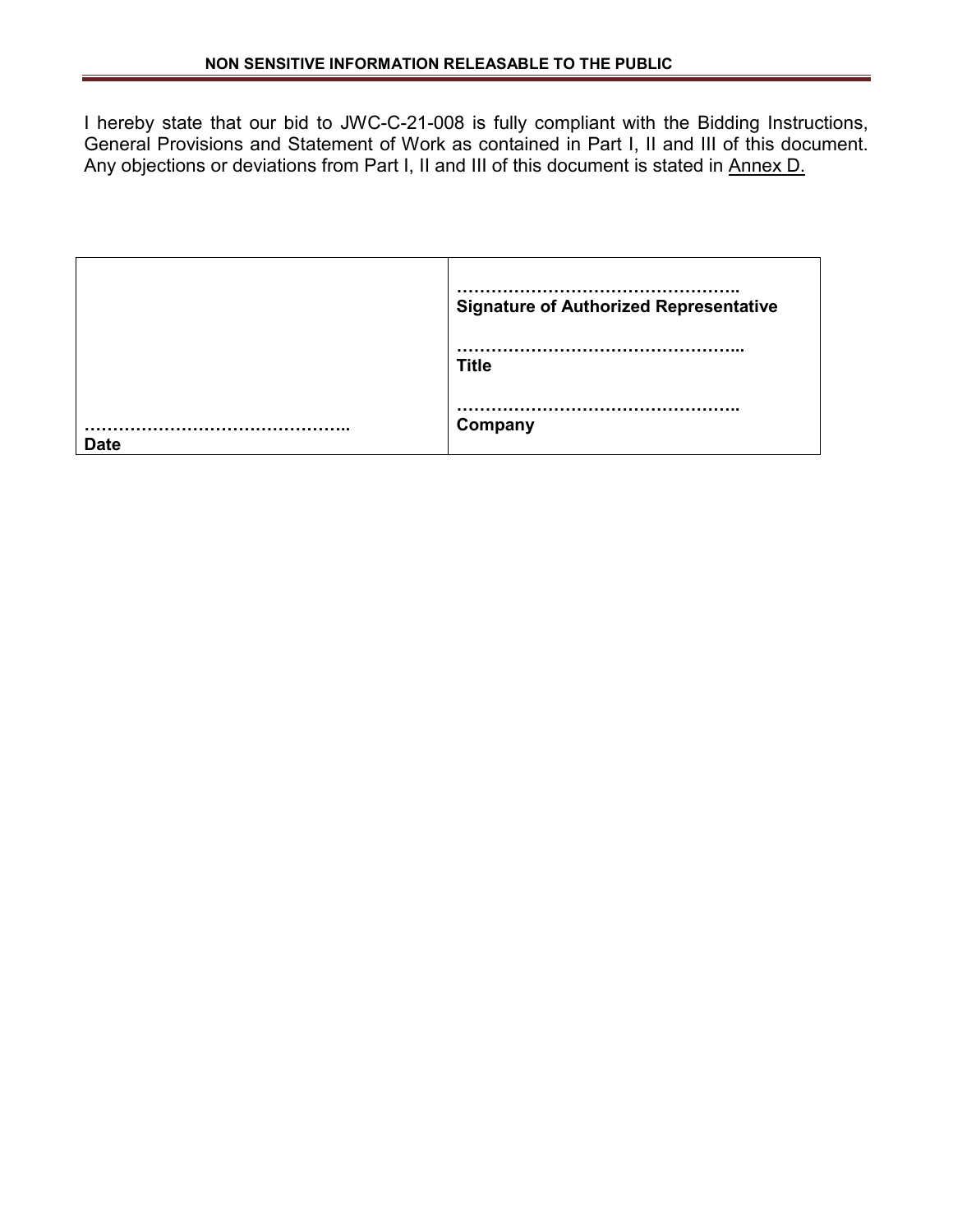I hereby state that our bid to JWC-C-21-008 is fully compliant with the Bidding Instructions, General Provisions and Statement of Work as contained in Part I, II and III of this document. Any objections or deviations from Part I, II and III of this document is stated in Annex D.

| <b>Signature of Authorized Representative</b> |
|-----------------------------------------------|
| <b>Title</b>                                  |
| Company                                       |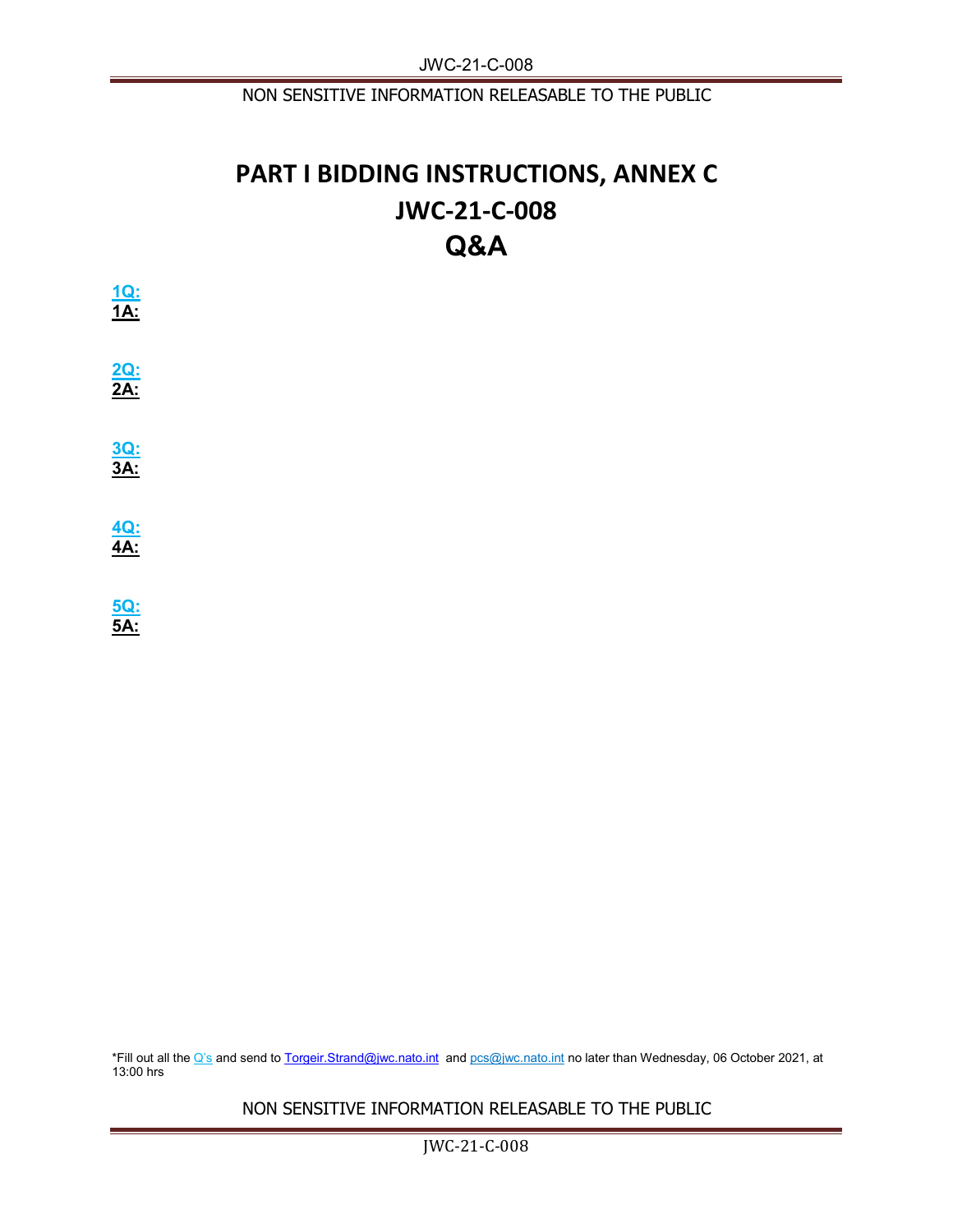NON SENSITIVE INFORMATION RELEASABLE TO THE PUBLIC

## **PART I BIDDING INSTRUCTIONS, ANNEX C JWC-21-C-008 Q&A**

| $\frac{1Q}{1A}$ |  |  |
|-----------------|--|--|
| $\frac{2Q}{2A}$ |  |  |
| $\frac{3Q}{3A}$ |  |  |
| $\frac{4Q}{4A}$ |  |  |
| $\frac{5Q}{5A}$ |  |  |

\*Fill out all the Q's and send t[o Torgeir.Strand@jwc.nato.int](mailto:Torgeir.Strand@jwc.nato.int) and [pcs@jwc.nato.int](mailto:pcs@jwc.nato.int) no later than Wednesday, 06 October 2021, at 13:00 hrs